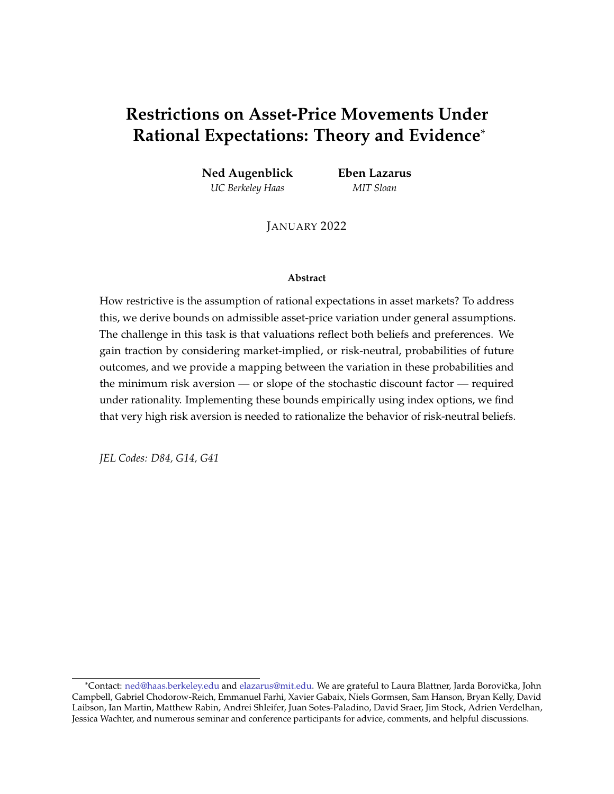# **Restrictions on Asset-Price Movements Under Rational Expectations: Theory and Evidence**\*

**Ned Augenblick** *UC Berkeley Haas*

**Eben Lazarus** *MIT Sloan*

JANUARY 2022

#### **Abstract**

How restrictive is the assumption of rational expectations in asset markets? To address this, we derive bounds on admissible asset-price variation under general assumptions. The challenge in this task is that valuations reflect both beliefs and preferences. We gain traction by considering market-implied, or risk-neutral, probabilities of future outcomes, and we provide a mapping between the variation in these probabilities and the minimum risk aversion — or slope of the stochastic discount factor — required under rationality. Implementing these bounds empirically using index options, we find that very high risk aversion is needed to rationalize the behavior of risk-neutral beliefs.

*JEL Codes: D84, G14, G41*

<sup>\*</sup>Contact: [ned@haas.berkeley.edu](mailto:ned@haas.berkeley.edu) and [elazarus@mit.edu.](mailto:elazarus@mit.edu) We are grateful to Laura Blattner, Jarda Borovička, John Campbell, Gabriel Chodorow-Reich, Emmanuel Farhi, Xavier Gabaix, Niels Gormsen, Sam Hanson, Bryan Kelly, David Laibson, Ian Martin, Matthew Rabin, Andrei Shleifer, Juan Sotes-Paladino, David Sraer, Jim Stock, Adrien Verdelhan, Jessica Wachter, and numerous seminar and conference participants for advice, comments, and helpful discussions.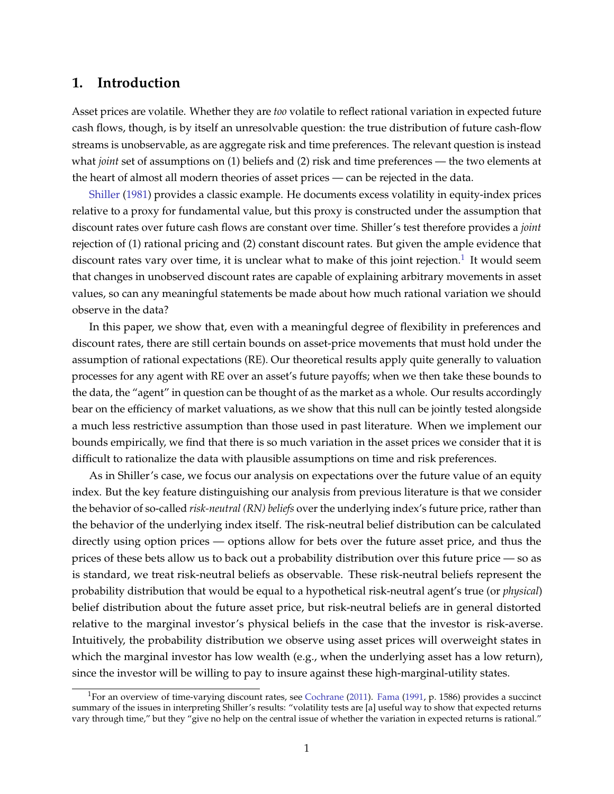# **1. Introduction**

Asset prices are volatile. Whether they are *too* volatile to reflect rational variation in expected future cash flows, though, is by itself an unresolvable question: the true distribution of future cash-flow streams is unobservable, as are aggregate risk and time preferences. The relevant question is instead what *joint* set of assumptions on (1) beliefs and (2) risk and time preferences — the two elements at the heart of almost all modern theories of asset prices — can be rejected in the data.

[Shiller](#page-38-0) [\(1981\)](#page-38-0) provides a classic example. He documents excess volatility in equity-index prices relative to a proxy for fundamental value, but this proxy is constructed under the assumption that discount rates over future cash flows are constant over time. Shiller's test therefore provides a *joint* rejection of (1) rational pricing and (2) constant discount rates. But given the ample evidence that discount rates vary over time, it is unclear what to make of this joint rejection. $^1$  $^1$  It would seem that changes in unobserved discount rates are capable of explaining arbitrary movements in asset values, so can any meaningful statements be made about how much rational variation we should observe in the data?

In this paper, we show that, even with a meaningful degree of flexibility in preferences and discount rates, there are still certain bounds on asset-price movements that must hold under the assumption of rational expectations (RE). Our theoretical results apply quite generally to valuation processes for any agent with RE over an asset's future payoffs; when we then take these bounds to the data, the "agent" in question can be thought of as the market as a whole. Our results accordingly bear on the efficiency of market valuations, as we show that this null can be jointly tested alongside a much less restrictive assumption than those used in past literature. When we implement our bounds empirically, we find that there is so much variation in the asset prices we consider that it is difficult to rationalize the data with plausible assumptions on time and risk preferences.

As in Shiller's case, we focus our analysis on expectations over the future value of an equity index. But the key feature distinguishing our analysis from previous literature is that we consider the behavior of so-called *risk-neutral (RN) beliefs* over the underlying index's future price, rather than the behavior of the underlying index itself. The risk-neutral belief distribution can be calculated directly using option prices — options allow for bets over the future asset price, and thus the prices of these bets allow us to back out a probability distribution over this future price — so as is standard, we treat risk-neutral beliefs as observable. These risk-neutral beliefs represent the probability distribution that would be equal to a hypothetical risk-neutral agent's true (or *physical*) belief distribution about the future asset price, but risk-neutral beliefs are in general distorted relative to the marginal investor's physical beliefs in the case that the investor is risk-averse. Intuitively, the probability distribution we observe using asset prices will overweight states in which the marginal investor has low wealth (e.g., when the underlying asset has a low return), since the investor will be willing to pay to insure against these high-marginal-utility states.

<span id="page-1-0"></span><sup>&</sup>lt;sup>1</sup>For an overview of time-varying discount rates, see [Cochrane](#page-37-0) [\(2011\)](#page-37-0). [Fama](#page-38-1) [\(1991,](#page-38-1) p. 1586) provides a succinct summary of the issues in interpreting Shiller's results: "volatility tests are [a] useful way to show that expected returns vary through time," but they "give no help on the central issue of whether the variation in expected returns is rational."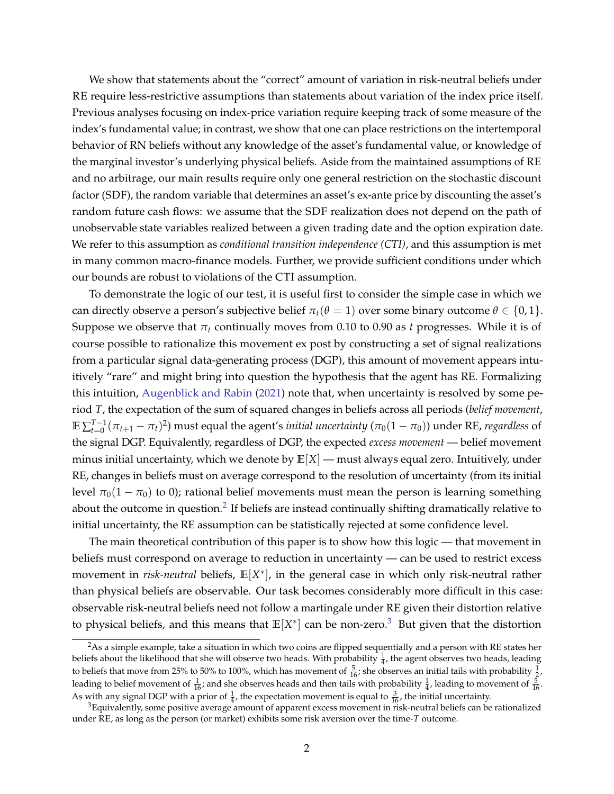We show that statements about the "correct" amount of variation in risk-neutral beliefs under RE require less-restrictive assumptions than statements about variation of the index price itself. Previous analyses focusing on index-price variation require keeping track of some measure of the index's fundamental value; in contrast, we show that one can place restrictions on the intertemporal behavior of RN beliefs without any knowledge of the asset's fundamental value, or knowledge of the marginal investor's underlying physical beliefs. Aside from the maintained assumptions of RE and no arbitrage, our main results require only one general restriction on the stochastic discount factor (SDF), the random variable that determines an asset's ex-ante price by discounting the asset's random future cash flows: we assume that the SDF realization does not depend on the path of unobservable state variables realized between a given trading date and the option expiration date. We refer to this assumption as *conditional transition independence (CTI)*, and this assumption is met in many common macro-finance models. Further, we provide sufficient conditions under which our bounds are robust to violations of the CTI assumption.

To demonstrate the logic of our test, it is useful first to consider the simple case in which we can directly observe a person's subjective belief  $\pi_t(\theta = 1)$  over some binary outcome  $\theta \in \{0, 1\}$ . Suppose we observe that  $\pi_t$  continually moves from 0.10 to 0.90 as *t* progresses. While it is of course possible to rationalize this movement ex post by constructing a set of signal realizations from a particular signal data-generating process (DGP), this amount of movement appears intuitively "rare" and might bring into question the hypothesis that the agent has RE. Formalizing this intuition, [Augenblick and Rabin](#page-37-1) [\(2021\)](#page-37-1) note that, when uncertainty is resolved by some period *T*, the expectation of the sum of squared changes in beliefs across all periods (*belief movement*,  $\mathbb{E}\sum_{t=0}^{T-1}(\pi_{t+1}-\pi_t)^2)$  must equal the agent's *initial uncertainty (* $\pi_0(1-\pi_0)$ *)* under RE*, regardless* of the signal DGP. Equivalently, regardless of DGP, the expected *excess movement* — belief movement minus initial uncertainty, which we denote by  $\mathbb{E}[X]$  — must always equal zero. Intuitively, under RE, changes in beliefs must on average correspond to the resolution of uncertainty (from its initial level  $\pi_0(1 - \pi_0)$  to 0); rational belief movements must mean the person is learning something about the outcome in question. $^2$  $^2$  If beliefs are instead continually shifting dramatically relative to initial uncertainty, the RE assumption can be statistically rejected at some confidence level.

The main theoretical contribution of this paper is to show how this logic — that movement in beliefs must correspond on average to reduction in uncertainty — can be used to restrict excess movement in *risk-neutral* beliefs, **E**[X<sup>\*</sup>], in the general case in which only risk-neutral rather than physical beliefs are observable. Our task becomes considerably more difficult in this case: observable risk-neutral beliefs need not follow a martingale under RE given their distortion relative to physical beliefs, and this means that  $\mathbb{E}[X^*]$  can be non-zero.<sup>[3](#page-2-1)</sup> But given that the distortion

<span id="page-2-0"></span> ${}^{2}$ As a simple example, take a situation in which two coins are flipped sequentially and a person with RE states her beliefs about the likelihood that she will observe two heads. With probability  $\frac{1}{4}$ , the agent observes two heads, leading to beliefs that move from 25% to 50% to 100%, which has movement of  $\frac{5}{16}$ ; she observes an initial tails with probability  $\frac{1}{2}$ , leading to belief movement of  $\frac{1}{16}$ ; and she observes heads and then tails with probability  $\frac{1}{4}$ , leading to movement of  $\frac{5}{16}$ . As with any signal DGP with a prior of  $\frac{1}{4}$ , the expectation movement is equal to  $\frac{3}{16}$ , the initial uncertainty.

<span id="page-2-1"></span> $3$ Equivalently, some positive average amount of apparent excess movement in risk-neutral beliefs can be rationalized under RE, as long as the person (or market) exhibits some risk aversion over the time-*T* outcome.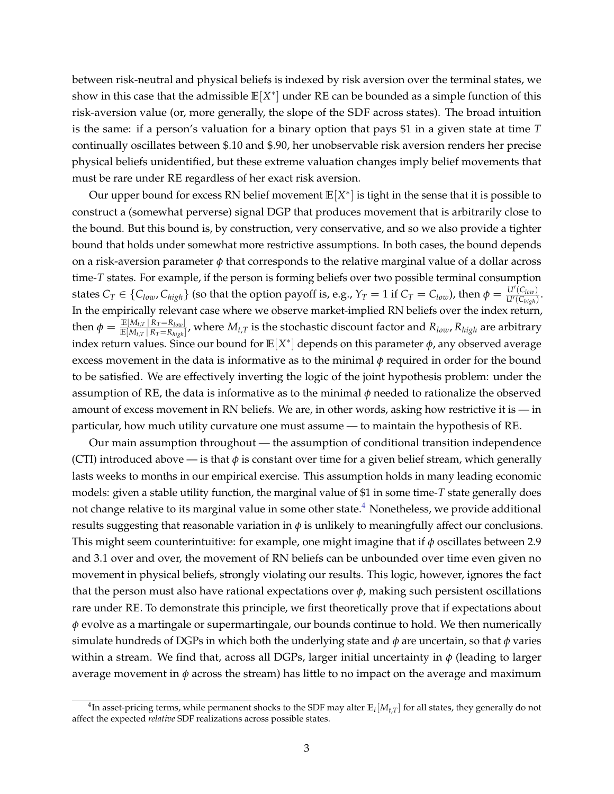between risk-neutral and physical beliefs is indexed by risk aversion over the terminal states, we show in this case that the admissible  $\mathbb{E}[X^*]$  under RE can be bounded as a simple function of this risk-aversion value (or, more generally, the slope of the SDF across states). The broad intuition is the same: if a person's valuation for a binary option that pays \$1 in a given state at time *T* continually oscillates between \$.10 and \$.90, her unobservable risk aversion renders her precise physical beliefs unidentified, but these extreme valuation changes imply belief movements that must be rare under RE regardless of her exact risk aversion.

Our upper bound for excess RN belief movement **E**[*X* ∗ ] is tight in the sense that it is possible to construct a (somewhat perverse) signal DGP that produces movement that is arbitrarily close to the bound. But this bound is, by construction, very conservative, and so we also provide a tighter bound that holds under somewhat more restrictive assumptions. In both cases, the bound depends on a risk-aversion parameter  $\phi$  that corresponds to the relative marginal value of a dollar across time-*T* states. For example, if the person is forming beliefs over two possible terminal consumption states  $C_T \in \{C_{low}, C_{high}\}$  (so that the option payoff is, e.g.,  $Y_T = 1$  if  $C_T = C_{low}$ ), then  $\phi = \frac{U'(C_{low})}{U'(C_{high})}$  $\frac{U(C_{low})}{U'(C_{high})}$ . In the empirically relevant case where we observe market-implied RN beliefs over the index return,  $\text{then } \phi = \frac{\mathbb{E}[M_{t,T} \, | \, R_T=R_{low}]}{\mathbb{E}[M_{t,T} \, | \, R_T=R_{high}]}$  $\frac{\mathbb{E}[M_t,T|K_T-K_0w_t]}{\mathbb{E}[M_{t,T}|K_T=R_{high}]}$ , where  $M_{t,T}$  is the stochastic discount factor and  $R_{low}$ ,  $R_{high}$  are arbitrary index return values. Since our bound for  $\mathbb{E}[X^*]$  depends on this parameter  $\phi$ , any observed average excess movement in the data is informative as to the minimal  $\phi$  required in order for the bound to be satisfied. We are effectively inverting the logic of the joint hypothesis problem: under the assumption of RE, the data is informative as to the minimal  $\phi$  needed to rationalize the observed amount of excess movement in RN beliefs. We are, in other words, asking how restrictive it is — in particular, how much utility curvature one must assume — to maintain the hypothesis of RE.

Our main assumption throughout — the assumption of conditional transition independence (CTI) introduced above — is that  $\phi$  is constant over time for a given belief stream, which generally lasts weeks to months in our empirical exercise. This assumption holds in many leading economic models: given a stable utility function, the marginal value of \$1 in some time-*T* state generally does not change relative to its marginal value in some other state.<sup>[4](#page-3-0)</sup> Nonetheless, we provide additional results suggesting that reasonable variation in  $\phi$  is unlikely to meaningfully affect our conclusions. This might seem counterintuitive: for example, one might imagine that if *ϕ* oscillates between 2.9 and 3.1 over and over, the movement of RN beliefs can be unbounded over time even given no movement in physical beliefs, strongly violating our results. This logic, however, ignores the fact that the person must also have rational expectations over  $\phi$ , making such persistent oscillations rare under RE. To demonstrate this principle, we first theoretically prove that if expectations about *ϕ* evolve as a martingale or supermartingale, our bounds continue to hold. We then numerically simulate hundreds of DGPs in which both the underlying state and  $\phi$  are uncertain, so that  $\phi$  varies within a stream. We find that, across all DGPs, larger initial uncertainty in  $\phi$  (leading to larger average movement in *ϕ* across the stream) has little to no impact on the average and maximum

<span id="page-3-0"></span> $^4$ In asset-pricing terms, while permanent shocks to the SDF may alter  $\mathbb{E}_t[M_{t,T}]$  for all states, they generally do not affect the expected *relative* SDF realizations across possible states.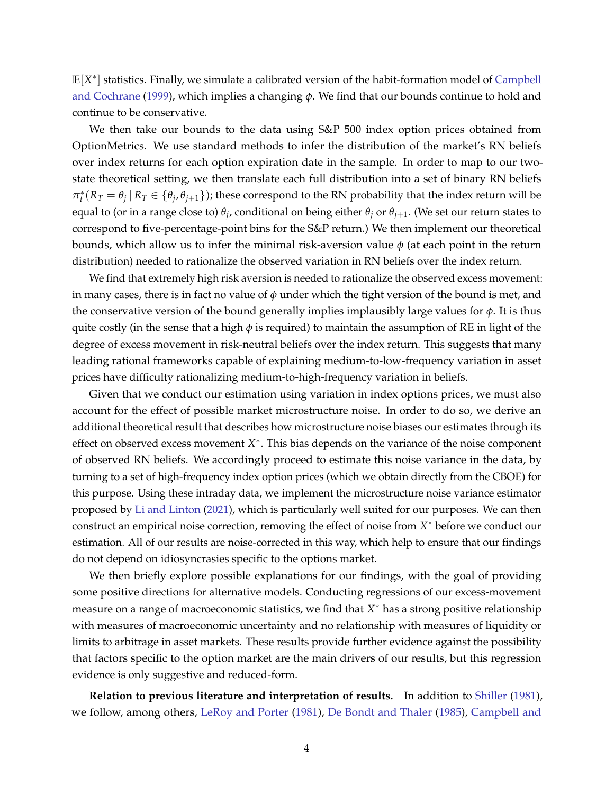**E**[*X* ∗ ] statistics. Finally, we simulate a calibrated version of the habit-formation model of [Campbell](#page-37-2) [and Cochrane](#page-37-2) [\(1999\)](#page-37-2), which implies a changing *ϕ*. We find that our bounds continue to hold and continue to be conservative.

We then take our bounds to the data using S&P 500 index option prices obtained from OptionMetrics. We use standard methods to infer the distribution of the market's RN beliefs over index returns for each option expiration date in the sample. In order to map to our twostate theoretical setting, we then translate each full distribution into a set of binary RN beliefs  $\pi_t^*(R_T=\theta_j\,|\,R_T\in\{\theta_j,\theta_{j+1}\})$ ; these correspond to the RN probability that the index return will be equal to (or in a range close to)  $θ_j$ , conditional on being either  $θ_j$  or  $θ_{j+1}$ . (We set our return states to correspond to five-percentage-point bins for the S&P return.) We then implement our theoretical bounds, which allow us to infer the minimal risk-aversion value  $\phi$  (at each point in the return distribution) needed to rationalize the observed variation in RN beliefs over the index return.

We find that extremely high risk aversion is needed to rationalize the observed excess movement: in many cases, there is in fact no value of *ϕ* under which the tight version of the bound is met, and the conservative version of the bound generally implies implausibly large values for  $\phi$ . It is thus quite costly (in the sense that a high *ϕ* is required) to maintain the assumption of RE in light of the degree of excess movement in risk-neutral beliefs over the index return. This suggests that many leading rational frameworks capable of explaining medium-to-low-frequency variation in asset prices have difficulty rationalizing medium-to-high-frequency variation in beliefs.

Given that we conduct our estimation using variation in index options prices, we must also account for the effect of possible market microstructure noise. In order to do so, we derive an additional theoretical result that describes how microstructure noise biases our estimates through its effect on observed excess movement *X*<sup>\*</sup>. This bias depends on the variance of the noise component of observed RN beliefs. We accordingly proceed to estimate this noise variance in the data, by turning to a set of high-frequency index option prices (which we obtain directly from the CBOE) for this purpose. Using these intraday data, we implement the microstructure noise variance estimator proposed by [Li and Linton](#page-38-2) [\(2021\)](#page-38-2), which is particularly well suited for our purposes. We can then construct an empirical noise correction, removing the effect of noise from *X* <sup>∗</sup> before we conduct our estimation. All of our results are noise-corrected in this way, which help to ensure that our findings do not depend on idiosyncrasies specific to the options market.

We then briefly explore possible explanations for our findings, with the goal of providing some positive directions for alternative models. Conducting regressions of our excess-movement measure on a range of macroeconomic statistics, we find that *X* <sup>∗</sup> has a strong positive relationship with measures of macroeconomic uncertainty and no relationship with measures of liquidity or limits to arbitrage in asset markets. These results provide further evidence against the possibility that factors specific to the option market are the main drivers of our results, but this regression evidence is only suggestive and reduced-form.

**Relation to previous literature and interpretation of results.** In addition to [Shiller](#page-38-0) [\(1981\)](#page-38-0), we follow, among others, [LeRoy and Porter](#page-38-3) [\(1981\)](#page-38-3), [De Bondt and Thaler](#page-38-4) [\(1985\)](#page-38-4), [Campbell and](#page-37-3)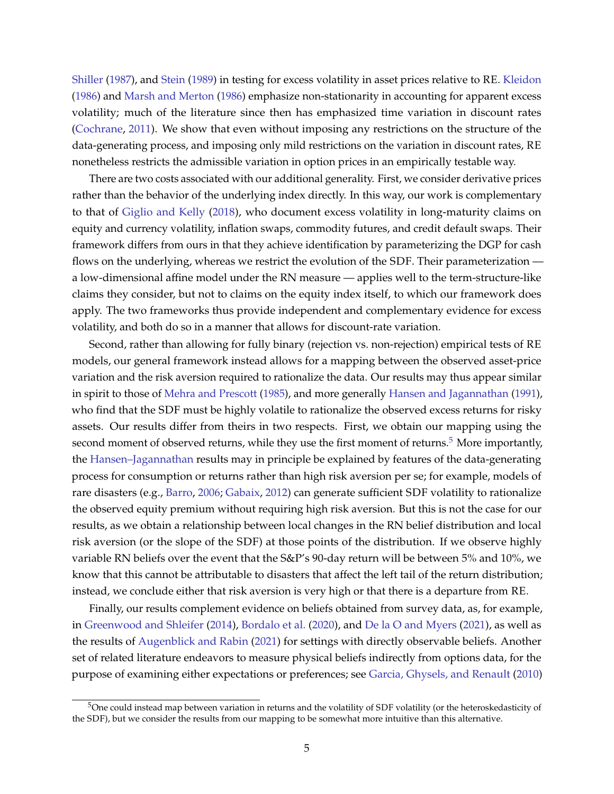[Shiller](#page-37-3) [\(1987\)](#page-37-3), and [Stein](#page-38-5) [\(1989\)](#page-38-5) in testing for excess volatility in asset prices relative to RE. [Kleidon](#page-38-6) [\(1986\)](#page-38-6) and [Marsh and Merton](#page-38-7) [\(1986\)](#page-38-7) emphasize non-stationarity in accounting for apparent excess volatility; much of the literature since then has emphasized time variation in discount rates [\(Cochrane,](#page-37-0) [2011\)](#page-37-0). We show that even without imposing any restrictions on the structure of the data-generating process, and imposing only mild restrictions on the variation in discount rates, RE nonetheless restricts the admissible variation in option prices in an empirically testable way.

There are two costs associated with our additional generality. First, we consider derivative prices rather than the behavior of the underlying index directly. In this way, our work is complementary to that of [Giglio and Kelly](#page-38-8) [\(2018\)](#page-38-8), who document excess volatility in long-maturity claims on equity and currency volatility, inflation swaps, commodity futures, and credit default swaps. Their framework differs from ours in that they achieve identification by parameterizing the DGP for cash flows on the underlying, whereas we restrict the evolution of the SDF. Their parameterization a low-dimensional affine model under the RN measure — applies well to the term-structure-like claims they consider, but not to claims on the equity index itself, to which our framework does apply. The two frameworks thus provide independent and complementary evidence for excess volatility, and both do so in a manner that allows for discount-rate variation.

Second, rather than allowing for fully binary (rejection vs. non-rejection) empirical tests of RE models, our general framework instead allows for a mapping between the observed asset-price variation and the risk aversion required to rationalize the data. Our results may thus appear similar in spirit to those of [Mehra and Prescott](#page-38-9) [\(1985\)](#page-38-9), and more generally [Hansen and Jagannathan](#page-38-10) [\(1991\)](#page-38-10), who find that the SDF must be highly volatile to rationalize the observed excess returns for risky assets. Our results differ from theirs in two respects. First, we obtain our mapping using the second moment of observed returns, while they use the first moment of returns. $5$  More importantly, the [Hansen–Jagannathan](#page-38-10) results may in principle be explained by features of the data-generating process for consumption or returns rather than high risk aversion per se; for example, models of rare disasters (e.g., [Barro,](#page-37-4) [2006;](#page-37-4) [Gabaix,](#page-38-11) [2012\)](#page-38-11) can generate sufficient SDF volatility to rationalize the observed equity premium without requiring high risk aversion. But this is not the case for our results, as we obtain a relationship between local changes in the RN belief distribution and local risk aversion (or the slope of the SDF) at those points of the distribution. If we observe highly variable RN beliefs over the event that the S&P's 90-day return will be between 5% and 10%, we know that this cannot be attributable to disasters that affect the left tail of the return distribution; instead, we conclude either that risk aversion is very high or that there is a departure from RE.

Finally, our results complement evidence on beliefs obtained from survey data, as, for example, in [Greenwood and Shleifer](#page-38-12) [\(2014\)](#page-38-12), [Bordalo et al.](#page-37-5) [\(2020\)](#page-37-5), and [De la O and Myers](#page-38-13) [\(2021\)](#page-38-13), as well as the results of [Augenblick and Rabin](#page-37-1) [\(2021\)](#page-37-1) for settings with directly observable beliefs. Another set of related literature endeavors to measure physical beliefs indirectly from options data, for the purpose of examining either expectations or preferences; see [Garcia, Ghysels, and Renault](#page-38-14) [\(2010\)](#page-38-14)

<span id="page-5-0"></span> $5$ One could instead map between variation in returns and the volatility of SDF volatility (or the heteroskedasticity of the SDF), but we consider the results from our mapping to be somewhat more intuitive than this alternative.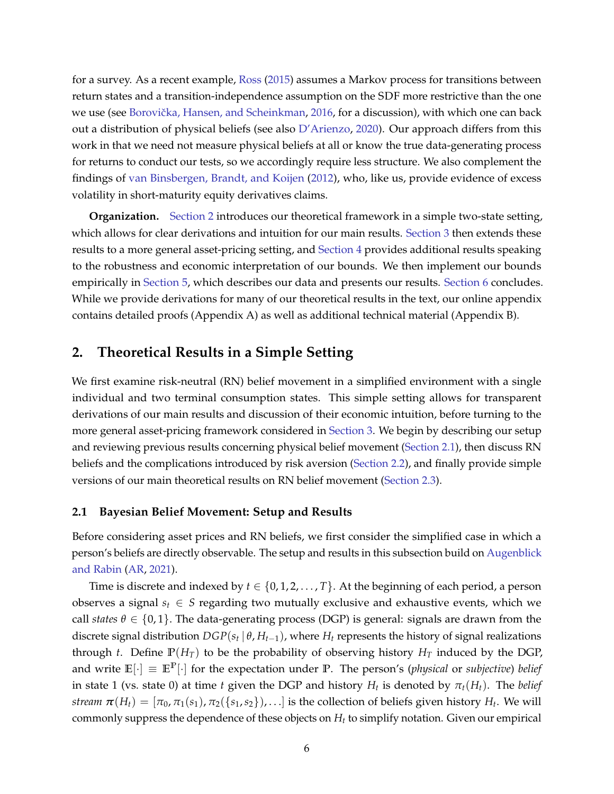for a survey. As a recent example, [Ross](#page-38-15) [\(2015\)](#page-38-15) assumes a Markov process for transitions between return states and a transition-independence assumption on the SDF more restrictive than the one we use (see Borovička, Hansen, and Scheinkman, [2016,](#page-37-6) for a discussion), with which one can back out a distribution of physical beliefs (see also [D'Arienzo,](#page-37-7) [2020\)](#page-37-7). Our approach differs from this work in that we need not measure physical beliefs at all or know the true data-generating process for returns to conduct our tests, so we accordingly require less structure. We also complement the findings of [van Binsbergen, Brandt, and Koijen](#page-37-8) [\(2012\)](#page-37-8), who, like us, provide evidence of excess volatility in short-maturity equity derivatives claims.

**Organization.** [Section 2](#page-6-0) introduces our theoretical framework in a simple two-state setting, which allows for clear derivations and intuition for our main results. [Section 3](#page-17-0) then extends these results to a more general asset-pricing setting, and [Section 4](#page-23-0) provides additional results speaking to the robustness and economic interpretation of our bounds. We then implement our bounds empirically in [Section 5,](#page-28-0) which describes our data and presents our results. [Section 6](#page-36-0) concludes. While we provide derivations for many of our theoretical results in the text, our online appendix contains detailed proofs (Appendix A) as well as additional technical material (Appendix B).

# <span id="page-6-0"></span>**2. Theoretical Results in a Simple Setting**

We first examine risk-neutral (RN) belief movement in a simplified environment with a single individual and two terminal consumption states. This simple setting allows for transparent derivations of our main results and discussion of their economic intuition, before turning to the more general asset-pricing framework considered in [Section 3.](#page-17-0) We begin by describing our setup and reviewing previous results concerning physical belief movement [\(Section 2.1\)](#page-6-1), then discuss RN beliefs and the complications introduced by risk aversion [\(Section 2.2\)](#page-8-0), and finally provide simple versions of our main theoretical results on RN belief movement [\(Section 2.3\)](#page-12-0).

### <span id="page-6-1"></span>**2.1 Bayesian Belief Movement: Setup and Results**

Before considering asset prices and RN beliefs, we first consider the simplified case in which a person's beliefs are directly observable. The setup and results in this subsection build on [Augenblick](#page-37-1) [and Rabin](#page-37-1) [\(AR,](#page-37-1) [2021\)](#page-37-1).

Time is discrete and indexed by  $t \in \{0, 1, 2, \ldots, T\}$ . At the beginning of each period, a person observes a signal  $s_t \in S$  regarding two mutually exclusive and exhaustive events, which we call *states*  $\theta \in \{0,1\}$ . The data-generating process (DGP) is general: signals are drawn from the discrete signal distribution  $DGP(s_t | \theta, H_{t-1})$ , where  $H_t$  represents the history of signal realizations through *t*. Define  $\mathbb{P}(H_T)$  to be the probability of observing history  $H_T$  induced by the DGP, and write  $\mathbb{E}[\cdot] \equiv \mathbb{E}^{\mathbb{P}}[\cdot]$  for the expectation under **P**. The person's (*physical* or *subjective*) *belief* in state 1 (vs. state 0) at time *t* given the DGP and history  $H_t$  is denoted by  $\pi_t(H_t)$ . The *belief stream*  $\bm{\pi}(H_t) = [\pi_0, \pi_1(s_1), \pi_2(\{s_1,s_2\}),\ldots]$  is the collection of beliefs given history  $H_t$ . We will commonly suppress the dependence of these objects on *H<sup>t</sup>* to simplify notation. Given our empirical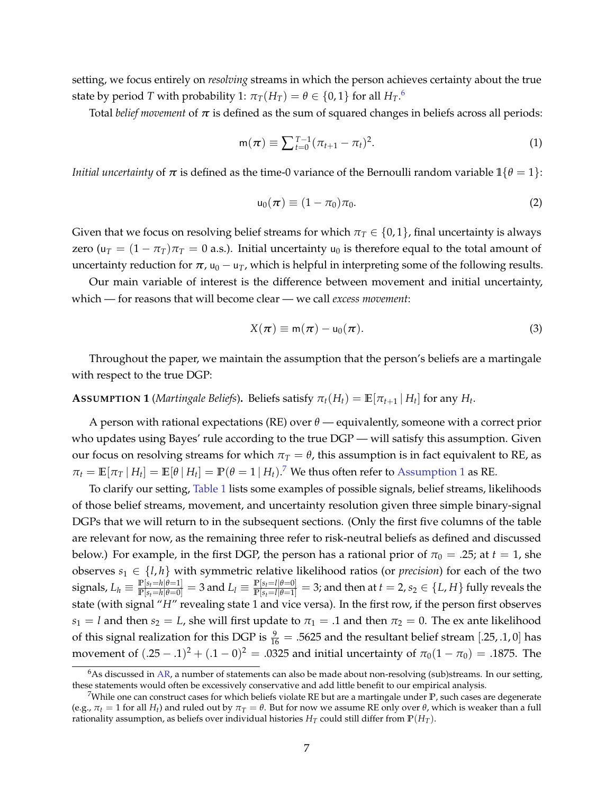setting, we focus entirely on *resolving* streams in which the person achieves certainty about the true state by period  $T$  with probability 1:  $\pi_T(H_T) = \theta \in \{0,1\}$  for all  $H_T.^6$  $H_T.^6$ 

Total *belief movement* of  $\pi$  is defined as the sum of squared changes in beliefs across all periods:

<span id="page-7-3"></span>
$$
m(\pi) \equiv \sum_{t=0}^{T-1} (\pi_{t+1} - \pi_t)^2.
$$
 (1)

*Initial uncertainty* of  $\pi$  is defined as the time-0 variance of the Bernoulli random variable  $\mathbb{1}\{\theta = 1\}$ :

$$
\mathsf{u}_0(\boldsymbol{\pi}) \equiv (1 - \pi_0)\pi_0. \tag{2}
$$

Given that we focus on resolving belief streams for which  $\pi_T \in \{0,1\}$ , final uncertainty is always zero ( $u_T = (1 - \pi_T)\pi_T = 0$  a.s.). Initial uncertainty  $u_0$  is therefore equal to the total amount of uncertainty reduction for  $\pi$ ,  $u_0 - u_T$ , which is helpful in interpreting some of the following results.

Our main variable of interest is the difference between movement and initial uncertainty, which — for reasons that will become clear — we call *excess movement*:

<span id="page-7-4"></span>
$$
X(\pi) \equiv m(\pi) - u_0(\pi). \tag{3}
$$

Throughout the paper, we maintain the assumption that the person's beliefs are a martingale with respect to the true DGP:

## <span id="page-7-2"></span>**A**SSUMPTION **1** (*Martingale Beliefs*). Beliefs satisfy  $\pi_t(H_t) = \mathbb{E}[\pi_{t+1} | H_t]$  for any  $H_t$ .

A person with rational expectations (RE) over *θ* — equivalently, someone with a correct prior who updates using Bayes' rule according to the true DGP — will satisfy this assumption. Given our focus on resolving streams for which  $\pi$ <sup>*T*</sup> =  $\theta$ , this assumption is in fact equivalent to RE, as  $\pi_t = \mathbb{E}[\pi_T | H_t] = \mathbb{E}[\theta | H_t] = \mathbb{P}(\theta = 1 | H_t).$ <sup>[7](#page-7-1)</sup> We thus often refer to [Assumption 1](#page-7-2) as RE.

To clarify our setting, [Table 1](#page-39-0) lists some examples of possible signals, belief streams, likelihoods of those belief streams, movement, and uncertainty resolution given three simple binary-signal DGPs that we will return to in the subsequent sections. (Only the first five columns of the table are relevant for now, as the remaining three refer to risk-neutral beliefs as defined and discussed below.) For example, in the first DGP, the person has a rational prior of  $\pi_0 = .25$ ; at  $t = 1$ , she observes  $s_1 \in \{l, h\}$  with symmetric relative likelihood ratios (or *precision*) for each of the two signals,  $L_h \equiv \frac{\mathbb{P}[s_t=h | \theta=1]}{\mathbb{P}[s_t=h | \theta=0]}=3$  and  $L_l \equiv \frac{\mathbb{P}[s_t=l | \theta=0]}{\mathbb{P}[s_t=l | \theta=1]}=3$ ; and then at  $t=2$ ,  $s_2 \in \{L,H\}$  fully reveals the state (with signal "*H*" revealing state 1 and vice versa). In the first row, if the person first observes *s*<sub>1</sub> = *l* and then *s*<sub>2</sub> = *L*, she will first update to  $\pi$ <sub>1</sub> = .1 and then  $\pi$ <sub>2</sub> = 0. The ex ante likelihood of this signal realization for this DGP is  $\frac{9}{16} = .5625$  and the resultant belief stream [.25, .1, 0] has movement of  $(.25-.1)^2 + (.1-0)^2 = .0325$  and initial uncertainty of  $π_0(1 - π_0) = .1875$ . The

<span id="page-7-0"></span> $6$ As discussed in [AR,](#page-37-1) a number of statements can also be made about non-resolving (sub)streams. In our setting, these statements would often be excessively conservative and add little benefit to our empirical analysis.

<span id="page-7-1"></span><sup>7</sup>While one can construct cases for which beliefs violate RE but are a martingale under **P**, such cases are degenerate (e.g.,  $\pi$ *t* = 1 for all *H*<sub>*t*</sub>) and ruled out by  $\pi$ *T* =  $\theta$ . But for now we assume RE only over  $\theta$ , which is weaker than a full rationality assumption, as beliefs over individual histories  $H_T$  could still differ from  $\mathbb{P}(H_T)$ .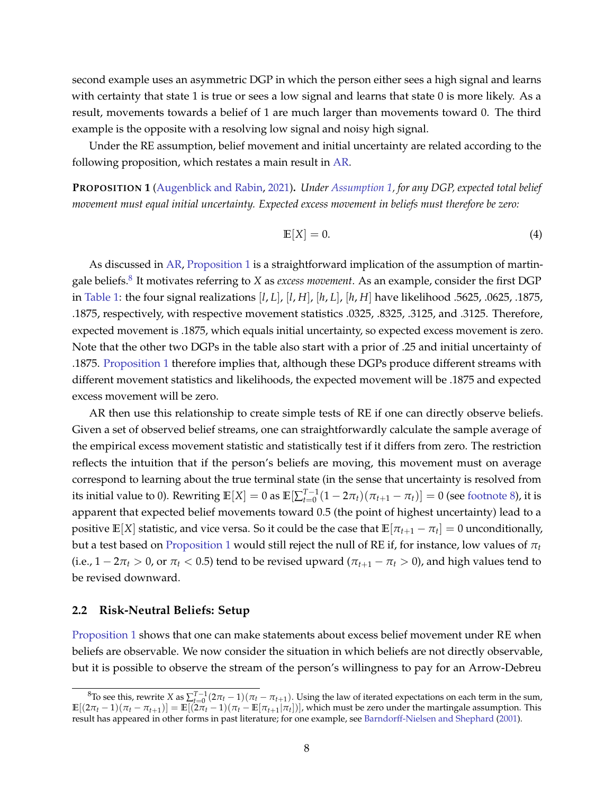second example uses an asymmetric DGP in which the person either sees a high signal and learns with certainty that state 1 is true or sees a low signal and learns that state 0 is more likely. As a result, movements towards a belief of 1 are much larger than movements toward 0. The third example is the opposite with a resolving low signal and noisy high signal.

Under the RE assumption, belief movement and initial uncertainty are related according to the following proposition, which restates a main result in [AR.](#page-37-1)

<span id="page-8-1"></span>**PROPOSITION 1** [\(Augenblick and Rabin,](#page-37-1) [2021\)](#page-37-1)**.** *Under [Assumption 1,](#page-7-2) for any DGP, expected total belief movement must equal initial uncertainty. Expected excess movement in beliefs must therefore be zero:*

<span id="page-8-3"></span>
$$
\mathbb{E}[X] = 0. \tag{4}
$$

As discussed in [AR,](#page-37-1) [Proposition 1](#page-8-1) is a straightforward implication of the assumption of martingale beliefs.[8](#page-8-2) It motivates referring to *X* as *excess movement*. As an example, consider the first DGP in [Table 1:](#page-39-0) the four signal realizations [*l*, *L*], [*l*, *H*], [*h*, *L*], [*h*, *H*] have likelihood .5625, .0625, .1875, .1875, respectively, with respective movement statistics .0325, .8325, .3125, and .3125. Therefore, expected movement is .1875, which equals initial uncertainty, so expected excess movement is zero. Note that the other two DGPs in the table also start with a prior of .25 and initial uncertainty of .1875. [Proposition 1](#page-8-1) therefore implies that, although these DGPs produce different streams with different movement statistics and likelihoods, the expected movement will be .1875 and expected excess movement will be zero.

AR then use this relationship to create simple tests of RE if one can directly observe beliefs. Given a set of observed belief streams, one can straightforwardly calculate the sample average of the empirical excess movement statistic and statistically test if it differs from zero. The restriction reflects the intuition that if the person's beliefs are moving, this movement must on average correspond to learning about the true terminal state (in the sense that uncertainty is resolved from its initial value to 0). Rewriting  $\mathbb{E}[X] = 0$  as  $\mathbb{E}[\sum_{t=0}^{T-1}(1-2\pi_t)(\pi_{t+1} - \pi_t)] = 0$  (see [footnote 8\)](#page-8-2), it is apparent that expected belief movements toward 0.5 (the point of highest uncertainty) lead to a positive  $\mathbb{E}[X]$  statistic, and vice versa. So it could be the case that  $\mathbb{E}[\pi_{t+1}-\pi_t]=0$  unconditionally, but a test based on [Proposition 1](#page-8-1) would still reject the null of RE if, for instance, low values of *π<sup>t</sup>* (i.e.,  $1 - 2\pi_t > 0$ , or  $\pi_t < 0.5$ ) tend to be revised upward ( $\pi_{t+1} - \pi_t > 0$ ), and high values tend to be revised downward.

#### <span id="page-8-0"></span>**2.2 Risk-Neutral Beliefs: Setup**

[Proposition 1](#page-8-1) shows that one can make statements about excess belief movement under RE when beliefs are observable. We now consider the situation in which beliefs are not directly observable, but it is possible to observe the stream of the person's willingness to pay for an Arrow-Debreu

<span id="page-8-2"></span><sup>&</sup>lt;sup>8</sup>To see this, rewrite *X* as  $\sum_{t=0}^{T-1} (2\pi_t - 1)(\pi_t - \pi_{t+1})$ . Using the law of iterated expectations on each term in the sum,  $\mathbb{E}[(2\pi_t-1)(\pi_t-\pi_{t+1})]=\mathbb{E}[(2\pi_t-1)(\pi_t-\mathbb{E}[\pi_{t+1}|\pi_t])]$ , which must be zero under the martingale assumption. This result has appeared in other forms in past literature; for one example, see [Barndorff-Nielsen and Shephard](#page-37-9) [\(2001\)](#page-37-9).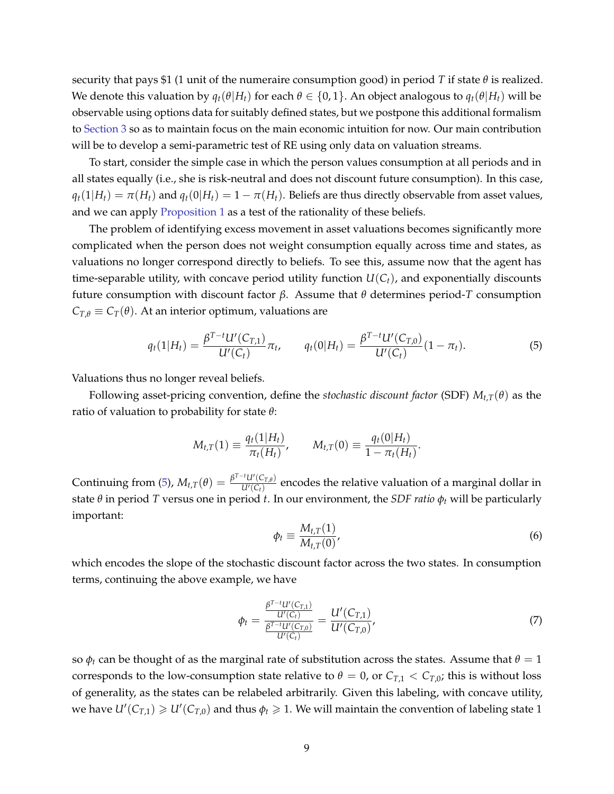security that pays \$1 (1 unit of the numeraire consumption good) in period *T* if state  $\theta$  is realized. We denote this valuation by  $q_t(\theta|H_t)$  for each  $\theta \in \{0,1\}$ . An object analogous to  $q_t(\theta|H_t)$  will be observable using options data for suitably defined states, but we postpone this additional formalism to [Section 3](#page-17-0) so as to maintain focus on the main economic intuition for now. Our main contribution will be to develop a semi-parametric test of RE using only data on valuation streams.

To start, consider the simple case in which the person values consumption at all periods and in all states equally (i.e., she is risk-neutral and does not discount future consumption). In this case,  $q_t(1|H_t) = \pi(H_t)$  and  $q_t(0|H_t) = 1 - \pi(H_t)$ . Beliefs are thus directly observable from asset values, and we can apply [Proposition 1](#page-8-1) as a test of the rationality of these beliefs.

The problem of identifying excess movement in asset valuations becomes significantly more complicated when the person does not weight consumption equally across time and states, as valuations no longer correspond directly to beliefs. To see this, assume now that the agent has time-separable utility, with concave period utility function  $U(C_t)$ , and exponentially discounts future consumption with discount factor *β*. Assume that *θ* determines period-*T* consumption  $C_{T,\theta} \equiv C_T(\theta)$ . At an interior optimum, valuations are

<span id="page-9-0"></span>
$$
q_t(1|H_t) = \frac{\beta^{T-t}U'(C_{T,1})}{U'(C_t)}\pi_t, \qquad q_t(0|H_t) = \frac{\beta^{T-t}U'(C_{T,0})}{U'(C_t)}(1-\pi_t).
$$
\n(5)

Valuations thus no longer reveal beliefs.

Following asset-pricing convention, define the *stochastic discount factor* (SDF)  $M_{t,T}(\theta)$  as the ratio of valuation to probability for state *θ*:

$$
M_{t,T}(1) \equiv \frac{q_t(1|H_t)}{\pi_t(H_t)}, \qquad M_{t,T}(0) \equiv \frac{q_t(0|H_t)}{1 - \pi_t(H_t)}.
$$

Continuing from [\(5\)](#page-9-0),  $M_{t,T}(\theta) = \frac{\beta^{T-t}U'(C_{T,\theta})}{U'(C_t)}$  $\frac{u\left(C_{T,\theta}\right)}{U'(C_t)}$  encodes the relative valuation of a marginal dollar in state *θ* in period *T* versus one in period *t*. In our environment, the *SDF ratio ϕ<sup>t</sup>* will be particularly important:

<span id="page-9-2"></span>
$$
\phi_t \equiv \frac{M_{t,T}(1)}{M_{t,T}(0)},\tag{6}
$$

which encodes the slope of the stochastic discount factor across the two states. In consumption terms, continuing the above example, we have

<span id="page-9-1"></span>
$$
\phi_t = \frac{\frac{\beta^{T-t}U'(C_{T,1})}{U'(C_t)}}{\frac{\beta^{T-t}U'(C_{T,0})}{U'(C_t)}} = \frac{U'(C_{T,1})}{U'(C_{T,0})},\tag{7}
$$

so  $φ_t$  can be thought of as the marginal rate of substitution across the states. Assume that  $θ = 1$ corresponds to the low-consumption state relative to  $\theta = 0$ , or  $C_{T,1} < C_{T,0}$ ; this is without loss of generality, as the states can be relabeled arbitrarily. Given this labeling, with concave utility, we have  $U'(C_{T,1}) \geq U'(C_{T,0})$  and thus  $\phi_t \geq 1$ . We will maintain the convention of labeling state 1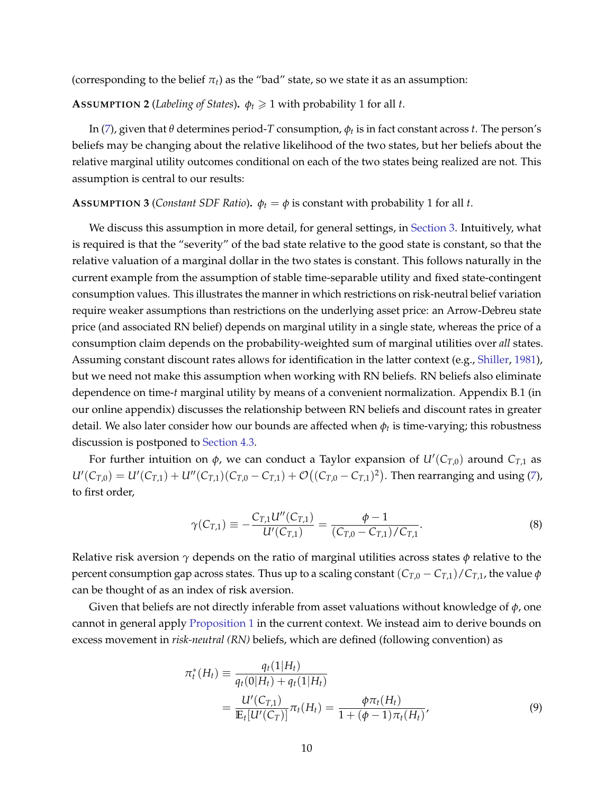<span id="page-10-2"></span>(corresponding to the belief  $\pi_t$ ) as the "bad" state, so we state it as an assumption:

**ASSUMPTION 2** (*Labeling of States*).  $\phi_t \geq 1$  with probability 1 for all *t*.

In [\(7\)](#page-9-1), given that *θ* determines period-*T* consumption, *ϕ<sup>t</sup>* is in fact constant across *t*. The person's beliefs may be changing about the relative likelihood of the two states, but her beliefs about the relative marginal utility outcomes conditional on each of the two states being realized are not. This assumption is central to our results:

#### <span id="page-10-1"></span>**ASSUMPTION 3** (*Constant SDF Ratio*).  $\phi_t = \phi$  is constant with probability 1 for all *t*.

We discuss this assumption in more detail, for general settings, in [Section 3.](#page-17-0) Intuitively, what is required is that the "severity" of the bad state relative to the good state is constant, so that the relative valuation of a marginal dollar in the two states is constant. This follows naturally in the current example from the assumption of stable time-separable utility and fixed state-contingent consumption values. This illustrates the manner in which restrictions on risk-neutral belief variation require weaker assumptions than restrictions on the underlying asset price: an Arrow-Debreu state price (and associated RN belief) depends on marginal utility in a single state, whereas the price of a consumption claim depends on the probability-weighted sum of marginal utilities over *all* states. Assuming constant discount rates allows for identification in the latter context (e.g., [Shiller,](#page-38-0) [1981\)](#page-38-0), but we need not make this assumption when working with RN beliefs. RN beliefs also eliminate dependence on time-*t* marginal utility by means of a convenient normalization. Appendix B.1 (in our online appendix) discusses the relationship between RN beliefs and discount rates in greater detail. We also later consider how our bounds are affected when *ϕ<sup>t</sup>* is time-varying; this robustness discussion is postponed to [Section 4.3.](#page-26-0)

For further intuition on *ϕ*, we can conduct a Taylor expansion of *U*′ (*CT*,0) around *CT*,1 as  $U'(C_{T,0}) = U'(C_{T,1}) + U''(C_{T,1})(C_{T,0} - C_{T,1}) + \mathcal{O}((C_{T,0} - C_{T,1})^2)$ . Then rearranging and using [\(7\)](#page-9-1), to first order,

<span id="page-10-3"></span>
$$
\gamma(C_{T,1}) \equiv -\frac{C_{T,1}U''(C_{T,1})}{U'(C_{T,1})} = \frac{\phi - 1}{(C_{T,0} - C_{T,1})/C_{T,1}}.
$$
\n(8)

Relative risk aversion *γ* depends on the ratio of marginal utilities across states *ϕ* relative to the percent consumption gap across states. Thus up to a scaling constant  $(C_{T,0} - C_{T,1})/C_{T,1}$ , the value  $\phi$ can be thought of as an index of risk aversion.

Given that beliefs are not directly inferable from asset valuations without knowledge of *ϕ*, one cannot in general apply [Proposition 1](#page-8-1) in the current context. We instead aim to derive bounds on excess movement in *risk-neutral (RN)* beliefs, which are defined (following convention) as

<span id="page-10-0"></span>
$$
\pi_t^*(H_t) \equiv \frac{q_t(1|H_t)}{q_t(0|H_t) + q_t(1|H_t)}
$$
  
= 
$$
\frac{U'(C_{T,1})}{\mathbb{E}_t[U'(C_T)]} \pi_t(H_t) = \frac{\phi \pi_t(H_t)}{1 + (\phi - 1)\pi_t(H_t)},
$$
(9)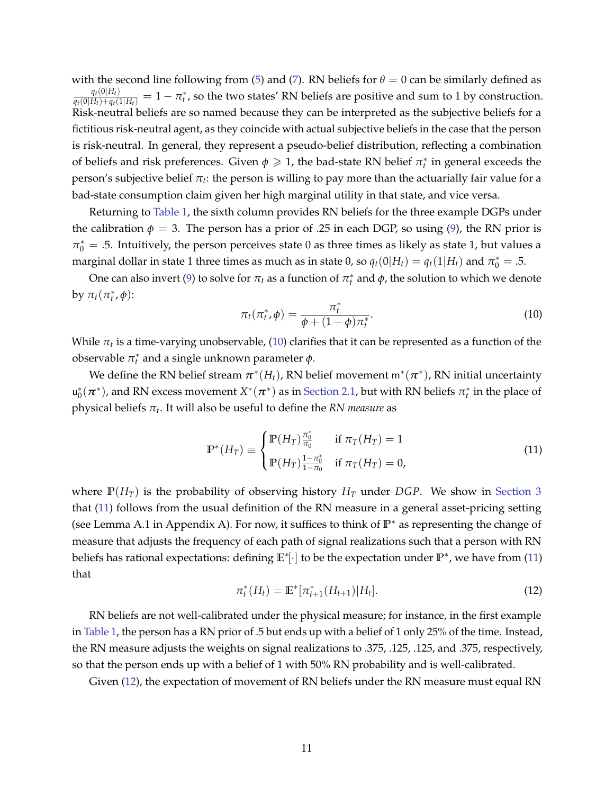with the second line following from [\(5\)](#page-9-0) and [\(7\)](#page-9-1). RN beliefs for  $\theta = 0$  can be similarly defined as  $\frac{q_t(0|H_t)}{q_t(0|H_t)+q_t(1|H_t)}=1-\pi_t^*$ , so the two states' RN beliefs are positive and sum to 1 by construction. Risk-neutral beliefs are so named because they can be interpreted as the subjective beliefs for a fictitious risk-neutral agent, as they coincide with actual subjective beliefs in the case that the person is risk-neutral. In general, they represent a pseudo-belief distribution, reflecting a combination of beliefs and risk preferences. Given  $\phi \geq 1$ , the bad-state RN belief  $\pi_t^*$  in general exceeds the  $\,$ person's subjective belief  $\pi_t$ : the person is willing to pay more than the actuarially fair value for a bad-state consumption claim given her high marginal utility in that state, and vice versa.

Returning to [Table 1,](#page-39-0) the sixth column provides RN beliefs for the three example DGPs under the calibration  $\phi = 3$ . The person has a prior of .25 in each DGP, so using [\(9\)](#page-10-0), the RN prior is  $\pi_0^* = .5$ . Intuitively, the person perceives state 0 as three times as likely as state 1, but values a marginal dollar in state 1 three times as much as in state 0, so  $q_t(0|H_t) = q_t(1|H_t)$  and  $\pi_0^* = .5$ .

One can also invert [\(9\)](#page-10-0) to solve for  $\pi_t$  as a function of  $\pi_t^*$  and  $\phi$ , the solution to which we denote by  $\pi_t(\pi_t^*, \phi)$ :

<span id="page-11-0"></span>
$$
\pi_t(\pi_t^*, \phi) = \frac{\pi_t^*}{\phi + (1 - \phi)\pi_t^*}.
$$
\n(10)

While  $\pi_t$  is a time-varying unobservable, [\(10\)](#page-11-0) clarifies that it can be represented as a function of the observable  $\pi_t^*$  and a single unknown parameter  $\phi$ .

We define the RN belief stream  $\bm{\pi}^*(H_t)$ , RN belief movement m $^*(\bm{\pi}^*)$ , RN initial uncertainty  $u_0^*(\pi^*)$ , and RN excess movement  $X^*(\pi^*)$  as in [Section 2.1,](#page-6-1) but with RN beliefs  $\pi_t^*$  in the place of physical beliefs *π<sup>t</sup>* . It will also be useful to define the *RN measure* as

<span id="page-11-1"></span>
$$
\mathbb{P}^*(H_T) \equiv \begin{cases} \mathbb{P}(H_T) \frac{\pi_0^*}{\pi_0} & \text{if } \pi_T(H_T) = 1 \\ \mathbb{P}(H_T) \frac{1 - \pi_0^*}{1 - \pi_0} & \text{if } \pi_T(H_T) = 0, \end{cases}
$$
(11)

where  $P(H_T)$  is the probability of observing history  $H_T$  under *DGP*. We show in [Section 3](#page-17-0) that [\(11\)](#page-11-1) follows from the usual definition of the RN measure in a general asset-pricing setting (see Lemma A.1 in Appendix A). For now, it suffices to think of **P**<sup>∗</sup> as representing the change of measure that adjusts the frequency of each path of signal realizations such that a person with RN beliefs has rational expectations: defining **E**<sup>∗</sup> [·] to be the expectation under **P**<sup>∗</sup> , we have from [\(11\)](#page-11-1) that

<span id="page-11-2"></span>
$$
\pi_t^*(H_t) = \mathbb{E}^*[\pi_{t+1}^*(H_{t+1})|H_t].
$$
\n(12)

RN beliefs are not well-calibrated under the physical measure; for instance, in the first example in [Table 1,](#page-39-0) the person has a RN prior of .5 but ends up with a belief of 1 only 25% of the time. Instead, the RN measure adjusts the weights on signal realizations to .375, .125, .125, and .375, respectively, so that the person ends up with a belief of 1 with 50% RN probability and is well-calibrated.

Given [\(12\)](#page-11-2), the expectation of movement of RN beliefs under the RN measure must equal RN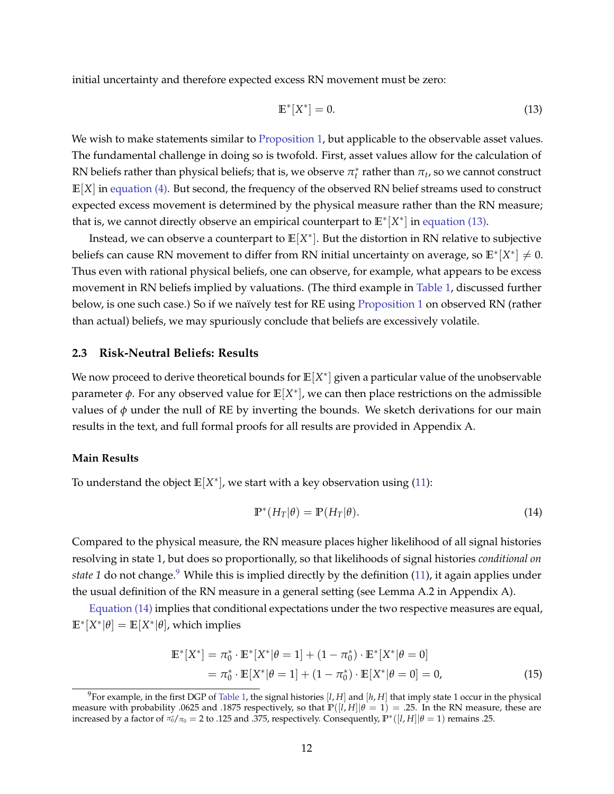initial uncertainty and therefore expected excess RN movement must be zero:

<span id="page-12-1"></span>
$$
\mathbb{E}^*[X^*] = 0. \tag{13}
$$

We wish to make statements similar to [Proposition 1,](#page-8-1) but applicable to the observable asset values. The fundamental challenge in doing so is twofold. First, asset values allow for the calculation of RN beliefs rather than physical beliefs; that is, we observe  $\pi_t^*$  rather than  $\pi_t$ , so we cannot construct **E**[*X*] in [equation \(4\).](#page-8-3) But second, the frequency of the observed RN belief streams used to construct expected excess movement is determined by the physical measure rather than the RN measure; that is, we cannot directly observe an empirical counterpart to **E**<sup>∗</sup> [*X* ∗ ] in [equation \(13\).](#page-12-1)

Instead, we can observe a counterpart to **E**[*X* ∗ ]. But the distortion in RN relative to subjective beliefs can cause RN movement to differ from RN initial uncertainty on average, so  $\mathbb{E}^*[X^*] \neq 0$ . Thus even with rational physical beliefs, one can observe, for example, what appears to be excess movement in RN beliefs implied by valuations. (The third example in [Table 1,](#page-39-0) discussed further below, is one such case.) So if we naïvely test for RE using [Proposition 1](#page-8-1) on observed RN (rather than actual) beliefs, we may spuriously conclude that beliefs are excessively volatile.

### <span id="page-12-0"></span>**2.3 Risk-Neutral Beliefs: Results**

We now proceed to derive theoretical bounds for  $\mathbb{E}[X^*]$  given a particular value of the unobservable parameter *ϕ*. For any observed value for **E**[*X* ∗ ], we can then place restrictions on the admissible values of  $\phi$  under the null of RE by inverting the bounds. We sketch derivations for our main results in the text, and full formal proofs for all results are provided in Appendix A.

### **Main Results**

To understand the object  $\mathbb{E}[X^*]$ , we start with a key observation using [\(11\)](#page-11-1):

<span id="page-12-4"></span><span id="page-12-3"></span>
$$
\mathbb{P}^*(H_T|\theta) = \mathbb{P}(H_T|\theta). \tag{14}
$$

Compared to the physical measure, the RN measure places higher likelihood of all signal histories resolving in state 1, but does so proportionally, so that likelihoods of signal histories *conditional on state 1* do not change.<sup>[9](#page-12-2)</sup> While this is implied directly by the definition [\(11\)](#page-11-1), it again applies under the usual definition of the RN measure in a general setting (see Lemma A.2 in Appendix A).

[Equation \(14\)](#page-12-3) implies that conditional expectations under the two respective measures are equal,  $\mathbb{E}^*[X^*|\theta] = \mathbb{E}[X^*|\theta]$ , which implies

$$
\mathbb{E}^*[X^*] = \pi_0^* \cdot \mathbb{E}^*[X^*|\theta = 1] + (1 - \pi_0^*) \cdot \mathbb{E}^*[X^*|\theta = 0]
$$
  
=  $\pi_0^* \cdot \mathbb{E}[X^*|\theta = 1] + (1 - \pi_0^*) \cdot \mathbb{E}[X^*|\theta = 0] = 0,$  (15)

<span id="page-12-2"></span><sup>&</sup>lt;sup>9</sup>For example, in the first DGP of [Table 1,](#page-39-0) the signal histories [*l*, *H*] and [*h*, *H*] that imply state 1 occur in the physical measure with probability .0625 and .1875 respectively, so that  $\mathbb{P}([l, H]|\theta = 1) = .25$ . In the RN measure, these are increased by a factor of  $\pi_0^*/\pi_0 = 2$  to .125 and .375, respectively. Consequently,  $\mathbb{P}^*([l,H]|\theta = 1)$  remains .25.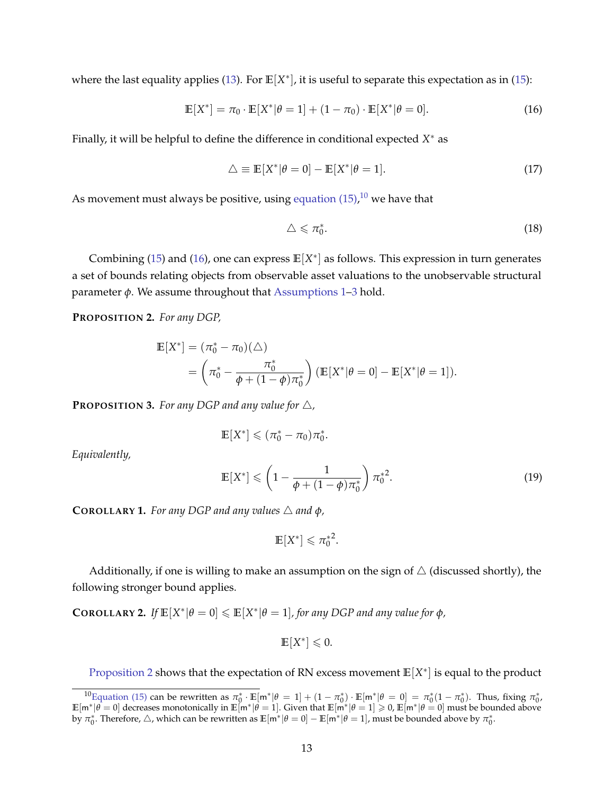where the last equality applies [\(13\)](#page-12-1). For **E**[X<sup>\*</sup>], it is useful to separate this expectation as in [\(15\)](#page-12-4):

$$
\mathbb{E}[X^*] = \pi_0 \cdot \mathbb{E}[X^* | \theta = 1] + (1 - \pi_0) \cdot \mathbb{E}[X^* | \theta = 0].
$$
 (16)

Finally, it will be helpful to define the difference in conditional expected *X* <sup>∗</sup> as

$$
\triangle \equiv \mathbb{E}[X^*|\theta = 0] - \mathbb{E}[X^*|\theta = 1]. \tag{17}
$$

As movement must always be positive, using [equation \(15\),](#page-12-4) $^{10}$  $^{10}$  $^{10}$  we have that

<span id="page-13-8"></span><span id="page-13-3"></span><span id="page-13-1"></span>
$$
\triangle \leqslant \pi_0^*.\tag{18}
$$

Combining [\(15\)](#page-12-4) and [\(16\)](#page-13-1), one can express **E**[*X* ∗ ] as follows. This expression in turn generates a set of bounds relating objects from observable asset valuations to the unobservable structural parameter *ϕ*. We assume throughout that [Assumptions 1](#page-7-2)[–3](#page-10-1) hold.

<span id="page-13-2"></span>**PROPOSITION 2.** *For any DGP,*

$$
\mathbb{E}[X^*] = (\pi_0^* - \pi_0)(\triangle)
$$
  
=  $(\pi_0^* - \frac{\pi_0^*}{\phi + (1 - \phi)\pi_0^*}) (\mathbb{E}[X^*|\theta = 0] - \mathbb{E}[X^*|\theta = 1]).$ 

<span id="page-13-4"></span>**PROPOSITION 3.** For any DGP and any value for  $\triangle$ ,

$$
\mathbb{E}[X^*] \leqslant (\pi_0^* - \pi_0)\pi_0^*.
$$

*Equivalently,*

$$
\mathbb{E}[X^*] \leqslant \left(1 - \frac{1}{\phi + (1 - \phi)\pi_0^*}\right) \pi_0^{*2}.\tag{19}
$$

<span id="page-13-6"></span>**COROLLARY 1.** *For any DGP and any values*  $\triangle$  *and*  $\phi$ *,* 

<span id="page-13-5"></span> $\mathbb{E}[X^*] \leq \pi_0^{*2}$ .

Additionally, if one is willing to make an assumption on the sign of  $\triangle$  (discussed shortly), the following stronger bound applies.

<span id="page-13-7"></span>**COROLLARY 2.** *If*  $\mathbb{E}[X^*|\theta = 0] \leq \mathbb{E}[X^*|\theta = 1]$ , for any DGP and any value for  $\phi$ ,

$$
\mathbb{E}[X^*] \leq 0.
$$

[Proposition 2](#page-13-2) shows that the expectation of RN excess movement  $\mathbb{E}[X^*]$  is equal to the product

<span id="page-13-0"></span><sup>&</sup>lt;sup>10</sup>[Equation \(15\)](#page-12-4) can be rewritten as  $\pi_0^* \cdot \mathbb{E}[\mathsf{m}^*|\theta = 1] + (1 - \pi_0^*) \cdot \mathbb{E}[\mathsf{m}^*|\theta = 0] = \pi_0^*(1 - \pi_0^*)$ . Thus, fixing  $\pi_0^*$ ,  $\mathbb{E}[\mathsf{m}^*|\hat{\theta}=0]$  decreases monotonically in  $\mathbb{E}[\mathsf{m}^*|\hat{\theta}=1]$ . Given that  $\mathbb{E}[\mathsf{m}^*|\theta=1]\geqslant 0$ ,  $\mathbb{E}[\mathsf{m}^*|\theta=0]$  must be bounded above by  $\pi_0^*$ . Therefore,  $\triangle$ , which can be rewritten as  $\mathbb{E}[\mathbf{m}^*|\theta=0]-\mathbb{E}[\mathbf{m}^*|\theta=1]$ , must be bounded above by  $\pi_0^*$ .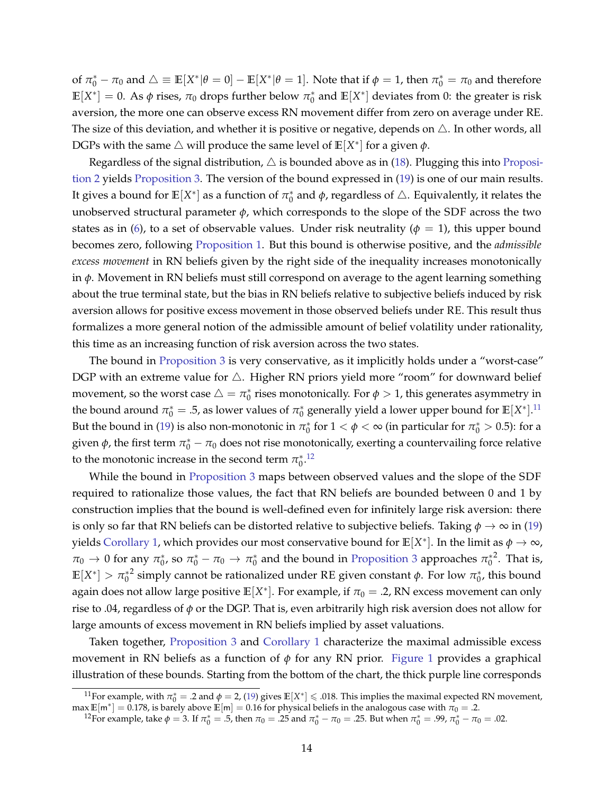of  $\pi_0^* - \pi_0$  and  $\triangle \equiv \mathbb{E}[X^*|\theta=0] - \mathbb{E}[X^*|\theta=1]$ . Note that if  $\phi=1$ , then  $\pi_0^* = \pi_0$  and therefore  $\mathbb{E}[X^*]=0$ . As  $\phi$  rises,  $\pi_0$  drops further below  $\pi_0^*$  and  $\mathbb{E}[X^*]$  deviates from 0: the greater is risk aversion, the more one can observe excess RN movement differ from zero on average under RE. The size of this deviation, and whether it is positive or negative, depends on  $\triangle$ . In other words, all DGPs with the same  $\triangle$  will produce the same level of  $\mathbb{E}[X^*]$  for a given  $\phi$ .

Regardless of the signal distribution,  $\triangle$  is bounded above as in [\(18\)](#page-13-3). Plugging this into [Proposi](#page-13-2)[tion 2](#page-13-2) yields [Proposition 3.](#page-13-4) The version of the bound expressed in [\(19\)](#page-13-5) is one of our main results. It gives a bound for  $\mathbb{E}[X^*]$  as a function of  $\pi^*_0$  and  $\phi$ , regardless of  $\triangle$ . Equivalently, it relates the unobserved structural parameter *ϕ*, which corresponds to the slope of the SDF across the two states as in [\(6\)](#page-9-2), to a set of observable values. Under risk neutrality ( $\phi = 1$ ), this upper bound becomes zero, following [Proposition 1.](#page-8-1) But this bound is otherwise positive, and the *admissible excess movement* in RN beliefs given by the right side of the inequality increases monotonically in *ϕ*. Movement in RN beliefs must still correspond on average to the agent learning something about the true terminal state, but the bias in RN beliefs relative to subjective beliefs induced by risk aversion allows for positive excess movement in those observed beliefs under RE. This result thus formalizes a more general notion of the admissible amount of belief volatility under rationality, this time as an increasing function of risk aversion across the two states.

The bound in [Proposition 3](#page-13-4) is very conservative, as it implicitly holds under a "worst-case" DGP with an extreme value for  $\triangle$ . Higher RN priors yield more "room" for downward belief movement, so the worst case  $\triangle = \pi_0^*$  rises monotonically. For  $\phi > 1$ , this generates asymmetry in the bound around  $\pi_0^* = .5$ , as lower values of  $\pi_0^*$  generally yield a lower upper bound for  $\mathbb{E}[X^*].^{11}$  $\mathbb{E}[X^*].^{11}$  $\mathbb{E}[X^*].^{11}$ But the bound in [\(19\)](#page-13-5) is also non-monotonic in  $\pi_0^*$  for  $1 < \phi < \infty$  (in particular for  $\pi_0^* > 0.5$ ): for a given  $\phi$ , the first term  $\pi_0^* - \pi_0$  does not rise monotonically, exerting a countervailing force relative to the monotonic increase in the second term  $\pi_0^{*,12}$  $\pi_0^{*,12}$  $\pi_0^{*,12}$ 

While the bound in [Proposition 3](#page-13-4) maps between observed values and the slope of the SDF required to rationalize those values, the fact that RN beliefs are bounded between 0 and 1 by construction implies that the bound is well-defined even for infinitely large risk aversion: there is only so far that RN beliefs can be distorted relative to subjective beliefs. Taking  $\phi \to \infty$  in [\(19\)](#page-13-5) yields [Corollary 1,](#page-13-6) which provides our most conservative bound for  $\mathbb{E}[X^*].$  In the limit as  $\phi \to \infty$ ,  $π_0 \to 0$  for any  $π_0^*$ , so  $π_0^* - π_0 \to π_0^*$  and the bound in [Proposition 3](#page-13-4) approaches  $π_0^{*2}$ . That is,  $\mathbb{E}[X^*] > \pi_0^{*2}$  simply cannot be rationalized under RE given constant  $\phi$ . For low  $\pi_0^*$ , this bound again does not allow large positive  $\mathbb{E}[X^*].$  For example, if  $\pi_0 = .2$ , RN excess movement can only rise to .04, regardless of *ϕ* or the DGP. That is, even arbitrarily high risk aversion does not allow for large amounts of excess movement in RN beliefs implied by asset valuations.

Taken together, [Proposition 3](#page-13-4) and [Corollary 1](#page-13-6) characterize the maximal admissible excess movement in RN beliefs as a function of  $\phi$  for any RN prior. [Figure 1](#page-43-0) provides a graphical illustration of these bounds. Starting from the bottom of the chart, the thick purple line corresponds

<span id="page-14-0"></span><sup>&</sup>lt;sup>11</sup>For example, with  $\pi_0^* = .2$  and  $\phi = 2$ , [\(19\)](#page-13-5) gives  $\mathbb{E}[X^*] \le .018$ . This implies the maximal expected RN movement,  $\max \mathbb{E}[\mathsf{m}^*]=0.178$ , is barely above  $\mathbb{E}[\mathsf{m}]=0.16$  for physical beliefs in the analogous case with  $\pi_0=2.2$ 

<span id="page-14-1"></span><sup>&</sup>lt;sup>12</sup>For example, take  $φ = 3$ . If  $π_0^* = .5$ , then  $π_0 = .25$  and  $π_0^* - π_0 = .25$ . But when  $π_0^* = .99$ ,  $π_0^* - π_0 = .02$ .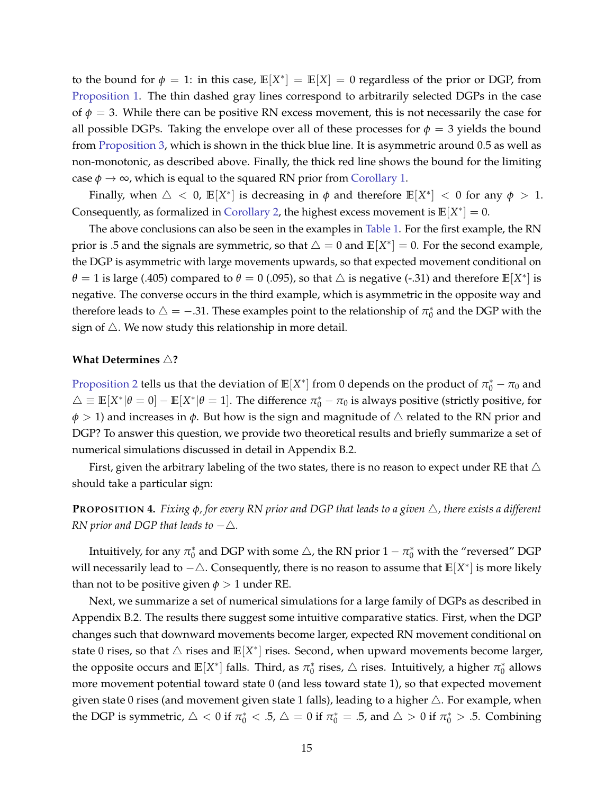to the bound for  $\phi = 1$ : in this case,  $\mathbb{E}[X^*] = \mathbb{E}[X] = 0$  regardless of the prior or DGP, from [Proposition 1.](#page-8-1) The thin dashed gray lines correspond to arbitrarily selected DGPs in the case of  $\phi = 3$ . While there can be positive RN excess movement, this is not necessarily the case for all possible DGPs. Taking the envelope over all of these processes for  $\phi = 3$  yields the bound from [Proposition 3,](#page-13-4) which is shown in the thick blue line. It is asymmetric around 0.5 as well as non-monotonic, as described above. Finally, the thick red line shows the bound for the limiting case  $\phi \to \infty$ , which is equal to the squared RN prior from [Corollary 1.](#page-13-6)

Finally, when  $\triangle < 0$ ,  $\mathbb{E}[X^*]$  is decreasing in  $\phi$  and therefore  $\mathbb{E}[X^*] < 0$  for any  $\phi > 1$ . Consequently, as formalized in [Corollary 2,](#page-13-7) the highest excess movement is  $\mathbb{E}[X^*]=0$ .

The above conclusions can also be seen in the examples in [Table 1.](#page-39-0) For the first example, the RN prior is .5 and the signals are symmetric, so that  $\triangle = 0$  and  $\mathbb{E}[X^*] = 0$ . For the second example, the DGP is asymmetric with large movements upwards, so that expected movement conditional on  $\theta = 1$  is large (.405) compared to  $\theta = 0$  (.095), so that  $\triangle$  is negative (-.31) and therefore  $\mathbb{E}[X^*]$  is negative. The converse occurs in the third example, which is asymmetric in the opposite way and therefore leads to  $\triangle = -0.31$ . These examples point to the relationship of  $\pi_0^*$  and the DGP with the sign of  $\triangle$ . We now study this relationship in more detail.

#### **What Determines** △**?**

[Proposition 2](#page-13-2) tells us that the deviation of  $\mathbb{E}[X^*]$  from 0 depends on the product of  $\pi_0^* - \pi_0$  and  $\triangle \equiv \mathbb{E}[X^*|\theta=0]-\mathbb{E}[X^*|\theta=1].$  The difference  $\pi_0^* - \pi_0$  is always positive (strictly positive, for *ϕ* > 1) and increases in *ϕ*. But how is the sign and magnitude of △ related to the RN prior and DGP? To answer this question, we provide two theoretical results and briefly summarize a set of numerical simulations discussed in detail in Appendix B.2.

First, given the arbitrary labeling of the two states, there is no reason to expect under RE that  $\triangle$ should take a particular sign:

# <span id="page-15-0"></span>**PROPOSITION 4.** *Fixing ϕ, for every RN prior and DGP that leads to a given* △*, there exists a different RN prior and DGP that leads to*  $-\triangle$ *.*

Intuitively, for any  $\pi_0^*$  and DGP with some  $\triangle$ , the RN prior  $1-\pi_0^*$  with the "reversed" DGP will necessarily lead to −△. Consequently, there is no reason to assume that **E**[*X* ∗ ] is more likely than not to be positive given  $\phi > 1$  under RE.

Next, we summarize a set of numerical simulations for a large family of DGPs as described in Appendix B.2. The results there suggest some intuitive comparative statics. First, when the DGP changes such that downward movements become larger, expected RN movement conditional on state 0 rises, so that  $\triangle$  rises and  $\mathbb{E}[X^*]$  rises. Second, when upward movements become larger, the opposite occurs and  $\mathbb{E}[X^*]$  falls. Third, as  $\pi_0^*$  rises,  $\triangle$  rises. Intuitively, a higher  $\pi_0^*$  allows more movement potential toward state 0 (and less toward state 1), so that expected movement given state 0 rises (and movement given state 1 falls), leading to a higher  $\triangle$ . For example, when the DGP is symmetric,  $\triangle < 0$  if  $\pi_0^* < .5$ ,  $\triangle = 0$  if  $\pi_0^* = .5$ , and  $\triangle > 0$  if  $\pi_0^* > .5$ . Combining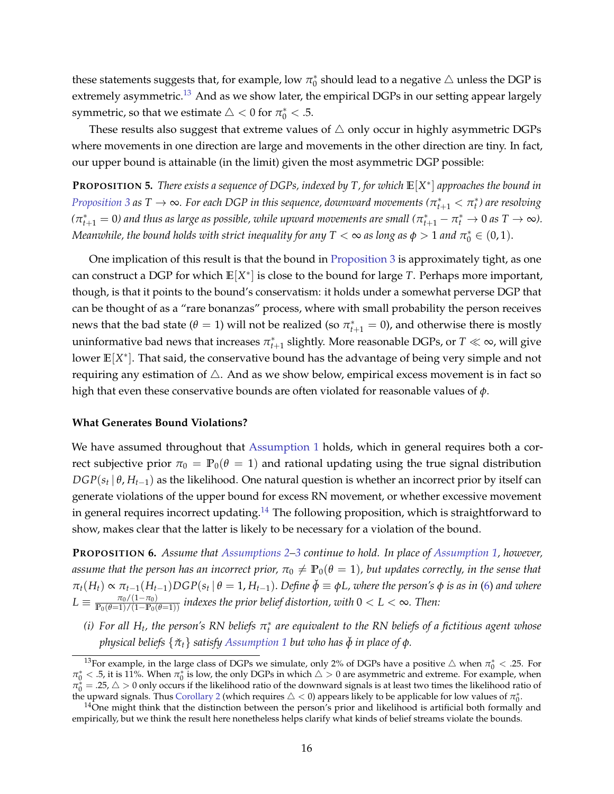these statements suggests that, for example, low  $\pi_0^*$  should lead to a negative  $\triangle$  unless the DGP is extremely asymmetric.<sup>[13](#page-16-0)</sup> And as we show later, the empirical DGPs in our setting appear largely symmetric, so that we estimate  $\triangle < 0$  for  $\pi^*_0 < .5$ .

These results also suggest that extreme values of  $\triangle$  only occur in highly asymmetric DGPs where movements in one direction are large and movements in the other direction are tiny. In fact, our upper bound is attainable (in the limit) given the most asymmetric DGP possible:

<span id="page-16-4"></span>**PROPOSITION 5.** *There exists a sequence of DGPs, indexed by T, for which* **E**[*X* ∗ ] *approaches the bound in [Proposition 3](#page-13-4) as T*  $\to$   $\infty$ *. For each DGP in this sequence, downward movements (* $\pi^*_{t+1} < \pi^*_t$ *) are resolving*  $(\pi^*_{t+1}=0)$  and thus as large as possible, while upward movements are small  $(\pi^*_{t+1}-\pi^*_t\to 0$  as  $T\to\infty$ ). *Meanwhile, the bound holds with strict inequality for any*  $T < \infty$  *as long as*  $\phi > 1$  *and*  $\pi_0^* \in (0,1)$ *.* 

One implication of this result is that the bound in [Proposition 3](#page-13-4) is approximately tight, as one can construct a DGP for which **E**[*X* ∗ ] is close to the bound for large *T*. Perhaps more important, though, is that it points to the bound's conservatism: it holds under a somewhat perverse DGP that can be thought of as a "rare bonanzas" process, where with small probability the person receives news that the bad state ( $\theta = 1$ ) will not be realized (so  $\pi^*_{t+1} = 0$ ), and otherwise there is mostly uninformative bad news that increases  $\pi^*_{t+1}$  slightly. More reasonable DGPs, or  $T\ll\infty$ , will give lower **E**[*X* ∗ ]. That said, the conservative bound has the advantage of being very simple and not requiring any estimation of  $\triangle$ . And as we show below, empirical excess movement is in fact so high that even these conservative bounds are often violated for reasonable values of *ϕ*.

#### **What Generates Bound Violations?**

We have assumed throughout that [Assumption 1](#page-7-2) holds, which in general requires both a correct subjective prior  $\pi_0 = \mathbb{P}_0(\theta = 1)$  and rational updating using the true signal distribution *DGP*(*s<sup>t</sup>* | *θ*, *Ht*−1) as the likelihood. One natural question is whether an incorrect prior by itself can generate violations of the upper bound for excess RN movement, or whether excessive movement in general requires incorrect updating.<sup>[14](#page-16-1)</sup> The following proposition, which is straightforward to show, makes clear that the latter is likely to be necessary for a violation of the bound.

<span id="page-16-3"></span>**PROPOSITION 6.** *Assume that [Assumptions 2–](#page-10-2)[3](#page-10-1) continue to hold. In place of [Assumption 1,](#page-7-2) however, assume that the person has an incorrect prior,*  $\pi_0 \neq \mathbb{P}_0(\theta = 1)$ *, but updates correctly, in the sense that*  $\pi_t(H_t) \propto \pi_{t-1}(H_{t-1}) DGP(s_t | \theta = 1, H_{t-1})$ . Define  $\check{\phi} \equiv \phi L$ , where the person's  $\phi$  is as in [\(6\)](#page-9-2) and where  $L \equiv \frac{\pi_0/(1-\pi_0)}{\mathbb{P}_0(\theta=1)/(1-\mathbb{P}_0(\theta=1))}$  *indexes the prior belief distortion, with*  $0 < L < \infty$ *. Then:* 

<span id="page-16-2"></span>*(i)* For all  $H_t$ , the person's RN beliefs  $\pi_t^*$  are equivalent to the RN beliefs of a fictitious agent whose *physical beliefs* {*π*ˇ*t*} *satisfy [Assumption 1](#page-7-2) but who has ϕ*ˇ *in place of ϕ.*

<span id="page-16-0"></span><sup>&</sup>lt;sup>13</sup>For example, in the large class of DGPs we simulate, only 2% of DGPs have a positive  $\triangle$  when  $\pi_0^* < .25$ . For  $\pi_0^* < .5$ , it is 11%. When  $\pi_0^*$  is low, the only DGPs in which  $\triangle > 0$  are asymmetric and extreme. For example, when  $\pi_0^* = .25$ ,  $\triangle > 0$  only occurs if the likelihood ratio of the downward signals is at least two times the likelihood ratio of the upward signals. Thus [Corollary 2](#page-13-7) (which requires  $\triangle < 0$ ) appears likely to be applicable for low values of  $\pi_0^*$ .

<span id="page-16-1"></span> $14$ One might think that the distinction between the person's prior and likelihood is artificial both formally and empirically, but we think the result here nonetheless helps clarify what kinds of belief streams violate the bounds.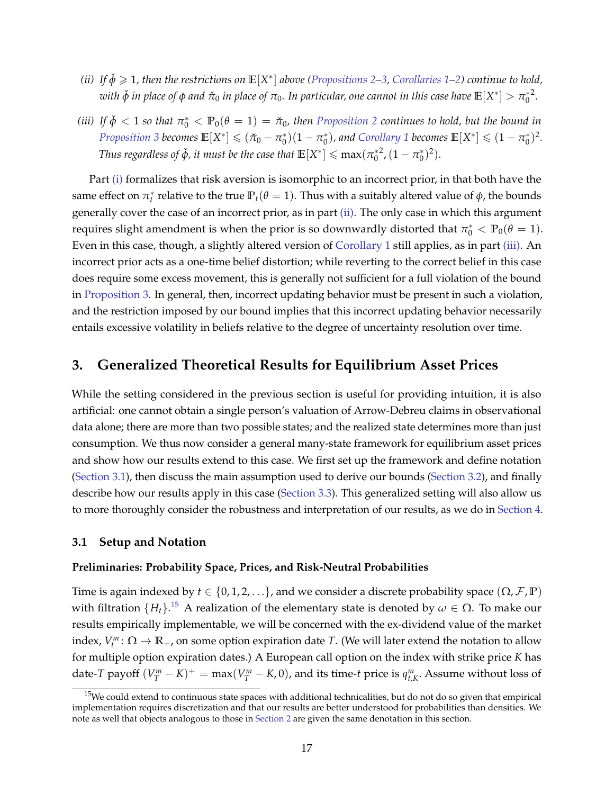- <span id="page-17-1"></span>(*ii*) If  $\check{\phi} \geq 1$ , then the restrictions on  $\mathbb{E}[X^*]$  above [\(Propositions 2](#page-13-2)[–3,](#page-13-4) [Corollaries 1–](#page-13-6)[2\)](#page-13-7) continue to hold,  $w$ ith  $\check{\phi}$  in place of  $\phi$  and  $\check{\pi}_0$  in place of  $\pi_0$ . In particular, one cannot in this case have  $\mathbb{E}[X^*]>\pi_0^{*2}.$
- <span id="page-17-2"></span>(*iii*) If  $\check{\phi}$  < 1 so that  $\pi_0^*$  <  $\mathbb{P}_0(\theta = 1) = \check{\pi}_0$ , then [Proposition 2](#page-13-2) continues to hold, but the bound in *[Proposition 3](#page-13-4) becomes*  $\mathbb{E}[X^*] \leq (\check{\pi}_0 - \pi_0^*)(1 - \pi_0^*)$ , and [Corollary 1](#page-13-6) becomes  $\mathbb{E}[X^*] \leq (1 - \pi_0^*)^2$ . *Thus regardless of*  $\check{\phi}$ *, it must be the case that*  $\mathbb{E}[X^*] \leqslant \max(\pi_0^{*2}, (1 - \pi_0^{*})^2)$ .

Part [\(i\)](#page-16-2) formalizes that risk aversion is isomorphic to an incorrect prior, in that both have the same effect on  $\pi_t^*$  relative to the true  $\mathbb{P}_t(\theta = 1)$ . Thus with a suitably altered value of  $\phi$ , the bounds generally cover the case of an incorrect prior, as in part [\(ii\).](#page-17-1) The only case in which this argument requires slight amendment is when the prior is so downwardly distorted that  $\pi_0^* < \mathbb{P}_0(\theta = 1)$ . Even in this case, though, a slightly altered version of [Corollary 1](#page-13-6) still applies, as in part [\(iii\).](#page-17-2) An incorrect prior acts as a one-time belief distortion; while reverting to the correct belief in this case does require some excess movement, this is generally not sufficient for a full violation of the bound in [Proposition 3.](#page-13-4) In general, then, incorrect updating behavior must be present in such a violation, and the restriction imposed by our bound implies that this incorrect updating behavior necessarily entails excessive volatility in beliefs relative to the degree of uncertainty resolution over time.

# <span id="page-17-0"></span>**3. Generalized Theoretical Results for Equilibrium Asset Prices**

While the setting considered in the previous section is useful for providing intuition, it is also artificial: one cannot obtain a single person's valuation of Arrow-Debreu claims in observational data alone; there are more than two possible states; and the realized state determines more than just consumption. We thus now consider a general many-state framework for equilibrium asset prices and show how our results extend to this case. We first set up the framework and define notation [\(Section 3.1\)](#page-17-3), then discuss the main assumption used to derive our bounds [\(Section 3.2\)](#page-20-0), and finally describe how our results apply in this case [\(Section 3.3\)](#page-22-0). This generalized setting will also allow us to more thoroughly consider the robustness and interpretation of our results, as we do in [Section 4.](#page-23-0)

### <span id="page-17-3"></span>**3.1 Setup and Notation**

#### **Preliminaries: Probability Space, Prices, and Risk-Neutral Probabilities**

Time is again indexed by  $t \in \{0, 1, 2, ...\}$ , and we consider a discrete probability space  $(\Omega, \mathcal{F}, \mathbb{P})$ with filtration  $\{H_t\}$ .<sup>[15](#page-17-4)</sup> A realization of the elementary state is denoted by  $\omega \in \Omega$ . To make our results empirically implementable, we will be concerned with the ex-dividend value of the market index,  $V_t^m: \Omega \to \mathbb{R}_+$ , on some option expiration date *T*. (We will later extend the notation to allow for multiple option expiration dates.) A European call option on the index with strike price *K* has date-*T* payoff  $(V_T^m - K)^+$  = max $(V_T^m - K, 0)$ , and its time-*t* price is  $q_{t,K}^m$ . Assume without loss of

<span id="page-17-4"></span> $15$ We could extend to continuous state spaces with additional technicalities, but do not do so given that empirical implementation requires discretization and that our results are better understood for probabilities than densities. We note as well that objects analogous to those in [Section 2](#page-6-0) are given the same denotation in this section.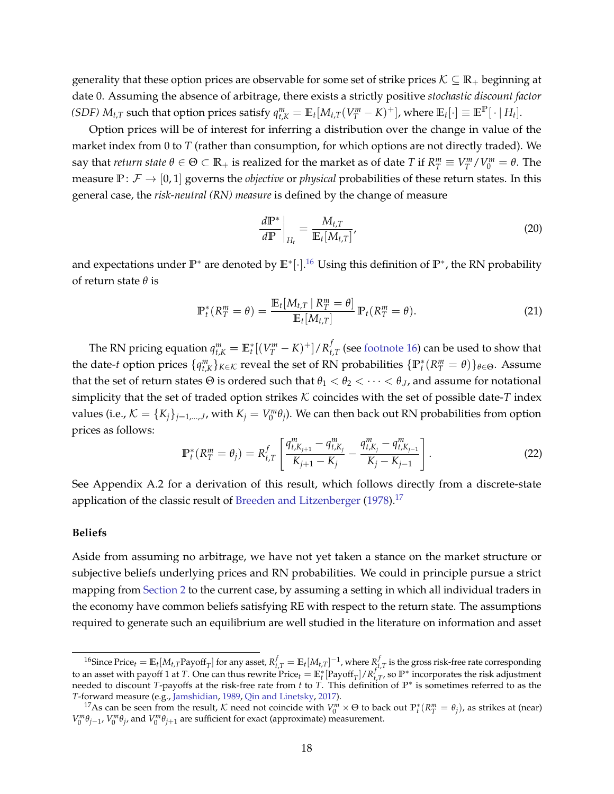generality that these option prices are observable for some set of strike prices  $K \subseteq \mathbb{R}_+$  beginning at date 0. Assuming the absence of arbitrage, there exists a strictly positive *stochastic discount factor* (SDF)  $M_{t,T}$  such that option prices satisfy  $q_{t,K}^m = \mathbb{E}_t[M_{t,T}(V_T^m - K)^+]$ , where  $\mathbb{E}_t[\cdot] \equiv \mathbb{E}^{\mathbb{P}}[\cdot | H_t]$ .

Option prices will be of interest for inferring a distribution over the change in value of the market index from 0 to *T* (rather than consumption, for which options are not directly traded). We say that *return state*  $\theta \in \Theta \subset \mathbb{R}_+$  is realized for the market as of date T if  $R_T^m \equiv V_T^m/V_0^m = \theta$ . The measure  $\mathbb{P}:\mathcal{F} \to [0,1]$  governs the *objective* or *physical* probabilities of these return states. In this general case, the *risk-neutral (RN) measure* is defined by the change of measure

<span id="page-18-3"></span><span id="page-18-2"></span>
$$
\left. \frac{d\mathbb{P}^*}{d\mathbb{P}} \right|_{H_t} = \frac{M_{t,T}}{\mathbb{E}_t[M_{t,T}]'},
$$
\n(20)

and expectations under **P**<sup>∗</sup> are denoted by **E**<sup>∗</sup> [·]. [16](#page-18-0) Using this definition of **P**<sup>∗</sup> , the RN probability of return state *θ* is

$$
\mathbb{P}_t^*(R_T^m = \theta) = \frac{\mathbb{E}_t[M_{t,T} \mid R_T^m = \theta]}{\mathbb{E}_t[M_{t,T}]} \mathbb{P}_t(R_T^m = \theta).
$$
\n(21)

The RN pricing equation  $q^m_{t,K} = \mathbb{E}^*_t[(V^m_T - K)^+] / R^f_t$  $t_{t,T}$  (see [footnote 16\)](#page-18-0) can be used to show that the date-*t* option prices  $\{q_{t,K}^m\}_{K \in \mathcal{K}}$  reveal the set of RN probabilities  $\{\mathbb{P}_t^*(R_T^m = \theta)\}_{\theta \in \Theta}$ . Assume that the set of return states  $\Theta$  is ordered such that  $\theta_1 < \theta_2 < \cdots < \theta_J$ , and assume for notational simplicity that the set of traded option strikes  $K$  coincides with the set of possible date- $T$  index values (i.e.,  $\mathcal{K} = \{K_j\}_{j=1,...,J}$ , with  $K_j = V_0^m \theta_j$ ). We can then back out RN probabilities from option prices as follows:

<span id="page-18-4"></span>
$$
\mathbb{P}_t^*(R_T^m = \theta_j) = R_{t,T}^f \left[ \frac{q_{t,K_{j+1}}^m - q_{t,K_j}^m}{K_{j+1} - K_j} - \frac{q_{t,K_j}^m - q_{t,K_{j-1}}^m}{K_j - K_{j-1}} \right].
$$
 (22)

See Appendix A.2 for a derivation of this result, which follows directly from a discrete-state application of the classic result of [Breeden and Litzenberger](#page-37-10)  $(1978)$ .<sup>[17](#page-18-1)</sup>

#### **Beliefs**

Aside from assuming no arbitrage, we have not yet taken a stance on the market structure or subjective beliefs underlying prices and RN probabilities. We could in principle pursue a strict mapping from [Section 2](#page-6-0) to the current case, by assuming a setting in which all individual traders in the economy have common beliefs satisfying RE with respect to the return state. The assumptions required to generate such an equilibrium are well studied in the literature on information and asset

<span id="page-18-0"></span><sup>&</sup>lt;sup>16</sup>Since  $\text{Price}_t = \mathbb{E}_t[M_{t,T}\text{Payoff}_T]$  for any asset,  $R_{t,T}^f = \mathbb{E}_t[M_{t,T}]^{-1}$ , where  $R_{t}^f$  $t_{t,T}$  is the gross risk-free rate corresponding to an asset with payoff 1 at *T*. One can thus rewrite  $\text{Price}_t = \mathbb{E}_t^*[\text{Payoff}_T] / R_t^f$  $t_{t,T}$ , so  $\mathbb{P}^*$  incorporates the risk adjustment needed to discount *T*-payoffs at the risk-free rate from *t* to *T*. This definition of **P**<sup>∗</sup> is sometimes referred to as the *T*-forward measure (e.g., [Jamshidian,](#page-38-16) [1989,](#page-38-16) [Qin and Linetsky,](#page-38-17) [2017\)](#page-38-17).

<span id="page-18-1"></span><sup>&</sup>lt;sup>17</sup>As can be seen from the result, K need not coincide with  $V_0^m \times \Theta$  to back out  $\mathbb{P}_t^*(R_T^m = \theta_j)$ , as strikes at (near)  $V_0^m \theta_{j-1}$ ,  $V_0^m \theta_j$ , and  $V_0^m \theta_{j+1}$  are sufficient for exact (approximate) measurement.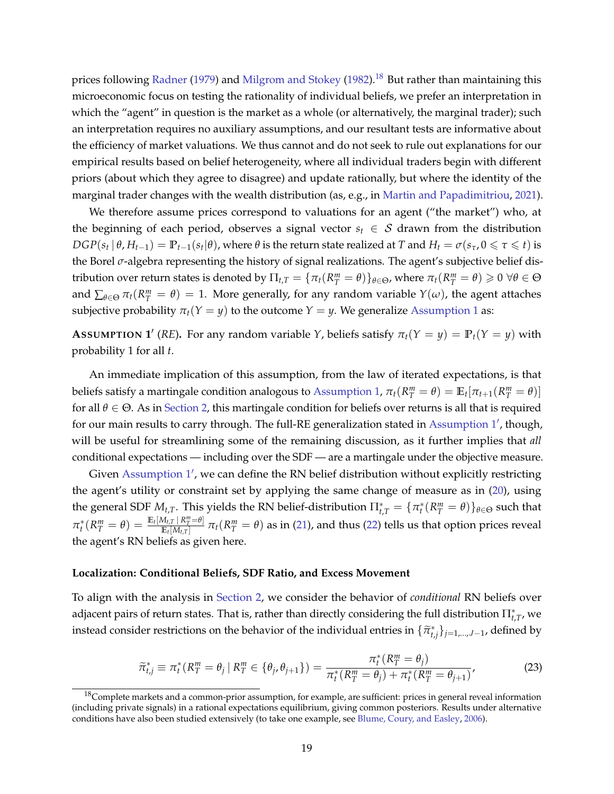prices following [Radner](#page-38-18) [\(1979\)](#page-38-18) and [Milgrom and Stokey](#page-38-19) [\(1982\)](#page-38-19).<sup>[18](#page-19-0)</sup> But rather than maintaining this microeconomic focus on testing the rationality of individual beliefs, we prefer an interpretation in which the "agent" in question is the market as a whole (or alternatively, the marginal trader); such an interpretation requires no auxiliary assumptions, and our resultant tests are informative about the efficiency of market valuations. We thus cannot and do not seek to rule out explanations for our empirical results based on belief heterogeneity, where all individual traders begin with different priors (about which they agree to disagree) and update rationally, but where the identity of the marginal trader changes with the wealth distribution (as, e.g., in [Martin and Papadimitriou,](#page-38-20) [2021\)](#page-38-20).

We therefore assume prices correspond to valuations for an agent ("the market") who, at the beginning of each period, observes a signal vector  $s_t \in S$  drawn from the distribution  $DGP(s_t | \theta, H_{t-1}) = \mathbb{P}_{t-1}(s_t | \theta)$ , where  $\theta$  is the return state realized at T and  $H_t = \sigma(s_{\tau}, 0 \leq \tau \leq t)$  is the Borel *σ*-algebra representing the history of signal realizations. The agent's subjective belief distribution over return states is denoted by  $\Pi_{t,T} = \{\pi_t(R_T^m = \theta)\}_{\theta \in \Theta}$ , where  $\pi_t(R_T^m = \theta) \geqslant 0 \,\,\forall \theta \in \Theta$ and  $\sum_{\theta \in \Theta} \pi_t(R_T^m = \theta) = 1$ . More generally, for any random variable  $Y(\omega)$ , the agent attaches subjective probability  $\pi_t(Y = y)$  to the outcome  $Y = y$ . We generalize [Assumption 1](#page-7-2) as:

<span id="page-19-1"></span>**ASSUMPTION** 1<sup>'</sup> (*RE*). For any random variable *Y*, beliefs satisfy  $\pi_t(Y = y) = \mathbb{P}_t(Y = y)$  with probability 1 for all *t*.

An immediate implication of this assumption, from the law of iterated expectations, is that beliefs satisfy a martingale condition analogous to [Assumption 1,](#page-7-2)  $\pi_t(R_T^m = \theta) = \mathbb{E}_t[\pi_{t+1}(R_T^m = \theta)]$ for all  $\theta \in \Theta$ . As in [Section 2,](#page-6-0) this martingale condition for beliefs over returns is all that is required for our main results to carry through. The full-RE generalization stated in [Assumption 1](#page-19-1)', though, will be useful for streamlining some of the remaining discussion, as it further implies that *all* conditional expectations — including over the SDF — are a martingale under the objective measure.

Given [Assumption 1](#page-19-1)', we can define the RN belief distribution without explicitly restricting the agent's utility or constraint set by applying the same change of measure as in [\(20\)](#page-18-2), using the general SDF  $M_{t,T}$ . This yields the RN belief-distribution  $\prod_{t,T}^* = \{\pi_t^*(R_T^m = \theta)\}_{\theta \in \Theta}$  such that  $\pi_t^*(R_T^m = \theta) = \frac{\mathbb{E}_t[M_{t,T} \,|\, R_T^m = \theta]}{\mathbb{E}_t[M_{t,T}]}$  $\frac{M_{t,T} + K_T^{\omega} = \theta}{\pi_t(R_T^{\omega})}$  π<sub>*t*</sub>( $R_T^{\omega} = \theta$ ) as in [\(21\)](#page-18-3), and thus [\(22\)](#page-18-4) tells us that option prices reveal the agent's RN beliefs as given here.

#### **Localization: Conditional Beliefs, SDF Ratio, and Excess Movement**

To align with the analysis in [Section 2,](#page-6-0) we consider the behavior of *conditional* RN beliefs over adjacent pairs of return states. That is, rather than directly considering the full distribution  $\Pi_{t,T}^*$ , we instead consider restrictions on the behavior of the individual entries in  $\{\widetilde{\pi}_{t,j}^*\}_{j=1,\dots,J-1}$ , defined by

<span id="page-19-2"></span>
$$
\widetilde{\pi}_{t,j}^* \equiv \pi_t^* (R_T^m = \theta_j \mid R_T^m \in \{\theta_j, \theta_{j+1}\}) = \frac{\pi_t^* (R_T^m = \theta_j)}{\pi_t^* (R_T^m = \theta_j) + \pi_t^* (R_T^m = \theta_{j+1})'}
$$
(23)

<span id="page-19-0"></span> $18$ Complete markets and a common-prior assumption, for example, are sufficient: prices in general reveal information (including private signals) in a rational expectations equilibrium, giving common posteriors. Results under alternative conditions have also been studied extensively (to take one example, see [Blume, Coury, and Easley,](#page-37-11) [2006\)](#page-37-11).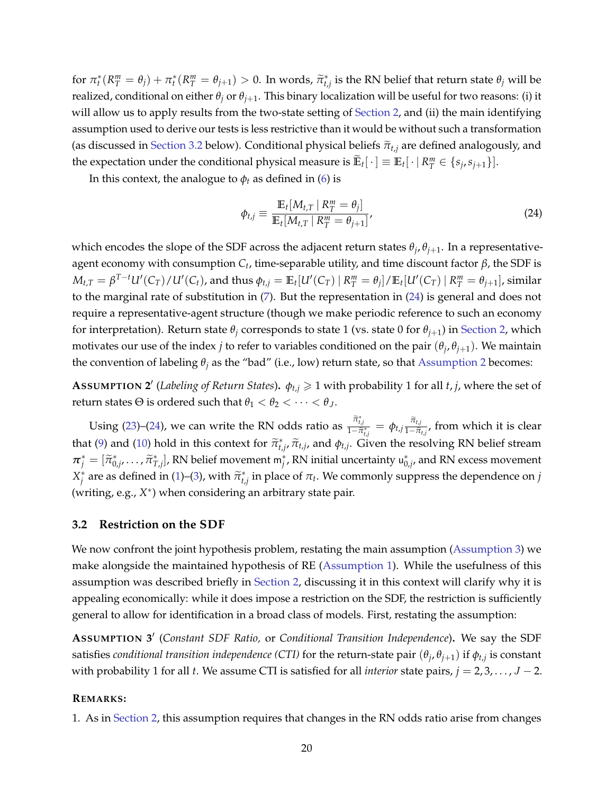for  $\pi_t^*(R_T^m = \theta_j) + \pi_t^*(R_T^m = \theta_{j+1}) > 0$ . In words,  $\tilde{\pi}_{t,j}^*$  is the RN belief that return state  $\theta_j$  will be realized, conditional on either  $\theta_j$  or  $\theta_{j+1}$ . This binary localization will be useful for two reasons: (i) it will allow us to apply results from the two-state setting of [Section 2,](#page-6-0) and (ii) the main identifying assumption used to derive our tests is less restrictive than it would be without such a transformation (as discussed in [Section 3.2](#page-20-0) below). Conditional physical beliefs  $\tilde{\pi}_{t,j}$  are defined analogously, and the expectation under the conditional physical measure is  $\mathbb{E}_t[\cdot] \equiv \mathbb{E}_t[\cdot | R^m_T \in \{s_j, s_{j+1}\}].$ 

In this context, the analogue to  $\phi_t$  as defined in [\(6\)](#page-9-2) is

<span id="page-20-1"></span>
$$
\phi_{t,j} \equiv \frac{\mathbb{E}_t[M_{t,T} \mid R_T^m = \theta_j]}{\mathbb{E}_t[M_{t,T} \mid R_T^m = \theta_{j+1}]'}
$$
\n(24)

which encodes the slope of the SDF across the adjacent return states *θ<sup>j</sup>* , *θj*+1. In a representativeagent economy with consumption *C<sup>t</sup>* , time-separable utility, and time discount factor *β*, the SDF is  $M_{t,T}=\beta^{T-t}U'(C_T)/U'(C_t)$ , and thus  $\phi_{t,j}=\mathbb{E}_t[U'(C_T)\ |\ R^m_T=\theta_j]/\mathbb{E}_t[U'(C_T)\ |\ R^m_T=\theta_{j+1}]$ , similar to the marginal rate of substitution in [\(7\)](#page-9-1). But the representation in [\(24\)](#page-20-1) is general and does not require a representative-agent structure (though we make periodic reference to such an economy for interpretation). Return state  $\theta$ *<sub>j</sub>* corresponds to state 1 (vs. state 0 for  $\theta$ <sub>*j*+1</sub>) in [Section 2,](#page-6-0) which motivates our use of the index *j* to refer to variables conditioned on the pair  $(\theta_j, \theta_{j+1})$ . We maintain the convention of labeling  $\theta$ <sup>*j*</sup> as the "bad" (i.e., low) return state, so that [Assumption 2](#page-10-2) becomes:

<span id="page-20-3"></span>**A**SSUMPTION 2' (Labeling of Return States).  $\phi_{t,j} \geq 1$  with probability 1 for all *t*, *j*, where the set of return states  $\Theta$  is ordered such that  $\theta_1 < \theta_2 < \cdots < \theta_J$ .

Using [\(23\)](#page-19-2)–[\(24\)](#page-20-1), we can write the RN odds ratio as  $\frac{\tilde{\pi}^*_{t,j}}{1-\tilde{\pi}^*_{t,j}} = \phi_{t,j} \frac{\tilde{\pi}_{t,j}}{1-\tilde{\pi}}$  $\frac{n_{t,j}}{1-\tilde{\pi}_{t,j}}$ , from which it is clear that [\(9\)](#page-10-0) and [\(10\)](#page-11-0) hold in this context for  $\tilde{\pi}_{t,j}^*$ ,  $\tilde{\pi}_{t,j}$ , and  $\phi_{t,j}$ . Given the resolving RN belief stream  $\pi_j^* = [\tilde{\pi}_{0,j}^*, \dots, \tilde{\pi}_{T,j}^*]$ , RN belief movement  $m_j^*$ , RN initial uncertainty  $u_{0,j}^*$ , and RN excess movement *X*<sup>\*</sup> are as defined in [\(1\)](#page-7-3)–[\(3\)](#page-7-4), with  $\tilde{\pi}_{t,j}^*$  in place of *πt*. We commonly suppress the dependence on *j* (writing, e.g., *X* ∗ ) when considering an arbitrary state pair.

### <span id="page-20-0"></span>**3.2 Restriction on the SDF**

We now confront the joint hypothesis problem, restating the main assumption [\(Assumption 3\)](#page-10-1) we make alongside the maintained hypothesis of RE [\(Assumption 1\)](#page-7-2). While the usefulness of this assumption was described briefly in [Section 2,](#page-6-0) discussing it in this context will clarify why it is appealing economically: while it does impose a restriction on the SDF, the restriction is sufficiently general to allow for identification in a broad class of models. First, restating the assumption:

<span id="page-20-2"></span>**ASSUMPTION 3** ′ (*Constant SDF Ratio,* or *Conditional Transition Independence*)**.** We say the SDF satisfies *conditional transition independence* (CTI) for the return-state pair  $(\theta_j,\theta_{j+1})$  if  $\phi_{t,j}$  is constant with probability 1 for all *t*. We assume CTI is satisfied for all *interior* state pairs,  $j = 2, 3, ..., J - 2$ .

#### **REMARKS:**

1. As in [Section 2,](#page-6-0) this assumption requires that changes in the RN odds ratio arise from changes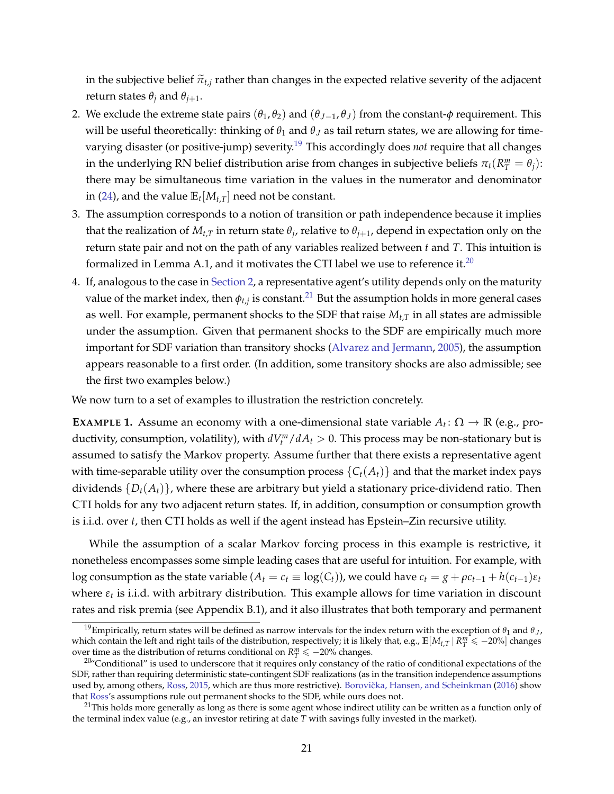in the subjective belief  $\tilde{\pi}_{t,j}$  rather than changes in the expected relative severity of the adjacent return states  $\theta_j$  and  $\theta_{j+1}$ .

- <span id="page-21-3"></span>2. We exclude the extreme state pairs  $(\theta_1, \theta_2)$  and  $(\theta_{J-1}, \theta_J)$  from the constant- $\phi$  requirement. This will be useful theoretically: thinking of  $\theta_1$  and  $\theta_J$  as tail return states, we are allowing for timevarying disaster (or positive-jump) severity.[19](#page-21-0) This accordingly does *not* require that all changes in the underlying RN belief distribution arise from changes in subjective beliefs  $\pi_t(R_T^m = \theta_j)$ : there may be simultaneous time variation in the values in the numerator and denominator in [\(24\)](#page-20-1), and the value  $\mathbb{E}_t[M_{t,T}]$  need not be constant.
- 3. The assumption corresponds to a notion of transition or path independence because it implies that the realization of  $M_{t,T}$  in return state  $\theta_j$ , relative to  $\theta_{j+1}$ , depend in expectation only on the return state pair and not on the path of any variables realized between *t* and *T*. This intuition is formalized in Lemma A.1, and it motivates the CTI label we use to reference it.<sup>[20](#page-21-1)</sup>
- 4. If, analogous to the case in [Section 2,](#page-6-0) a representative agent's utility depends only on the maturity value of the market index, then  $\phi_{t,j}$  is constant. $^{21}$  $^{21}$  $^{21}$  But the assumption holds in more general cases as well. For example, permanent shocks to the SDF that raise *Mt*,*<sup>T</sup>* in all states are admissible under the assumption. Given that permanent shocks to the SDF are empirically much more important for SDF variation than transitory shocks [\(Alvarez and Jermann,](#page-37-12) [2005\)](#page-37-12), the assumption appears reasonable to a first order. (In addition, some transitory shocks are also admissible; see the first two examples below.)

We now turn to a set of examples to illustration the restriction concretely.

**EXAMPLE 1.** Assume an economy with a one-dimensional state variable  $A_t: \Omega \to \mathbb{R}$  (e.g., productivity, consumption, volatility), with  $dV_t^m/dA_t > 0$ . This process may be non-stationary but is assumed to satisfy the Markov property. Assume further that there exists a representative agent with time-separable utility over the consumption process  $\{C_t(A_t)\}\$  and that the market index pays dividends {*Dt*(*At*)}, where these are arbitrary but yield a stationary price-dividend ratio. Then CTI holds for any two adjacent return states. If, in addition, consumption or consumption growth is i.i.d. over *t*, then CTI holds as well if the agent instead has Epstein–Zin recursive utility.

While the assumption of a scalar Markov forcing process in this example is restrictive, it nonetheless encompasses some simple leading cases that are useful for intuition. For example, with log consumption as the state variable ( $A_t = c_t \equiv \log(C_t)$ ), we could have  $c_t = g + \rho c_{t-1} + h(c_{t-1})\varepsilon_t$ where *ε<sup>t</sup>* is i.i.d. with arbitrary distribution. This example allows for time variation in discount rates and risk premia (see Appendix B.1), and it also illustrates that both temporary and permanent

<span id="page-21-0"></span><sup>&</sup>lt;sup>19</sup>Empirically, return states will be defined as narrow intervals for the index return with the exception of  $θ_1$  and  $θ_J$ , which contain the left and right tails of the distribution, respectively; it is likely that, e.g.,  $\mathbb{E}[M_{t,T} | R_T^m \le -20\%]$  changes over time as the distribution of returns conditional on  $R_T^m \leq -20\%$  changes.

<span id="page-21-1"></span> $20^{\circ}$ Conditional" is used to underscore that it requires only constancy of the ratio of conditional expectations of the SDF, rather than requiring deterministic state-contingent SDF realizations (as in the transition independence assumptions used by, among others, [Ross,](#page-38-15) [2015,](#page-38-15) which are thus more restrictive). Borovička, Hansen, and Scheinkman [\(2016\)](#page-37-6) show that [Ross'](#page-38-15)s assumptions rule out permanent shocks to the SDF, while ours does not.

<span id="page-21-2"></span> $21$ This holds more generally as long as there is some agent whose indirect utility can be written as a function only of the terminal index value (e.g., an investor retiring at date *T* with savings fully invested in the market).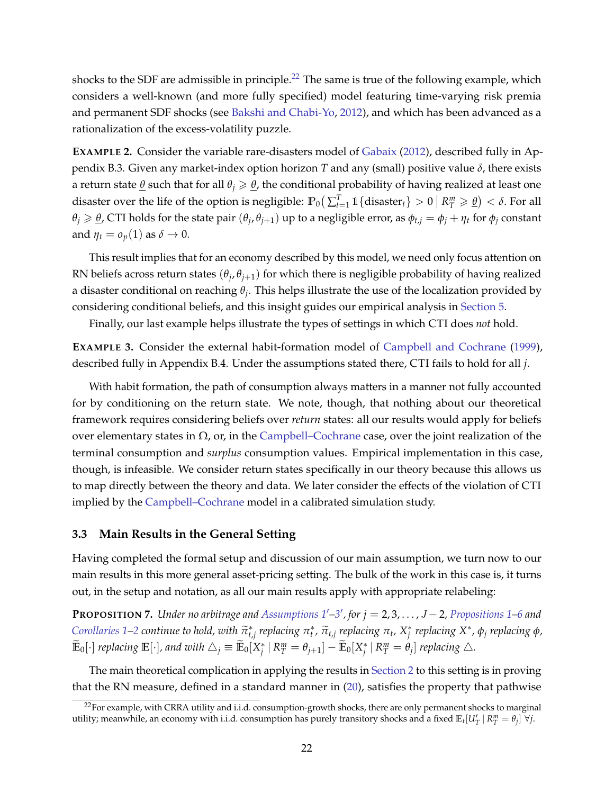shocks to the SDF are admissible in principle.<sup>[22](#page-22-1)</sup> The same is true of the following example, which considers a well-known (and more fully specified) model featuring time-varying risk premia and permanent SDF shocks (see [Bakshi and Chabi-Yo,](#page-37-13) [2012\)](#page-37-13), and which has been advanced as a rationalization of the excess-volatility puzzle.

**EXAMPLE 2.** Consider the variable rare-disasters model of [Gabaix](#page-38-11) [\(2012\)](#page-38-11), described fully in Appendix B.3. Given any market-index option horizon *T* and any (small) positive value *δ*, there exists a return state  $\underline{\theta}$  such that for all  $\theta$ *j*  $\geq \underline{\theta}$ , the conditional probability of having realized at least one disaster over the life of the option is negligible:  $\mathbb{P}_0(\sum_{t=1}^T \mathbb{1}\{\text{disaster}_t\}>0 \mid R_T^m \geqslant \underline{\theta}) < \delta.$  For all  $\theta_j \ge \theta$ , CTI holds for the state pair  $(\theta_j, \theta_{j+1})$  up to a negligible error, as  $\phi_{t,j} = \phi_j + \eta_t$  for  $\phi_j$  constant and  $\eta_t = o_p(1)$  as  $\delta \to 0$ .

This result implies that for an economy described by this model, we need only focus attention on RN beliefs across return states  $(\theta_j, \theta_{j+1})$  for which there is negligible probability of having realized a disaster conditional on reaching *θ<sup>j</sup>* . This helps illustrate the use of the localization provided by considering conditional beliefs, and this insight guides our empirical analysis in [Section 5.](#page-28-0)

Finally, our last example helps illustrate the types of settings in which CTI does *not* hold.

**EXAMPLE 3.** Consider the external habit-formation model of [Campbell and Cochrane](#page-37-2) [\(1999\)](#page-37-2), described fully in Appendix B.4. Under the assumptions stated there, CTI fails to hold for all *j*.

With habit formation, the path of consumption always matters in a manner not fully accounted for by conditioning on the return state. We note, though, that nothing about our theoretical framework requires considering beliefs over *return* states: all our results would apply for beliefs over elementary states in  $\Omega$ , or, in the [Campbell–Cochrane](#page-37-2) case, over the joint realization of the terminal consumption and *surplus* consumption values. Empirical implementation in this case, though, is infeasible. We consider return states specifically in our theory because this allows us to map directly between the theory and data. We later consider the effects of the violation of CTI implied by the [Campbell–Cochrane](#page-37-2) model in a calibrated simulation study.

### <span id="page-22-0"></span>**3.3 Main Results in the General Setting**

Having completed the formal setup and discussion of our main assumption, we turn now to our main results in this more general asset-pricing setting. The bulk of the work in this case is, it turns out, in the setup and notation, as all our main results apply with appropriate relabeling:

<span id="page-22-2"></span>**PROPOSITION 7.** Under no arbitrage and Assumptions  $1'$ [–3](#page-20-2)', for  $j = 2, 3, ..., J - 2$ , [Propositions 1–](#page-8-1)[6](#page-16-3) and [Corollaries 1](#page-13-6)[–2](#page-13-7) continue to hold, with  $\tilde{\pi}_{t,j}^*$  replacing  $\pi_t^*, \tilde{\pi}_{t,j}$  replacing  $\pi_t$ ,  $X_j^*$  replacing  $X^*, \phi_j$  replacing  $\phi$ ,  $\widetilde{\mathbb{E}}_0[\cdot]$  replacing  $\mathbb{E}[\cdot]$ , and with  $\triangle_j\equiv \widetilde{\mathbb{E}}_0[X^*_j\,|\, R^m_T=\theta_{j+1}]-\widetilde{\mathbb{E}}_0[X^*_j\,|\, R^m_T=\theta_j]$  replacing  $\triangle$ .

The main theoretical complication in applying the results in [Section 2](#page-6-0) to this setting is in proving that the RN measure, defined in a standard manner in [\(20\)](#page-18-2), satisfies the property that pathwise

<span id="page-22-1"></span> $^{22}$ For example, with CRRA utility and i.i.d. consumption-growth shocks, there are only permanent shocks to marginal utility; meanwhile, an economy with i.i.d. consumption has purely transitory shocks and a fixed  $\mathbb{E}_t[U_T' | R_T^m = \theta_j] \forall j$ .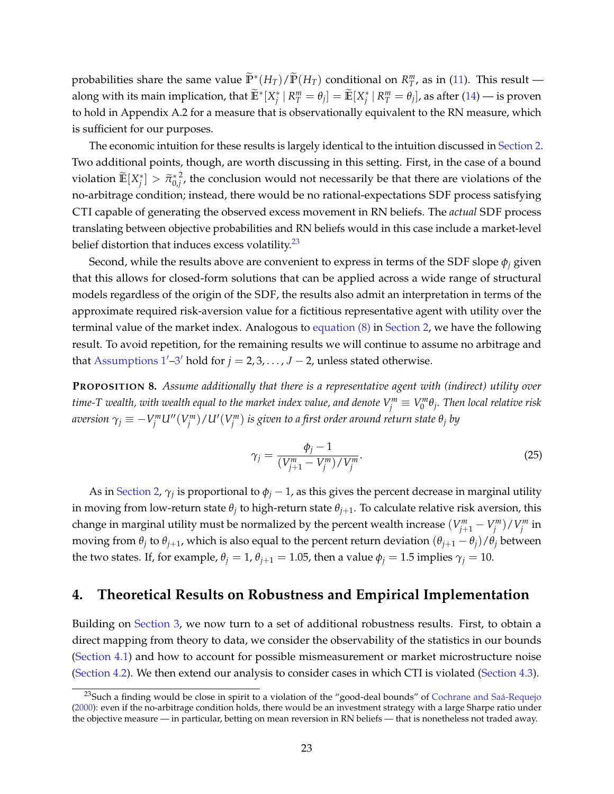probabilities share the same value  $\widetilde{\mathbb{P}}^*(H_T)/\widetilde{\mathbb{P}}(H_T)$  conditional on  $R^m_T$ , as in [\(11\)](#page-11-1). This result along with its main implication, that  $\widetilde{\mathbb{E}}^*[X_j^*\,|\,R_T^m=\theta_j]=\widetilde{\mathbb{E}}[X_j^*\,|\,R_T^m=\theta_j],$  as after [\(14\)](#page-12-3) — is proven to hold in Appendix A.2 for a measure that is observationally equivalent to the RN measure, which is sufficient for our purposes.

The economic intuition for these results is largely identical to the intuition discussed in [Section 2.](#page-6-0) Two additional points, though, are worth discussing in this setting. First, in the case of a bound  $\widetilde{\mathbb{E}}[X_j^*] > \widetilde{\pi}_{0,j}^{*^2}$  $\mu_i^2$ , the conclusion would not necessarily be that there are violations of the no-arbitrage condition; instead, there would be no rational-expectations SDF process satisfying CTI capable of generating the observed excess movement in RN beliefs. The *actual* SDF process translating between objective probabilities and RN beliefs would in this case include a market-level belief distortion that induces excess volatility. $23$ 

Second, while the results above are convenient to express in terms of the SDF slope  $\phi_i$  given that this allows for closed-form solutions that can be applied across a wide range of structural models regardless of the origin of the SDF, the results also admit an interpretation in terms of the approximate required risk-aversion value for a fictitious representative agent with utility over the terminal value of the market index. Analogous to [equation \(8\)](#page-10-3) in [Section 2,](#page-6-0) we have the following result. To avoid repetition, for the remaining results we will continue to assume no arbitrage and that Assumptions  $1'$ -3' hold for  $j = 2, 3, ..., J - 2$ , unless stated otherwise.

<span id="page-23-2"></span>**PROPOSITION 8.** *Assume additionally that there is a representative agent with (indirect) utility over*  $t$ ime-T wealth, with wealth equal to the market index value, and denote  $V_j^m\equiv V_0^m\theta_j.$  Then local relative risk aversion  $\gamma_j \equiv - V_j^m U''(V_j^m)/U'(V_j^m)$  is given to a first order around return state  $\theta_j$  by

<span id="page-23-3"></span>
$$
\gamma_j = \frac{\phi_j - 1}{(V_{j+1}^m - V_j^m) / V_j^m}.
$$
\n(25)

As in [Section 2,](#page-6-0)  $\gamma_j$  is proportional to  $\phi_j - 1$ , as this gives the percent decrease in marginal utility in moving from low-return state  $\theta_j$  to high-return state  $\theta_{j+1}.$  To calculate relative risk aversion, this change in marginal utility must be normalized by the percent wealth increase  $(V_{j+1}^m - V_j^m)/V_j^m$  in moving from  $\theta_j$  to  $\theta_{j+1}$ , which is also equal to the percent return deviation  $(\theta_{j+1}-\theta_j)/\theta_j$  between the two states. If, for example,  $\theta$ <sup>*j*</sup> = 1,  $\theta$ <sup>*j*+1</sup> = 1.05, then a value  $\phi$ <sup>*j*</sup> = 1.5 implies  $\gamma$ <sup>*j*</sup> = 10.

# <span id="page-23-0"></span>**4. Theoretical Results on Robustness and Empirical Implementation**

Building on [Section 3,](#page-17-0) we now turn to a set of additional robustness results. First, to obtain a direct mapping from theory to data, we consider the observability of the statistics in our bounds [\(Section 4.1\)](#page-24-0) and how to account for possible mismeasurement or market microstructure noise [\(Section 4.2\)](#page-26-1). We then extend our analysis to consider cases in which CTI is violated [\(Section 4.3\)](#page-26-0).

<span id="page-23-1"></span> $^{23}$ Such a finding would be close in spirit to a violation of the "good-deal bounds" of [Cochrane and Saá-Requejo](#page-37-14) [\(2000\)](#page-37-14): even if the no-arbitrage condition holds, there would be an investment strategy with a large Sharpe ratio under the objective measure — in particular, betting on mean reversion in RN beliefs — that is nonetheless not traded away.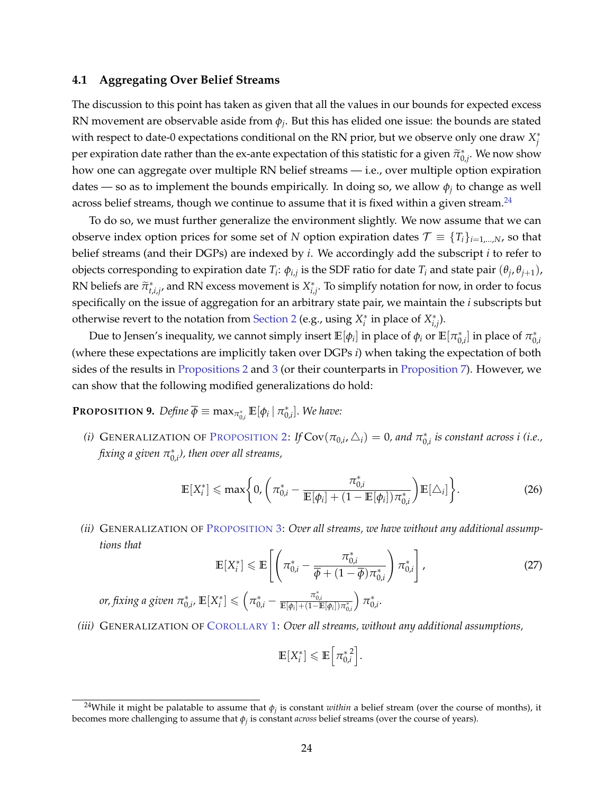#### <span id="page-24-0"></span>**4.1 Aggregating Over Belief Streams**

The discussion to this point has taken as given that all the values in our bounds for expected excess RN movement are observable aside from *ϕ<sup>j</sup>* . But this has elided one issue: the bounds are stated with respect to date-0 expectations conditional on the RN prior, but we observe only one draw  $X^*_j$ per expiration date rather than the ex-ante expectation of this statistic for a given  $\tilde{\pi}_{0,j}^*$ . We now show how one can aggregate over multiple RN belief streams — i.e., over multiple option expiration dates — so as to implement the bounds empirically. In doing so, we allow  $\phi_j$  to change as well across belief streams, though we continue to assume that it is fixed within a given stream. $^{24}$  $^{24}$  $^{24}$ 

To do so, we must further generalize the environment slightly. We now assume that we can observe index option prices for some set of *N* option expiration dates  $\mathcal{T} \equiv \{T_i\}_{i=1,\dots,N}$ , so that belief streams (and their DGPs) are indexed by *i*. We accordingly add the subscript *i* to refer to objects corresponding to expiration date  $T_i$ :  $\phi_{i,j}$  is the SDF ratio for date  $T_i$  and state pair  $(\theta_j, \theta_{j+1})$ , RN beliefs are  $\widetilde{\pi}_{t,i,j}^*$ , and RN excess movement is  $X_{i,j}^*$ . To simplify notation for now, in order to focus specifically on the issue of aggregation for an arbitrary state pair, we maintain the *i* subscripts but otherwise revert to the notation from [Section 2](#page-6-0) (e.g., using  $X_i^*$  in place of  $X_{i,j}^*$ ).

Due to Jensen's inequality, we cannot simply insert  $\mathbb{E}[\phi_i]$  in place of  $\phi_i$  or  $\mathbb{E}[\pi_{0,i}^*]$  in place of  $\pi_{0,i}^*$ (where these expectations are implicitly taken over DGPs *i*) when taking the expectation of both sides of the results in [Propositions 2](#page-13-2) and [3](#page-13-4) (or their counterparts in [Proposition 7\)](#page-22-2). However, we can show that the following modified generalizations do hold:

<span id="page-24-7"></span>**PROPOSITION 9.** Define  $\overline{\phi} \equiv \max_{\pi_{0,i}^*} \mathbb{E}[\phi_i | \pi_{0,i}^*].$  We have:

<span id="page-24-5"></span>*(i)* GENERALIZATION OF P[ROPOSITION](#page-13-2) 2: *If*  $Cov(\pi_{0,i}, \triangle_i) = 0$ , and  $\pi_{0,i}^*$  is constant across *i (i.e.,* fixing a given  $\pi_{0,i}^*$ ), then over all streams,

<span id="page-24-8"></span><span id="page-24-3"></span>
$$
\mathbb{E}[X_i^*] \leqslant \max\bigg\{0, \bigg(\pi_{0,i}^* - \frac{\pi_{0,i}^*}{\mathbb{E}[\phi_i] + (1 - \mathbb{E}[\phi_i])\pi_{0,i}^*}\bigg)\mathbb{E}[\triangle_i]\bigg\}.
$$
 (26)

<span id="page-24-2"></span>*(ii)* GENERALIZATION OF P[ROPOSITION](#page-13-4) 3: *Over all streams, we have without any additional assumptions that*

$$
\mathbb{E}[X_i^*] \leq \mathbb{E}\left[\left(\pi_{0,i}^* - \frac{\pi_{0,i}^*}{\overline{\phi} + (1 - \overline{\phi})\pi_{0,i}^*}\right)\pi_{0,i}^*\right],
$$
\nor, fixing a given  $\pi_{0,i}^*$ ,  $\mathbb{E}[X_i^*] \leq \left(\pi_{0,i}^* - \frac{\pi_{0,i}^*}{\mathbb{E}[\phi_i] + (1 - \mathbb{E}[\phi_i])\pi_{0,i}^*}\right)\pi_{0,i}^*.$ 

\n(27)

<span id="page-24-4"></span>*(iii)* GENERALIZATION OF C[OROLLARY](#page-13-6) 1: *Over all streams, without any additional assumptions,*

$$
\mathbb{E}[X_i^*] \leq \mathbb{E}\left[\pi_{0,i}^*\right].
$$

<span id="page-24-6"></span><span id="page-24-1"></span> $^{24}$ While it might be palatable to assume that  $\phi_j$  is constant *within* a belief stream (over the course of months), it becomes more challenging to assume that  $\phi_j$  is constant *across* belief streams (over the course of years).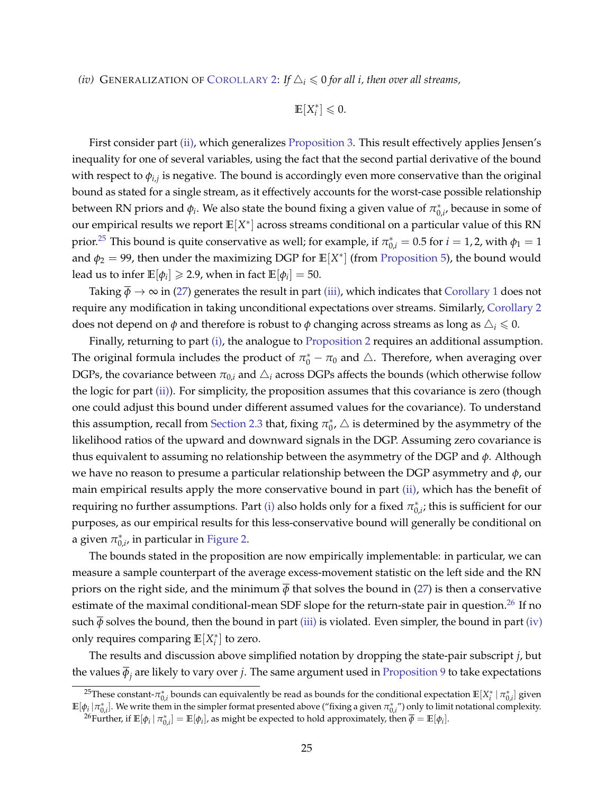*(iv)* GENERALIZATION OF C[OROLLARY](#page-13-7) 2: If  $\Delta_i \leq 0$  for all *i*, then over all streams,

$$
\mathbb{E}[X_i^*]\leq 0.
$$

First consider part [\(ii\),](#page-24-2) which generalizes [Proposition 3.](#page-13-4) This result effectively applies Jensen's inequality for one of several variables, using the fact that the second partial derivative of the bound with respect to *ϕi*,*<sup>j</sup>* is negative. The bound is accordingly even more conservative than the original bound as stated for a single stream, as it effectively accounts for the worst-case possible relationship between RN priors and  $\phi_i$ . We also state the bound fixing a given value of  $\pi_{0,i'}^*$  because in some of our empirical results we report  $\mathbb{E}[X^*]$  across streams conditional on a particular value of this  $\overline{RN}$ prior.<sup>[25](#page-25-0)</sup> This bound is quite conservative as well; for example, if  $\pi^*_{0,i}=0.5$  for  $i=1,2$ , with  $\phi_1=1$ and  $\phi_2 = 99$ , then under the maximizing DGP for  $\mathbb{E}[X^*]$  (from [Proposition 5\)](#page-16-4), the bound would lead us to infer  $\mathbb{E}[\phi_i] \geqslant 2.9$ , when in fact  $\mathbb{E}[\phi_i] = 50$ .

Taking  $\overline{\phi} \to \infty$  in [\(27\)](#page-24-3) generates the result in part [\(iii\),](#page-24-4) which indicates that [Corollary 1](#page-13-6) does not require any modification in taking unconditional expectations over streams. Similarly, [Corollary 2](#page-13-7) does not depend on  $\phi$  and therefore is robust to  $\phi$  changing across streams as long as  $\Delta_i \leq 0$ .

Finally, returning to part [\(i\),](#page-24-5) the analogue to [Proposition 2](#page-13-2) requires an additional assumption. The original formula includes the product of  $\pi_0^* - \pi_0$  and  $\triangle$ . Therefore, when averaging over DGPs, the covariance between  $\pi_{0,i}$  and  $\Delta_i$  across DGPs affects the bounds (which otherwise follow the logic for part [\(ii\)\)](#page-24-2). For simplicity, the proposition assumes that this covariance is zero (though one could adjust this bound under different assumed values for the covariance). To understand this assumption, recall from [Section 2.3](#page-13-7) that, fixing  $\pi_0^*$ ,  $\triangle$  is determined by the asymmetry of the likelihood ratios of the upward and downward signals in the DGP. Assuming zero covariance is thus equivalent to assuming no relationship between the asymmetry of the DGP and *ϕ*. Although we have no reason to presume a particular relationship between the DGP asymmetry and *ϕ*, our main empirical results apply the more conservative bound in part [\(ii\),](#page-24-2) which has the benefit of requiring no further assumptions. Part [\(i\)](#page-24-5) also holds only for a fixed  $\pi^*_{0,i}$ ; this is sufficient for our purposes, as our empirical results for this less-conservative bound will generally be conditional on a given  $\pi_{0,i}^*$ , in particular in [Figure 2.](#page-44-0)

The bounds stated in the proposition are now empirically implementable: in particular, we can measure a sample counterpart of the average excess-movement statistic on the left side and the RN priors on the right side, and the minimum  $\overline{\phi}$  that solves the bound in [\(27\)](#page-24-3) is then a conservative estimate of the maximal conditional-mean SDF slope for the return-state pair in question.<sup>[26](#page-25-1)</sup> If no such  $\overline{\phi}$  solves the bound, then the bound in part [\(iii\)](#page-24-4) is violated. Even simpler, the bound in part [\(iv\)](#page-24-6) only requires comparing  $\mathbb{E}[X_i^*]$  to zero.

The results and discussion above simplified notation by dropping the state-pair subscript *j*, but the values *ϕ<sup>j</sup>* are likely to vary over *j*. The same argument used in [Proposition 9](#page-24-7) to take expectations

<span id="page-25-0"></span><sup>&</sup>lt;sup>25</sup>These constant- $\pi^*_{0,i}$  bounds can equivalently be read as bounds for the conditional expectation  $\mathbb{E}[X_i^* \mid \pi^*_{0,i}]$  given  $\mathbb{E}[\phi_i|\pi_{0,i}^*]$ . We write them in the simpler format presented above ("fixing a given  $\pi_{0,i}^*$ ") only to limit notational complexity.

<span id="page-25-1"></span> $^{26}\text{Further, if }\mathbb{E}[\phi_i \mid \pi^*_{0,i}] = \mathbb{E}[\phi_i]$ , as might be expected to hold approximately, then  $\overline{\phi} = \mathbb{E}[\phi_i].$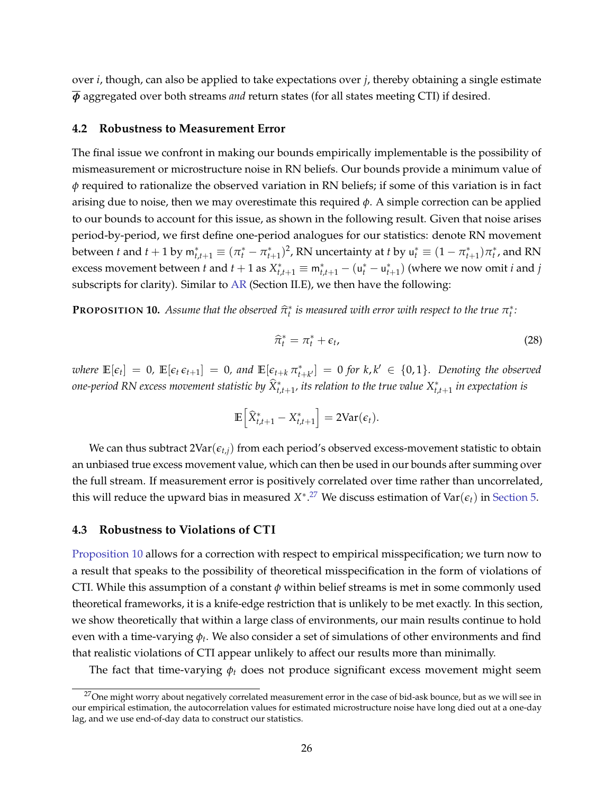over *i*, though, can also be applied to take expectations over *j*, thereby obtaining a single estimate *ϕ* aggregated over both streams *and* return states (for all states meeting CTI) if desired.

#### <span id="page-26-1"></span>**4.2 Robustness to Measurement Error**

The final issue we confront in making our bounds empirically implementable is the possibility of mismeasurement or microstructure noise in RN beliefs. Our bounds provide a minimum value of *ϕ* required to rationalize the observed variation in RN beliefs; if some of this variation is in fact arising due to noise, then we may overestimate this required *ϕ*. A simple correction can be applied to our bounds to account for this issue, as shown in the following result. Given that noise arises period-by-period, we first define one-period analogues for our statistics: denote RN movement between *t* and  $t + 1$  by  $m_{t,t+1}^* \equiv (\pi_t^* - \pi_{t+1}^*)^2$ , RN uncertainty at *t* by  $u_t^* \equiv (1 - \pi_{t+1}^*)\pi_t^*$ , and RN excess movement between *t* and  $t + 1$  as  $X_{t,t+1}^* \equiv m_{t,t+1}^* - (u_t^* - u_{t+1}^*)$  (where we now omit *i* and *j* subscripts for clarity). Similar to [AR](#page-37-1) (Section II.E), we then have the following:

<span id="page-26-3"></span>**PROPOSITION 10.** Assume that the observed  $\widehat{\pi}_t^*$  is measured with error with respect to the true  $\pi_t^*$ :

<span id="page-26-4"></span>
$$
\widehat{\pi}_t^* = \pi_t^* + \epsilon_t,\tag{28}
$$

where  $\mathbb{E}[\epsilon_t] = 0$ ,  $\mathbb{E}[\epsilon_t \epsilon_{t+1}] = 0$ , and  $\mathbb{E}[\epsilon_{t+k} \pi^*_{t+k'}] = 0$  for  $k, k' \in \{0, 1\}$ . Denoting the observed *one-period RN excess movement statistic by*  $\widehat{X}^*_{t,t+1}$ *, its relation to the true value*  $X^*_{t,t+1}$  *in expectation is* 

$$
\mathbb{E}\left[\widehat{X}_{t,t+1}^* - X_{t,t+1}^*\right] = 2\text{Var}(\epsilon_t).
$$

We can thus subtract  $2\text{Var}(\epsilon_{t,i})$  from each period's observed excess-movement statistic to obtain an unbiased true excess movement value, which can then be used in our bounds after summing over the full stream. If measurement error is positively correlated over time rather than uncorrelated, this will reduce the upward bias in measured  $X^{*,27}$  $X^{*,27}$  $X^{*,27}$  We discuss estimation of Var $(\epsilon_t)$  in [Section 5.](#page-28-0)

### <span id="page-26-0"></span>**4.3 Robustness to Violations of CTI**

[Proposition 10](#page-26-3) allows for a correction with respect to empirical misspecification; we turn now to a result that speaks to the possibility of theoretical misspecification in the form of violations of CTI. While this assumption of a constant *ϕ* within belief streams is met in some commonly used theoretical frameworks, it is a knife-edge restriction that is unlikely to be met exactly. In this section, we show theoretically that within a large class of environments, our main results continue to hold even with a time-varying *ϕ<sup>t</sup>* . We also consider a set of simulations of other environments and find that realistic violations of CTI appear unlikely to affect our results more than minimally.

The fact that time-varying *ϕ<sup>t</sup>* does not produce significant excess movement might seem

<span id="page-26-2"></span> $27$ One might worry about negatively correlated measurement error in the case of bid-ask bounce, but as we will see in our empirical estimation, the autocorrelation values for estimated microstructure noise have long died out at a one-day lag, and we use end-of-day data to construct our statistics.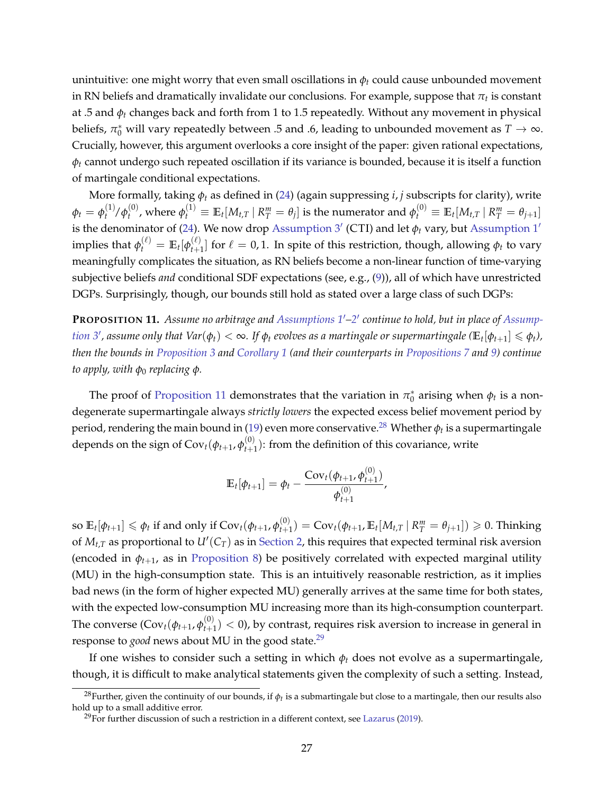unintuitive: one might worry that even small oscillations in  $\phi_t$  could cause unbounded movement in RN beliefs and dramatically invalidate our conclusions. For example, suppose that  $\pi_t$  is constant at .5 and *ϕ<sup>t</sup>* changes back and forth from 1 to 1.5 repeatedly. Without any movement in physical beliefs,  $\pi_0^*$  will vary repeatedly between .5 and .6, leading to unbounded movement as  $T \to \infty$ . Crucially, however, this argument overlooks a core insight of the paper: given rational expectations,  $\phi_t$  cannot undergo such repeated oscillation if its variance is bounded, because it is itself a function of martingale conditional expectations.

More formally, taking *ϕ<sup>t</sup>* as defined in [\(24\)](#page-20-1) (again suppressing *i*, *j* subscripts for clarity), write  $\phi_t = \phi_t^{(1)}/\phi_t^{(0)}$  $\theta_t^{(0)}$ , where  $\phi_t^{(1)}\equiv \mathbb{E}_t[M_{t,T}\,|\,R_T^m=\theta_j]$  is the numerator and  $\phi_t^{(0)}\equiv \mathbb{E}_t[M_{t,T}\,|\,R_T^m=\theta_{j+1}]$ is the denominator of [\(24\)](#page-20-1). We now drop [Assumption 3](#page-20-2)' (CTI) and let  $\phi_t$  vary, but [Assumption 1](#page-19-1)'  $\text{implies that } \phi_t^{(\ell)} = \mathbb{E}_t[\phi_{t+1}^{(\ell)}]$  $\mathcal{L}_{t+1}^{(t)}$  for  $\ell = 0, 1$ . In spite of this restriction, though, allowing  $\phi_t$  to vary meaningfully complicates the situation, as RN beliefs become a non-linear function of time-varying subjective beliefs *and* conditional SDF expectations (see, e.g., [\(9\)](#page-10-0)), all of which have unrestricted DGPs. Surprisingly, though, our bounds still hold as stated over a large class of such DGPs:

<span id="page-27-0"></span>**PROPOSITION 11.** *Assume no arbitrage and [Assumptions 1](#page-19-1)*′*[–2](#page-20-3)* ′ *continue to hold, but in place of [Assump](#page-20-2)[tion 3](#page-20-2)', assume only that*  $Var(\phi_t)<\infty$ *. If*  $\phi_t$  *evolves as a martingale or supermartingale (* $\mathbb{E}_t[\phi_{t+1}]\leqslant \phi_t$ *), then the bounds in [Proposition 3](#page-13-4) and [Corollary 1](#page-13-6) (and their counterparts in [Propositions 7](#page-22-2) and [9\)](#page-24-7) continue to apply, with ϕ*<sup>0</sup> *replacing ϕ.*

The proof of [Proposition 11](#page-27-0) demonstrates that the variation in  $\pi_0^*$  arising when  $\phi_t$  is a nondegenerate supermartingale always *strictly lowers* the expected excess belief movement period by period, rendering the main bound in [\(19\)](#page-13-5) even more conservative.<sup>[28](#page-27-1)</sup> Whether  $\phi_t$  is a supermartingale depends on the sign of Cov $_t(\phi_{t+1},\phi_{t+1}^{(0)})$  $t_{t+1}^{(0)}$ : from the definition of this covariance, write

$$
\mathbb{E}_{t}[\phi_{t+1}] = \phi_t - \frac{\text{Cov}_t(\phi_{t+1}, \phi_{t+1}^{(0)})}{\phi_{t+1}^{(0)}},
$$

so  $\mathbb{E}_t[\phi_{t+1}] \leqslant \phi_t$  if and only if  $\text{Cov}_t(\phi_{t+1}, \phi_{t+1}^{(0)})$  $\mathcal{F}_{t+1}^{(0)}$ ) = Cov $_t(\phi_{t+1}, \mathbb{E}_t[M_{t,T} \,|\, R_T^m = \theta_{j+1}]) \geqslant 0.$  Thinking of  $M_{t,T}$  as proportional to  $U'(C_T)$  as in [Section 2,](#page-6-0) this requires that expected terminal risk aversion (encoded in  $\phi_{t+1}$ , as in [Proposition 8\)](#page-23-2) be positively correlated with expected marginal utility (MU) in the high-consumption state. This is an intuitively reasonable restriction, as it implies bad news (in the form of higher expected MU) generally arrives at the same time for both states, with the expected low-consumption MU increasing more than its high-consumption counterpart. The converse (Cov $_t(\phi_{t+1}, \phi_{t+1}^{(0)})$  $t_{t+1}^{(0)}$   $<$  0), by contrast, requires risk aversion to increase in general in response to *good* news about MU in the good state.[29](#page-27-2)

If one wishes to consider such a setting in which  $\phi_t$  does not evolve as a supermartingale, though, it is difficult to make analytical statements given the complexity of such a setting. Instead,

<span id="page-27-1"></span> $^{28}$ Further, given the continuity of our bounds, if  $\phi_t$  is a submartingale but close to a martingale, then our results also hold up to a small additive error.

<span id="page-27-2"></span> $^{29}$ For further discussion of such a restriction in a different context, see [Lazarus](#page-38-21) [\(2019\)](#page-38-21).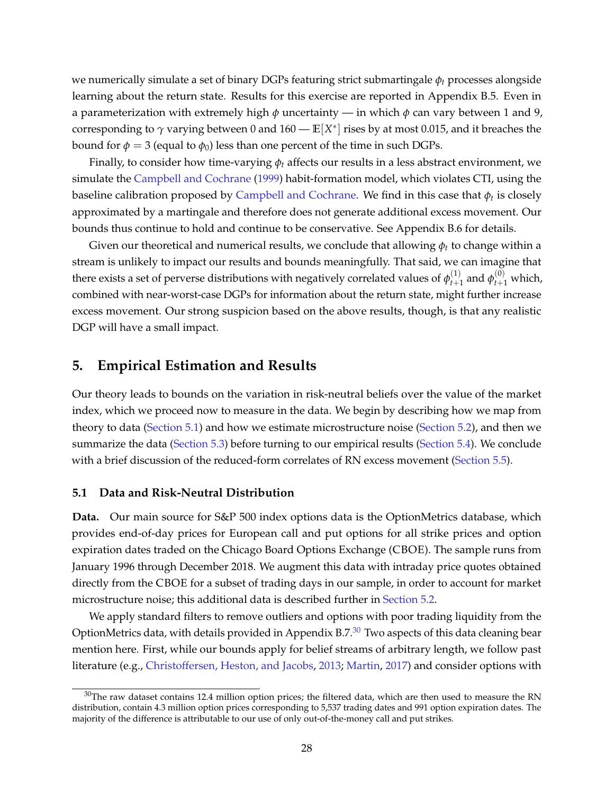we numerically simulate a set of binary DGPs featuring strict submartingale *ϕ<sup>t</sup>* processes alongside learning about the return state. Results for this exercise are reported in Appendix B.5. Even in a parameterization with extremely high  $\phi$  uncertainty — in which  $\phi$  can vary between 1 and 9, corresponding to  $\gamma$  varying between 0 and  $160$  —  $\mathbb{E}[X^*]$  rises by at most 0.015, and it breaches the bound for  $φ = 3$  (equal to  $φ_0$ ) less than one percent of the time in such DGPs.

Finally, to consider how time-varying *ϕ<sup>t</sup>* affects our results in a less abstract environment, we simulate the [Campbell and Cochrane](#page-37-2) [\(1999\)](#page-37-2) habit-formation model, which violates CTI, using the baseline calibration proposed by [Campbell and Cochrane.](#page-37-2) We find in this case that  $\phi_t$  is closely approximated by a martingale and therefore does not generate additional excess movement. Our bounds thus continue to hold and continue to be conservative. See Appendix B.6 for details.

Given our theoretical and numerical results, we conclude that allowing  $\phi_t$  to change within a stream is unlikely to impact our results and bounds meaningfully. That said, we can imagine that there exists a set of perverse distributions with negatively correlated values of  $\phi_{t+\tau}^{(1)}$  $_{t+1}^{(1)}$  and  $\phi_{t+1}^{(0)}$  which, combined with near-worst-case DGPs for information about the return state, might further increase excess movement. Our strong suspicion based on the above results, though, is that any realistic DGP will have a small impact.

## <span id="page-28-0"></span>**5. Empirical Estimation and Results**

Our theory leads to bounds on the variation in risk-neutral beliefs over the value of the market index, which we proceed now to measure in the data. We begin by describing how we map from theory to data [\(Section 5.1\)](#page-28-1) and how we estimate microstructure noise [\(Section 5.2\)](#page-30-0), and then we summarize the data [\(Section 5.3\)](#page-32-0) before turning to our empirical results [\(Section 5.4\)](#page-33-0). We conclude with a brief discussion of the reduced-form correlates of RN excess movement [\(Section 5.5\)](#page-36-1).

#### <span id="page-28-1"></span>**5.1 Data and Risk-Neutral Distribution**

**Data.** Our main source for S&P 500 index options data is the OptionMetrics database, which provides end-of-day prices for European call and put options for all strike prices and option expiration dates traded on the Chicago Board Options Exchange (CBOE). The sample runs from January 1996 through December 2018. We augment this data with intraday price quotes obtained directly from the CBOE for a subset of trading days in our sample, in order to account for market microstructure noise; this additional data is described further in [Section 5.2.](#page-30-0)

We apply standard filters to remove outliers and options with poor trading liquidity from the OptionMetrics data, with details provided in [Appendix B.7.](#page-22-0) $^{\text{30}}$  $^{\text{30}}$  $^{\text{30}}$  Two aspects of this data cleaning bear mention here. First, while our bounds apply for belief streams of arbitrary length, we follow past literature (e.g., [Christoffersen, Heston, and Jacobs,](#page-37-15) [2013;](#page-37-15) [Martin,](#page-38-22) [2017\)](#page-38-22) and consider options with

<span id="page-28-2"></span> $30$ The raw dataset contains 12.4 million option prices; the filtered data, which are then used to measure the RN distribution, contain 4.3 million option prices corresponding to 5,537 trading dates and 991 option expiration dates. The majority of the difference is attributable to our use of only out-of-the-money call and put strikes.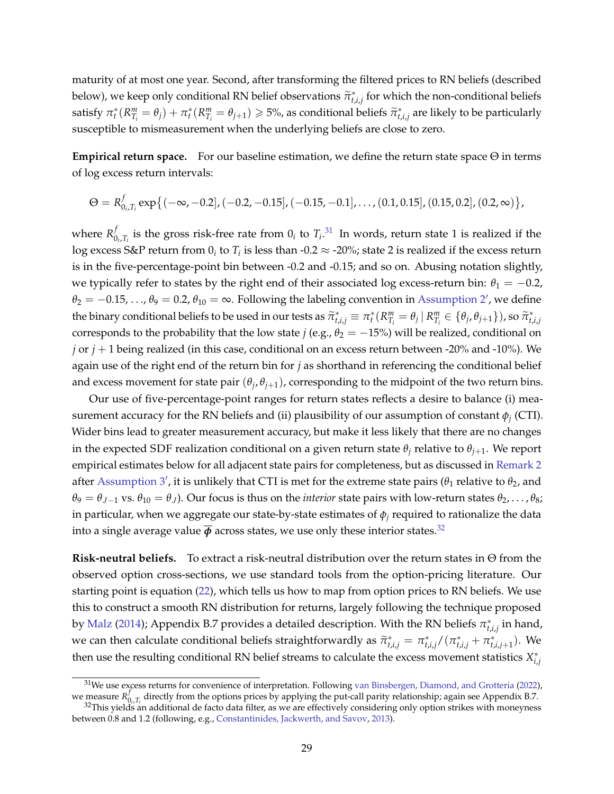maturity of at most one year. Second, after transforming the filtered prices to RN beliefs (described below), we keep only conditional RN belief observations  $\tilde{\pi}_{t,i,j}^*$  for which the non-conditional beliefs satisfy  $\pi_t^*(R_{T_i}^m = \theta_j) + \pi_t^*(R_{T_i}^m = \theta_{j+1}) \geq 5\%$ , as conditional beliefs  $\widetilde{\pi}_{t,i,j}^*$  are likely to be particularly susceptible to mismeasurement when the underlying beliefs are close to zero.

**Empirical return space.** For our baseline estimation, we define the return state space Θ in terms of log excess return intervals:

$$
\Theta = R_{0_i, T_i}^f \exp\{(-\infty, -0.2], (-0.2, -0.15], (-0.15, -0.1], \ldots, (0.1, 0.15], (0.15, 0.2], (0.2, \infty)\},\
$$

where  $R_0^f$  $\int_{0_i}^{t}$  is the gross risk-free rate from  $0_i$  to  $T_i$ .<sup>[31](#page-29-0)</sup> In words, return state 1 is realized if the  $\log$  excess S&P return from  $0_i$  to  $T_i$  is less than -0.2  $\approx$  -20%; state 2 is realized if the excess return is in the five-percentage-point bin between -0.2 and -0.15; and so on. Abusing notation slightly, we typically refer to states by the right end of their associated log excess-return bin:  $\theta_1 = -0.2$ ,  $\theta_2 = -0.15, \ldots, \theta_9 = 0.2, \theta_{10} = \infty$ . Following the labeling convention in [Assumption 2](#page-20-3)', we define the binary conditional beliefs to be used in our tests as  $\widetilde{\pi}_{t,i,j}^* \equiv \pi_t^* (R_{T_i}^m = \theta_j | R_{T_i}^m \in \{\theta_j, \theta_{j+1}\})$ , so  $\widetilde{\pi}_{t,i,j}^*$ corresponds to the probability that the low state *j* (e.g.,  $\theta_2 = -15\%$ ) will be realized, conditional on *j* or *j* + 1 being realized (in this case, conditional on an excess return between -20% and -10%). We again use of the right end of the return bin for *j* as shorthand in referencing the conditional belief and excess movement for state pair  $(\theta_j, \theta_{j+1})$ , corresponding to the midpoint of the two return bins.

Our use of five-percentage-point ranges for return states reflects a desire to balance (i) measurement accuracy for the RN beliefs and (ii) plausibility of our assumption of constant  $\phi_j$  (CTI). Wider bins lead to greater measurement accuracy, but make it less likely that there are no changes in the expected SDF realization conditional on a given return state  $\theta$ <sup>*j*</sup> relative to  $\theta$ <sup>*j*+1</sub>. We report</sup> empirical estimates below for all adjacent state pairs for completeness, but as discussed in [Remark 2](#page-21-3) after [Assumption 3](#page-20-2)', it is unlikely that CTI is met for the extreme state pairs ( $\theta_1$  relative to  $\theta_2$ , and  $\theta_9 = \theta_{J-1}$  vs.  $\theta_{10} = \theta_J$ ). Our focus is thus on the *interior* state pairs with low-return states  $\theta_2, \ldots, \theta_8$ ; in particular, when we aggregate our state-by-state estimates of *ϕ<sup>j</sup>* required to rationalize the data into a single average value  $\bar{\phi}$  across states, we use only these interior states.<sup>[32](#page-29-1)</sup>

**Risk-neutral beliefs.** To extract a risk-neutral distribution over the return states in Θ from the observed option cross-sections, we use standard tools from the option-pricing literature. Our starting point is equation [\(22\)](#page-18-4), which tells us how to map from option prices to RN beliefs. We use this to construct a smooth RN distribution for returns, largely following the technique proposed by [Malz](#page-38-23) [\(2014\)](#page-38-23); [Appendix B.7](#page-22-0) provides a detailed description. With the RN beliefs  $\pi^*_{t,i,j}$  in hand, we can then calculate conditional beliefs straightforwardly as  $\tilde{\pi}_{t,i,j}^* = \pi_{t,i,j}^*/(\pi_{t,i,j}^* + \pi_{t,i,j+1}^*)$ . We then use the resulting conditional RN belief streams to calculate the excess movement statistics *X* ∗ *i*,*j*

<span id="page-29-0"></span><sup>&</sup>lt;sup>31</sup>We use excess returns for convenience of interpretation. Following [van Binsbergen, Diamond, and Grotteria](#page-37-16) [\(2022\)](#page-37-16), we measure *R f*  $\mathcal{O}_{0i,\mathcal{T}_i}$  directly from the options prices by applying the put-call parity relationship; again see [Appendix B.7.](#page-22-0)

<span id="page-29-1"></span><sup>&</sup>lt;sup>32</sup>This yields an additional de facto data filter, as we are effectively considering only option strikes with moneyness between 0.8 and 1.2 (following, e.g., [Constantinides, Jackwerth, and Savov,](#page-37-17) [2013\)](#page-37-17).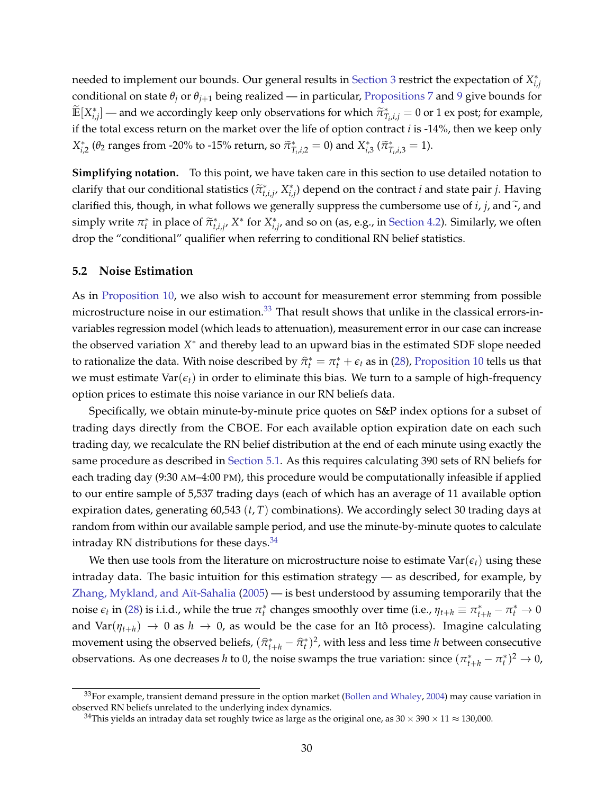needed to implement our bounds. Our general results in [Section 3](#page-17-0) restrict the expectation of *X* ∗ *i*,*j* conditional on state  $\theta_j$  or  $\theta_{j+1}$  being realized — in particular, [Propositions 7](#page-22-2) and [9](#page-24-7) give bounds for  $\widetilde{\mathbb{E}}[X_{i,j}^*]=$  and we accordingly keep only observations for which  $\widetilde{\pi}^*_I$  $T_{i,i,j} = 0$  or 1 ex post; for example, if the total excess return on the market over the life of option contract *i* is -14%, then we keep only *X*<sub>*i*,2</sub> (θ<sub>2</sub> ranges from -20% to -15% return, so  $\tilde{\pi}_{T}^{*}$  $\tilde{T}_{i,i,2} = 0$ ) and  $X_{i,3}^*$  ( $\tilde{\pi}_T^*$  $T_{i,i,3}^* = 1$ .

**Simplifying notation.** To this point, we have taken care in this section to use detailed notation to clarify that our conditional statistics  $(\tilde{\pi}_{t,i,j}^*, X_{i,j}^*)$  depend on the contract *i* and state pair *j*. Having clarified this, though, in what follows we generally suppress the cumbersome use of  $i$ ,  $j$ , and  $\tilde{\cdot}$ , and simply write  $\pi_i^*$  in place of  $\tilde{\pi}_{i,j}^*$ ,  $X^*$  for  $X_{i,j}^*$ , and so on (as, e.g., in [Section 4.2\)](#page-26-1). Similarly, we often drop the "conditional" qualifier when referring to conditional RN belief statistics.

### <span id="page-30-0"></span>**5.2 Noise Estimation**

As in [Proposition 10,](#page-26-3) we also wish to account for measurement error stemming from possible microstructure noise in our estimation.<sup>[33](#page-30-1)</sup> That result shows that unlike in the classical errors-invariables regression model (which leads to attenuation), measurement error in our case can increase the observed variation *X* <sup>∗</sup> and thereby lead to an upward bias in the estimated SDF slope needed to rationalize the data. With noise described by  $\hat{\pi}_t^* = \pi_t^* + \epsilon_t$  as in [\(28\)](#page-26-4), [Proposition 10](#page-26-3) tells us that we must estimate  $Var(\epsilon_t)$  in order to eliminate this bias. We turn to a sample of high-frequency option prices to estimate this noise variance in our RN beliefs data.

Specifically, we obtain minute-by-minute price quotes on S&P index options for a subset of trading days directly from the CBOE. For each available option expiration date on each such trading day, we recalculate the RN belief distribution at the end of each minute using exactly the same procedure as described in [Section 5.1.](#page-28-1) As this requires calculating 390 sets of RN beliefs for each trading day (9:30 AM–4:00 PM), this procedure would be computationally infeasible if applied to our entire sample of 5,537 trading days (each of which has an average of 11 available option expiration dates, generating 60,543 (*t*, *T*) combinations). We accordingly select 30 trading days at random from within our available sample period, and use the minute-by-minute quotes to calculate intraday RN distributions for these days.  $34$ 

We then use tools from the literature on microstructure noise to estimate  $Var(\epsilon_t)$  using these intraday data. The basic intuition for this estimation strategy — as described, for example, by [Zhang, Mykland, and Aït-Sahalia](#page-38-24) [\(2005\)](#page-38-24) — is best understood by assuming temporarily that the noise  $\epsilon_t$  in [\(28\)](#page-26-4) is i.i.d., while the true  $\pi_t^*$  changes smoothly over time (i.e.,  $\eta_{t+h} \equiv \pi_{t+h}^* - \pi_t^* \to 0$ and Var( $\eta_{t+h}$ )  $\rightarrow$  0 as  $h \rightarrow 0$ , as would be the case for an Itô process). Imagine calculating movement using the observed beliefs,  $(\widehat{\pi}_{t+h}^* - \widehat{\pi}_t^*)^2$ , with less and less time *h* between consecutive observations. As one decreases *h* to 0, the noise swamps the true variation: since  $(\pi^*_{t+h} - \pi^*_t)^2 \to 0$ ,

<span id="page-30-1"></span> $33$ For example, transient demand pressure in the option market [\(Bollen and Whaley,](#page-37-18) [2004\)](#page-37-18) may cause variation in observed RN beliefs unrelated to the underlying index dynamics.

<span id="page-30-2"></span><sup>&</sup>lt;sup>34</sup>This yields an intraday data set roughly twice as large as the original one, as  $30 \times 390 \times 11 \approx 130,000$ .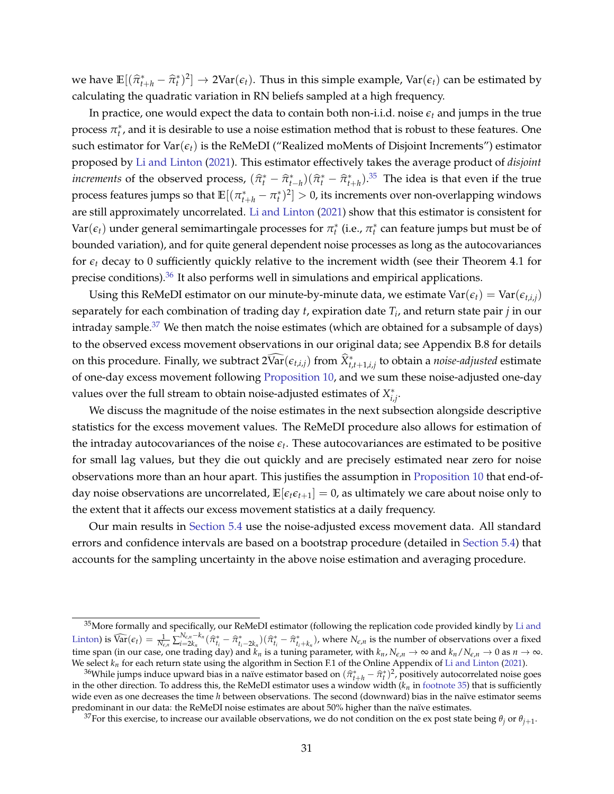we have  $\mathbb{E}[(\hat{\pi}_{t+h}^* - \hat{\pi}_t^*)^2] \to 2\text{Var}(\epsilon_t)$ . Thus in this simple example,  $\text{Var}(\epsilon_t)$  can be estimated by calculating the quadratic variation in RN beliefs sampled at a high frequency.

In practice, one would expect the data to contain both non-i.i.d. noise *ϵ<sup>t</sup>* and jumps in the true process  $\pi_t^*$ , and it is desirable to use a noise estimation method that is robust to these features. One such estimator for  $\text{Var}(\epsilon_t)$  is the ReMeDI ("Realized moMents of Disjoint Increments") estimator proposed by [Li and Linton](#page-38-2) [\(2021\)](#page-38-2). This estimator effectively takes the average product of *disjoint increments* of the observed process,  $(\hat{\pi}_t^* - \hat{\pi}_{t+h}^*) (\hat{\pi}_t^* - \hat{\pi}_{t+h}^*)$ .<sup>[35](#page-31-0)</sup> The idea is that even if the true process features jumps so that  $\mathbb{E}[(\pi^*_{t+h} - \pi^*_t)^2] > 0$ , its increments over non-overlapping windows are still approximately uncorrelated. [Li and Linton](#page-38-2) [\(2021\)](#page-38-2) show that this estimator is consistent for  $Var(\epsilon_t)$  under general semimartingale processes for  $\pi_t^*$  (i.e.,  $\pi_t^*$  can feature jumps but must be of bounded variation), and for quite general dependent noise processes as long as the autocovariances for  $\epsilon_t$  decay to 0 sufficiently quickly relative to the increment width (see their Theorem 4.1 for precise conditions).<sup>[36](#page-31-1)</sup> It also performs well in simulations and empirical applications.

Using this ReMeDI estimator on our minute-by-minute data, we estimate  $Var(\epsilon_t) = Var(\epsilon_{t,i,j})$ separately for each combination of trading day *t*, expiration date *T<sup>i</sup>* , and return state pair *j* in our intraday sample.<sup>[37](#page-31-2)</sup> We then match the noise estimates (which are obtained for a subsample of days) to the observed excess movement observations in our original data; see Appendix B.8 for details on this procedure. Finally, we subtract  $2\widehat{\text{Var}}(\epsilon_{t,i,j})$  from  $\widehat{X}^*_{t,t+1,i,j}$  to obtain a *noise-adjusted* estimate of one-day excess movement following [Proposition 10,](#page-26-3) and we sum these noise-adjusted one-day values over the full stream to obtain noise-adjusted estimates of *X* ∗ *i*,*j* .

We discuss the magnitude of the noise estimates in the next subsection alongside descriptive statistics for the excess movement values. The ReMeDI procedure also allows for estimation of the intraday autocovariances of the noise  $\epsilon_t$ . These autocovariances are estimated to be positive for small lag values, but they die out quickly and are precisely estimated near zero for noise observations more than an hour apart. This justifies the assumption in [Proposition 10](#page-26-3) that end-ofday noise observations are uncorrelated,  $\mathbb{E}[\epsilon_t \epsilon_{t+1}] = 0$ , as ultimately we care about noise only to the extent that it affects our excess movement statistics at a daily frequency.

Our main results in [Section 5.4](#page-33-0) use the noise-adjusted excess movement data. All standard errors and confidence intervals are based on a bootstrap procedure (detailed in [Section 5.4\)](#page-33-0) that accounts for the sampling uncertainty in the above noise estimation and averaging procedure.

<span id="page-31-0"></span><sup>&</sup>lt;sup>35</sup>More formally and specifically, our ReMeDI estimator (following the replication code provided kindly by [Li and](#page-38-2) [Linton\)](#page-38-2) is  $\widehat{\text{Var}}(\epsilon_t) = \frac{1}{N_{\epsilon,n}} \sum_{i=2k_n}^{N_{\epsilon,n}-k_n} (\widehat{\pi}_{t_i}^* - \widehat{\pi}_{t_i-2k_n}^*) (\widehat{\pi}_{t_i}^* - \widehat{\pi}_{t_i+k_n}^*)$ , where  $N_{\epsilon,n}$  is the number of observations over a fixed time span (in our case, one trading day) and  $k_n$  is a tuning parameter, with  $k_n$ ,  $N_{\epsilon,n}\to\infty$  and  $k_n/N_{\epsilon,n}\to0$  as  $n\to\infty$ . We select  $k_n$  for each return state using the algorithm in Section F.1 of the Online Appendix of [Li and Linton](#page-38-2) [\(2021\)](#page-38-2).

<span id="page-31-1"></span><sup>&</sup>lt;sup>36</sup>While jumps induce upward bias in a naïve estimator based on  $(\hat{\pi}_{t+h}^* - \hat{\pi}_t^*)^2$ , positively autocorrelated noise goes the city of the student of the PeMeDI estimator uses a *window width*  $(k, \text{ in footpate 25) th$ in the other direction. To address this, the ReMeDI estimator uses a window width  $(k_n$  in [footnote 35\)](#page-31-0) that is sufficiently wide even as one decreases the time *h* between observations. The second (downward) bias in the naïve estimator seems predominant in our data: the ReMeDI noise estimates are about 50% higher than the naïve estimates.

<span id="page-31-2"></span> $^{37}$ For this exercise, to increase our available observations, we do not condition on the ex post state being  $\theta_j$  or  $\theta_{j+1}$ .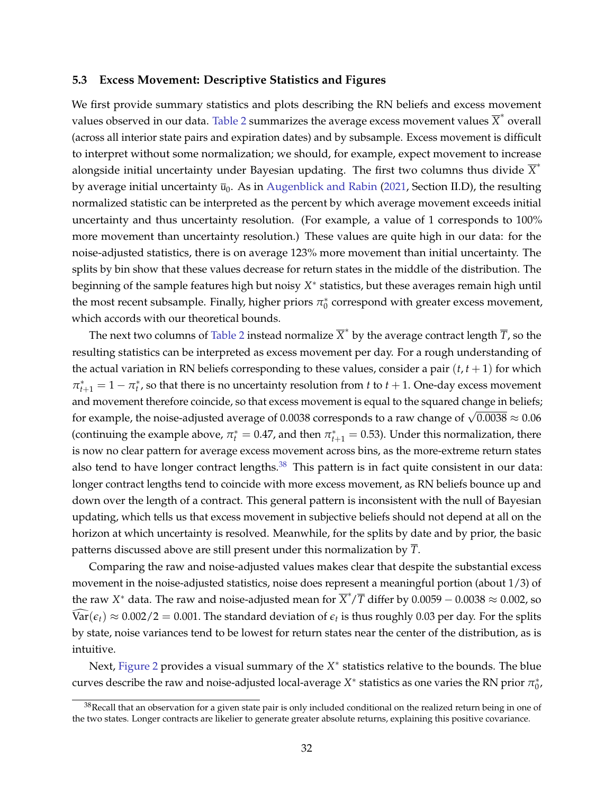#### <span id="page-32-0"></span>**5.3 Excess Movement: Descriptive Statistics and Figures**

We first provide summary statistics and plots describing the RN beliefs and excess movement values observed in our data. [Table 2](#page-40-0) summarizes the average excess movement values  $\overline{X}^*$  overall (across all interior state pairs and expiration dates) and by subsample. Excess movement is difficult to interpret without some normalization; we should, for example, expect movement to increase alongside initial uncertainty under Bayesian updating. The first two columns thus divide  $\overline{X}^*$ by average initial uncertainty  $\bar{u}_0$ . As in [Augenblick and Rabin](#page-37-1) [\(2021,](#page-37-1) Section II.D), the resulting normalized statistic can be interpreted as the percent by which average movement exceeds initial uncertainty and thus uncertainty resolution. (For example, a value of 1 corresponds to 100% more movement than uncertainty resolution.) These values are quite high in our data: for the noise-adjusted statistics, there is on average 123% more movement than initial uncertainty. The splits by bin show that these values decrease for return states in the middle of the distribution. The beginning of the sample features high but noisy *X* ∗ statistics, but these averages remain high until the most recent subsample. Finally, higher priors  $\pi_0^*$  correspond with greater excess movement, which accords with our theoretical bounds.

The next two columns of [Table 2](#page-40-0) instead normalize  $\overline{X}^*$  by the average contract length  $\overline{T}$ , so the resulting statistics can be interpreted as excess movement per day. For a rough understanding of the actual variation in RN beliefs corresponding to these values, consider a pair  $(t, t + 1)$  for which  $\pi^*_{t+1} = 1 - \pi^*_t$ , so that there is no uncertainty resolution from *t* to *t* + 1. One-day excess movement and movement therefore coincide, so that excess movement is equal to the squared change in beliefs; for example, the noise-adjusted average of 0.0038 corresponds to a raw change of  $\sqrt{0.0038} \approx 0.06$ (continuing the example above,  $\pi_t^* = 0.47$ , and then  $\pi_{t+1}^* = 0.53$ ). Under this normalization, there is now no clear pattern for average excess movement across bins, as the more-extreme return states also tend to have longer contract lengths.<sup>[38](#page-32-1)</sup> This pattern is in fact quite consistent in our data: longer contract lengths tend to coincide with more excess movement, as RN beliefs bounce up and down over the length of a contract. This general pattern is inconsistent with the null of Bayesian updating, which tells us that excess movement in subjective beliefs should not depend at all on the horizon at which uncertainty is resolved. Meanwhile, for the splits by date and by prior, the basic patterns discussed above are still present under this normalization by *T*.

Comparing the raw and noise-adjusted values makes clear that despite the substantial excess movement in the noise-adjusted statistics, noise does represent a meaningful portion (about 1/3) of the raw  $X^*$  data. The raw and noise-adjusted mean for  $\overline{X}^*/\overline{T}$  differ by 0.0059 − 0.0038  $\approx$  0.002, so  $\text{Var}(\epsilon_t) \approx 0.002/2 = 0.001$ . The standard deviation of  $\epsilon_t$  is thus roughly 0.03 per day. For the splits by state, noise variances tend to be lowest for return states near the center of the distribution, as is intuitive.

Next, [Figure 2](#page-44-0) provides a visual summary of the X<sup>\*</sup> statistics relative to the bounds. The blue curves describe the raw and noise-adjusted local-average  $X^*$  statistics as one varies the RN prior  $\pi_0^*$ ,

<span id="page-32-1"></span> $38$ Recall that an observation for a given state pair is only included conditional on the realized return being in one of the two states. Longer contracts are likelier to generate greater absolute returns, explaining this positive covariance.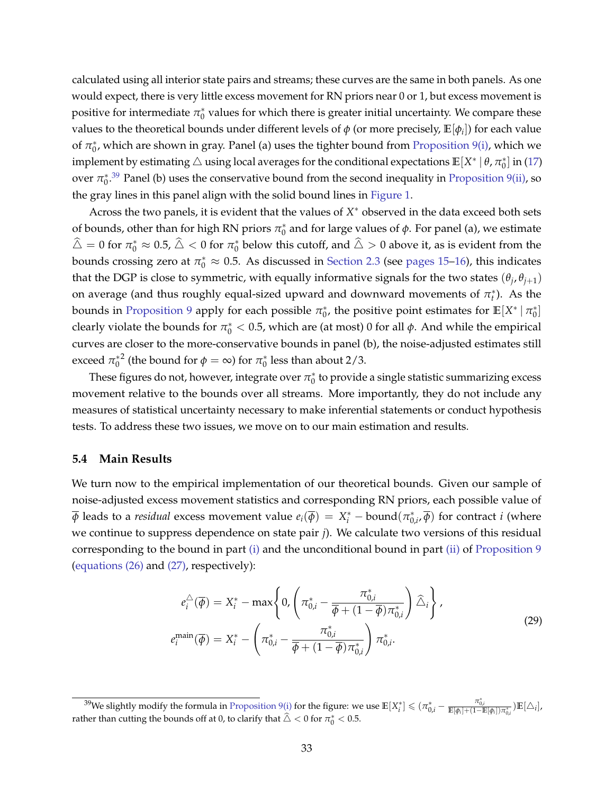calculated using all interior state pairs and streams; these curves are the same in both panels. As one would expect, there is very little excess movement for RN priors near 0 or 1, but excess movement is positive for intermediate  $\pi_0^*$  values for which there is greater initial uncertainty. We compare these values to the theoretical bounds under different levels of  $\phi$  (or more precisely,  $\mathbb{E}[\phi_i]$ ) for each value of  $\pi_0^*$ , which are shown in gray. Panel (a) uses the tighter bound from [Proposition 9](#page-24-7)[\(i\),](#page-24-5) which we  $i$  implement by estimating  $\triangle$  using local averages for the conditional expectations  $\mathbb{E}[X^* \mid \theta, \pi_0^*]$  in [\(17\)](#page-13-8) over  $\pi_0^{*,39}$  $\pi_0^{*,39}$  $\pi_0^{*,39}$  Panel (b) uses the conservative bound from the second inequality in [Proposition 9](#page-24-7)[\(ii\),](#page-24-2) so the gray lines in this panel align with the solid bound lines in [Figure 1.](#page-43-0)

Across the two panels, it is evident that the values of  $X^*$  observed in the data exceed both sets of bounds, other than for high RN priors  $\pi_0^*$  and for large values of  $\phi$ . For panel (a), we estimate  $\hat{\triangle} = 0$  for  $\pi_0^* \approx 0.5$ ,  $\hat{\triangle} < 0$  for  $\pi_0^*$  below this cutoff, and  $\hat{\triangle} > 0$  above it, as is evident from the bounds crossing zero at  $\pi_0^* \approx 0.5$ . As discussed in [Section 2.3](#page-12-0) (see [pages 15–](#page-15-0)[16\)](#page-16-4), this indicates that the DGP is close to symmetric, with equally informative signals for the two states  $(\theta_j, \theta_{j+1})$ on average (and thus roughly equal-sized upward and downward movements of  $\pi_t^*$ ). As the bounds in [Proposition 9](#page-24-7) apply for each possible  $\pi_0^*$ , the positive point estimates for  $\mathbb{E}[X^* | \pi_0^*]$ clearly violate the bounds for  $\pi_0^* < 0.5$ , which are (at most) 0 for all  $\phi$ . And while the empirical curves are closer to the more-conservative bounds in panel (b), the noise-adjusted estimates still exceed  $\pi_0^*$ <sup>2</sup> (the bound for  $\phi = \infty$ ) for  $\pi_0^*$  less than about 2/3.

These figures do not, however, integrate over  $\pi^*_0$  to provide a single statistic summarizing excess movement relative to the bounds over all streams. More importantly, they do not include any measures of statistical uncertainty necessary to make inferential statements or conduct hypothesis tests. To address these two issues, we move on to our main estimation and results.

### <span id="page-33-0"></span>**5.4 Main Results**

We turn now to the empirical implementation of our theoretical bounds. Given our sample of noise-adjusted excess movement statistics and corresponding RN priors, each possible value of  $\overline{\phi}$  leads to a *residual* excess movement value  $e_i(\overline{\phi})\,=\,X^*_i-b \text{ound}(\pi^*_{0,i'}\overline{\phi})$  for contract  $i$  (where we continue to suppress dependence on state pair *j*). We calculate two versions of this residual corresponding to the bound in part [\(i\)](#page-24-5) and the unconditional bound in part [\(ii\)](#page-24-2) of [Proposition 9](#page-24-7) [\(equations \(26\)](#page-24-8) and [\(27\),](#page-24-3) respectively):

<span id="page-33-2"></span>
$$
e_i^{\triangle}(\overline{\phi}) = X_i^* - \max\left\{0, \left(\pi_{0,i}^* - \frac{\pi_{0,i}^*}{\overline{\phi} + (1 - \overline{\phi})\pi_{0,i}^*}\right) \widehat{\triangle}_i\right\},\
$$

$$
e_i^{\text{main}}(\overline{\phi}) = X_i^* - \left(\pi_{0,i}^* - \frac{\pi_{0,i}^*}{\overline{\phi} + (1 - \overline{\phi})\pi_{0,i}^*}\right)\pi_{0,i}^*.
$$
 (29)

<span id="page-33-1"></span><sup>&</sup>lt;sup>39</sup>We slightly modify the formula in [Proposition 9](#page-24-7)[\(i\)](#page-24-5) for the figure: we use  $\mathbb{E}[X_i^*] \le (\pi_{0,i}^* - \frac{\pi_{0,i}^*}{\mathbb{E}[\phi_i] + (1 - \mathbb{E}[\phi_i])\pi_{0,i}^*})\mathbb{E}[\Delta_i],$ rather than cutting the bounds off at 0, to clarify that  $\hat{\triangle} < 0$  for  $\pi^*_0 < 0.5$ .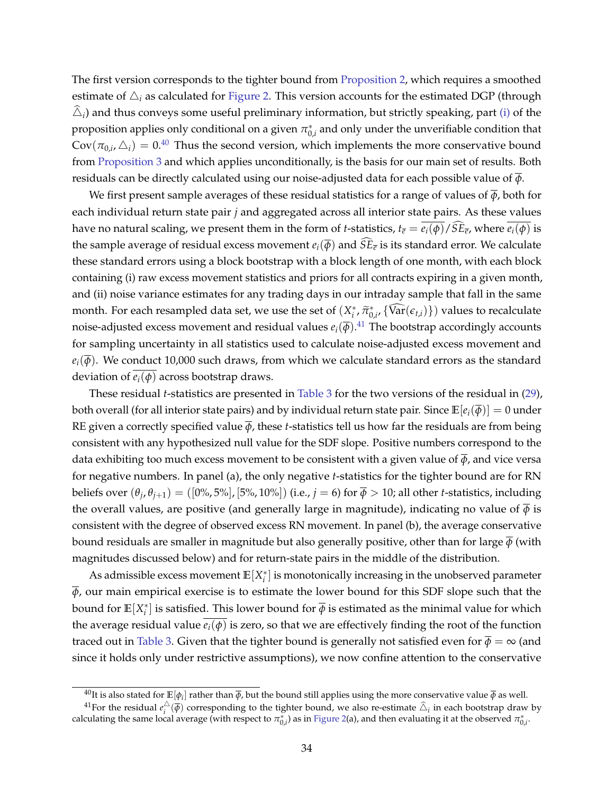The first version corresponds to the tighter bound from [Proposition 2,](#page-13-2) which requires a smoothed estimate of  $\Delta_i$  as calculated for [Figure 2.](#page-44-0) This version accounts for the estimated DGP (through  $\triangle_i$ ) and thus conveys some useful preliminary information, but strictly speaking, part [\(i\)](#page-24-5) of the proposition applies only conditional on a given  $\pi_{0,i}^*$  and only under the unverifiable condition that  $\text{Cov}(\pi_{0,i}, \triangle_i) = 0.40$  $\text{Cov}(\pi_{0,i}, \triangle_i) = 0.40$  Thus the second version, which implements the more conservative bound from [Proposition 3](#page-13-4) and which applies unconditionally, is the basis for our main set of results. Both residuals can be directly calculated using our noise-adjusted data for each possible value of  $\overline{\phi}$ .

We first present sample averages of these residual statistics for a range of values of  $\overline{\phi}$ , both for each individual return state pair *j* and aggregated across all interior state pairs. As these values have no natural scaling, we present them in the form of *t*-statistics,  $t_{\bar{e}} = e_i(\phi) / SE_{\bar{e}}$ , where  $e_i(\phi)$  is the sample average of residual excess movement  $e_i(\overline{\phi})$  and  $SE_{\overline{e}}$  is its standard error. We calculate these standard errors using a block bootstrap with a block length of one month, with each block containing (i) raw excess movement statistics and priors for all contracts expiring in a given month, and (ii) noise variance estimates for any trading days in our intraday sample that fall in the same month. For each resampled data set, we use the set of  $(X_i^*, \tilde{\pi}_{0,i}^*, {\sqrt{\text{ar}}(\epsilon_{t,i})})$  values to recalculate noise-adjusted excess movement and residual values  $e_i(\overline{\phi})$ .<sup>[41](#page-34-1)</sup> The bootstrap accordingly accounts for sampling uncertainty in all statistics used to calculate noise-adjusted excess movement and  $e_i(\overline{\phi})$ . We conduct 10,000 such draws, from which we calculate standard errors as the standard deviation of  $e_i(\phi)$  across bootstrap draws.

These residual *t*-statistics are presented in [Table 3](#page-41-0) for the two versions of the residual in [\(29\)](#page-33-2), both overall (for all interior state pairs) and by individual return state pair. Since  $\mathbb{E}[e_i(\overline{\phi})] = 0$  under RE given a correctly specified value  $\overline{\phi}$ , these *t*-statistics tell us how far the residuals are from being consistent with any hypothesized null value for the SDF slope. Positive numbers correspond to the data exhibiting too much excess movement to be consistent with a given value of  $\overline{\phi}$ , and vice versa for negative numbers. In panel (a), the only negative *t*-statistics for the tighter bound are for RN beliefs over  $(\theta_j,\theta_{j+1})=([0\%,5\%],[5\%,10\%])$  (i.e.,  $j=6)$  for  $\overline{\phi}>10$ ; all other *t*-statistics, including the overall values, are positive (and generally large in magnitude), indicating no value of  $\overline{\phi}$  is consistent with the degree of observed excess RN movement. In panel (b), the average conservative bound residuals are smaller in magnitude but also generally positive, other than for large *ϕ* (with magnitudes discussed below) and for return-state pairs in the middle of the distribution.

As admissible excess movement  $\mathbb{E}[X_i^*]$  is monotonically increasing in the unobserved parameter  $\overline{\phi}$ , our main empirical exercise is to estimate the lower bound for this SDF slope such that the bound for  $\mathbb{E}[X_i^*]$  is satisfied. This lower bound for  $\overline{\phi}$  is estimated as the minimal value for which the average residual value  $e_i(\phi)$  is zero, so that we are effectively finding the root of the function traced out in [Table 3.](#page-41-0) Given that the tighter bound is generally not satisfied even for  $\overline{\phi} = \infty$  (and since it holds only under restrictive assumptions), we now confine attention to the conservative

<span id="page-34-1"></span><span id="page-34-0"></span> $^{40}$ It is also stated for  $\mathbb{E}[\phi_i]$  rather than  $\overline{\phi}$ , but the bound still applies using the more conservative value  $\overline{\phi}$  as well.

<sup>&</sup>lt;sup>41</sup>For the residual  $e_i^{\triangle}(\overline{\phi})$  corresponding to the tighter bound, we also re-estimate  $\widehat{\triangle}_i$  in each bootstrap draw by For the restaudant  $\epsilon_i^+( \psi)$  corresponding to the tighter bound, we also re-estimate  $\Delta_i^+$  in each bootstrap draw<br>calculating the same local average (with respect to  $\pi_{0,i}^*$ ) as in [Figure 2\(](#page-44-0)a), and then evaluating i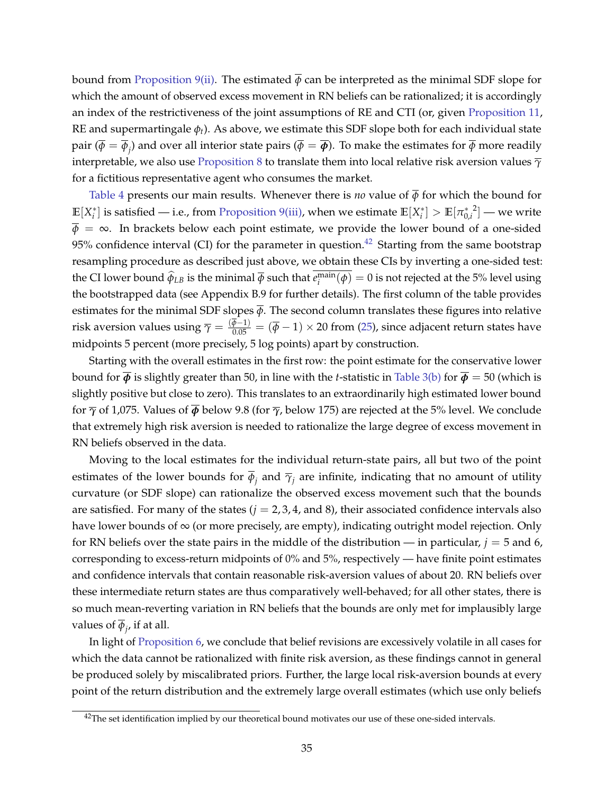bound from [Proposition 9](#page-24-7)[\(ii\).](#page-24-2) The estimated  $\overline{\phi}$  can be interpreted as the minimal SDF slope for which the amount of observed excess movement in RN beliefs can be rationalized; it is accordingly an index of the restrictiveness of the joint assumptions of RE and CTI (or, given [Proposition 11,](#page-27-0) RE and supermartingale *ϕt*). As above, we estimate this SDF slope both for each individual state pair  $(\overline{\phi}=\overline{\phi}_j)$  and over all interior state pairs  $(\overline{\phi}=\overline{\phi})$ . To make the estimates for  $\overline{\phi}$  more readily interpretable, we also use [Proposition 8](#page-23-2) to translate them into local relative risk aversion values *γ* for a fictitious representative agent who consumes the market.

[Table 4](#page-42-0) presents our main results. Whenever there is *no* value of  $\overline{\phi}$  for which the bound for  $\mathbb{E}[X_i^*]$  is satisfied — i.e., from [Proposition 9](#page-24-7)[\(iii\),](#page-24-4) when we estimate  $\mathbb{E}[X_i^*] > \mathbb{E}[\pi_{0,i}^*]$  $\left[2\right]-$  we write  $\overline{\phi} = \infty$ . In brackets below each point estimate, we provide the lower bound of a one-sided 95% confidence interval (CI) for the parameter in question.<sup>[42](#page-35-0)</sup> Starting from the same bootstrap resampling procedure as described just above, we obtain these CIs by inverting a one-sided test: the CI lower bound  $\widehat{\phi}_{LB}$  is the minimal  $\overline{\phi}$  such that  $e_i^{\text{main}}(\phi) = 0$  is not rejected at the 5% level using the bootstrapped data (see Appendix B.9 for further details). The first column of the table provides estimates for the minimal SDF slopes  $\overline{\phi}$ . The second column translates these figures into relative risk aversion values using  $\overline{\gamma}=\frac{(\overline{\phi}-1)}{0.05}=(\overline{\phi}-1)\times 20$  from [\(25\)](#page-23-3), since adjacent return states have midpoints 5 percent (more precisely, 5 log points) apart by construction.

Starting with the overall estimates in the first row: the point estimate for the conservative lower bound for  $\overline{\phi}$  is slightly greater than 50, in line with the *t*-statistic in [Table 3\(b\)](#page-41-0) for  $\overline{\phi}$  = 50 (which is slightly positive but close to zero). This translates to an extraordinarily high estimated lower bound for *γ* of 1,075. Values of *ϕ* below 9.8 (for *γ*, below 175) are rejected at the 5% level. We conclude that extremely high risk aversion is needed to rationalize the large degree of excess movement in RN beliefs observed in the data.

Moving to the local estimates for the individual return-state pairs, all but two of the point estimates of the lower bounds for  $\phi_j$  and  $\overline\gamma_j$  are infinite, indicating that no amount of utility curvature (or SDF slope) can rationalize the observed excess movement such that the bounds are satisfied. For many of the states  $(j = 2, 3, 4, \text{ and } 8)$ , their associated confidence intervals also have lower bounds of  $\infty$  (or more precisely, are empty), indicating outright model rejection. Only for RN beliefs over the state pairs in the middle of the distribution — in particular,  $j = 5$  and 6, corresponding to excess-return midpoints of 0% and 5%, respectively — have finite point estimates and confidence intervals that contain reasonable risk-aversion values of about 20. RN beliefs over these intermediate return states are thus comparatively well-behaved; for all other states, there is so much mean-reverting variation in RN beliefs that the bounds are only met for implausibly large values of *ϕ<sup>j</sup>* , if at all.

In light of [Proposition 6,](#page-16-3) we conclude that belief revisions are excessively volatile in all cases for which the data cannot be rationalized with finite risk aversion, as these findings cannot in general be produced solely by miscalibrated priors. Further, the large local risk-aversion bounds at every point of the return distribution and the extremely large overall estimates (which use only beliefs

<span id="page-35-0"></span> $42$ The set identification implied by our theoretical bound motivates our use of these one-sided intervals.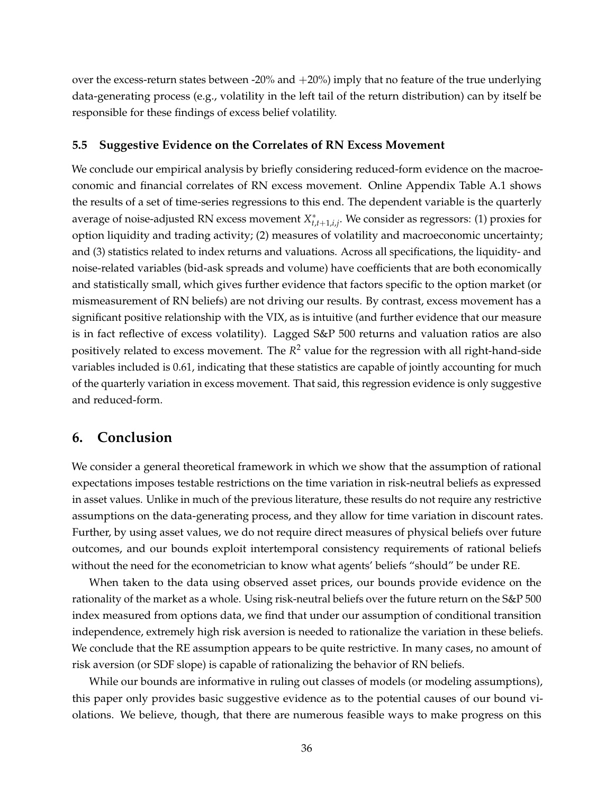over the excess-return states between -20% and +20%) imply that no feature of the true underlying data-generating process (e.g., volatility in the left tail of the return distribution) can by itself be responsible for these findings of excess belief volatility.

#### <span id="page-36-1"></span>**5.5 Suggestive Evidence on the Correlates of RN Excess Movement**

We conclude our empirical analysis by briefly considering reduced-form evidence on the macroeconomic and financial correlates of RN excess movement. Online Appendix Table A.1 shows the results of a set of time-series regressions to this end. The dependent variable is the quarterly average of noise-adjusted RN excess movement *X* ∗ *t*,*t*+1,*i*,*j* . We consider as regressors: (1) proxies for option liquidity and trading activity; (2) measures of volatility and macroeconomic uncertainty; and (3) statistics related to index returns and valuations. Across all specifications, the liquidity- and noise-related variables (bid-ask spreads and volume) have coefficients that are both economically and statistically small, which gives further evidence that factors specific to the option market (or mismeasurement of RN beliefs) are not driving our results. By contrast, excess movement has a significant positive relationship with the VIX, as is intuitive (and further evidence that our measure is in fact reflective of excess volatility). Lagged S&P 500 returns and valuation ratios are also positively related to excess movement. The *R* <sup>2</sup> value for the regression with all right-hand-side variables included is 0.61, indicating that these statistics are capable of jointly accounting for much of the quarterly variation in excess movement. That said, this regression evidence is only suggestive and reduced-form.

# <span id="page-36-0"></span>**6. Conclusion**

We consider a general theoretical framework in which we show that the assumption of rational expectations imposes testable restrictions on the time variation in risk-neutral beliefs as expressed in asset values. Unlike in much of the previous literature, these results do not require any restrictive assumptions on the data-generating process, and they allow for time variation in discount rates. Further, by using asset values, we do not require direct measures of physical beliefs over future outcomes, and our bounds exploit intertemporal consistency requirements of rational beliefs without the need for the econometrician to know what agents' beliefs "should" be under RE.

When taken to the data using observed asset prices, our bounds provide evidence on the rationality of the market as a whole. Using risk-neutral beliefs over the future return on the S&P 500 index measured from options data, we find that under our assumption of conditional transition independence, extremely high risk aversion is needed to rationalize the variation in these beliefs. We conclude that the RE assumption appears to be quite restrictive. In many cases, no amount of risk aversion (or SDF slope) is capable of rationalizing the behavior of RN beliefs.

While our bounds are informative in ruling out classes of models (or modeling assumptions), this paper only provides basic suggestive evidence as to the potential causes of our bound violations. We believe, though, that there are numerous feasible ways to make progress on this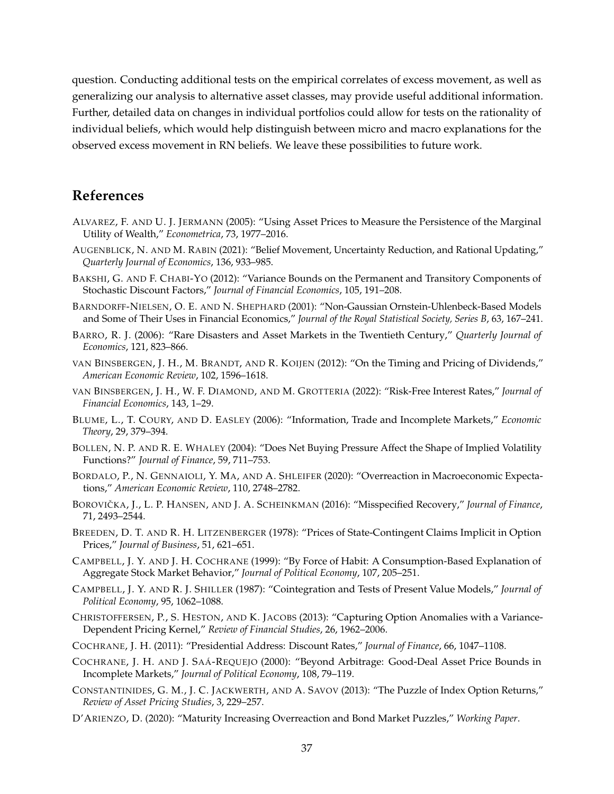question. Conducting additional tests on the empirical correlates of excess movement, as well as generalizing our analysis to alternative asset classes, may provide useful additional information. Further, detailed data on changes in individual portfolios could allow for tests on the rationality of individual beliefs, which would help distinguish between micro and macro explanations for the observed excess movement in RN beliefs. We leave these possibilities to future work.

# **References**

- <span id="page-37-12"></span>ALVAREZ, F. AND U. J. JERMANN (2005): "Using Asset Prices to Measure the Persistence of the Marginal Utility of Wealth," *Econometrica*, 73, 1977–2016.
- <span id="page-37-1"></span>AUGENBLICK, N. AND M. RABIN (2021): "Belief Movement, Uncertainty Reduction, and Rational Updating," *Quarterly Journal of Economics*, 136, 933–985.
- <span id="page-37-13"></span>BAKSHI, G. AND F. CHABI-YO (2012): "Variance Bounds on the Permanent and Transitory Components of Stochastic Discount Factors," *Journal of Financial Economics*, 105, 191–208.
- <span id="page-37-9"></span>BARNDORFF-NIELSEN, O. E. AND N. SHEPHARD (2001): "Non-Gaussian Ornstein-Uhlenbeck-Based Models and Some of Their Uses in Financial Economics," *Journal of the Royal Statistical Society, Series B*, 63, 167–241.
- <span id="page-37-4"></span>BARRO, R. J. (2006): "Rare Disasters and Asset Markets in the Twentieth Century," *Quarterly Journal of Economics*, 121, 823–866.
- <span id="page-37-8"></span>VAN BINSBERGEN, J. H., M. BRANDT, AND R. KOIJEN (2012): "On the Timing and Pricing of Dividends," *American Economic Review*, 102, 1596–1618.
- <span id="page-37-16"></span>VAN BINSBERGEN, J. H., W. F. DIAMOND, AND M. GROTTERIA (2022): "Risk-Free Interest Rates," *Journal of Financial Economics*, 143, 1–29.
- <span id="page-37-11"></span>BLUME, L., T. COURY, AND D. EASLEY (2006): "Information, Trade and Incomplete Markets," *Economic Theory*, 29, 379–394.
- <span id="page-37-18"></span>BOLLEN, N. P. AND R. E. WHALEY (2004): "Does Net Buying Pressure Affect the Shape of Implied Volatility Functions?" *Journal of Finance*, 59, 711–753.
- <span id="page-37-5"></span>BORDALO, P., N. GENNAIOLI, Y. MA, AND A. SHLEIFER (2020): "Overreaction in Macroeconomic Expectations," *American Economic Review*, 110, 2748–2782.
- <span id="page-37-6"></span>BOROVIČKA, J., L. P. HANSEN, AND J. A. SCHEINKMAN (2016): "Misspecified Recovery," *Journal of Finance*, 71, 2493–2544.
- <span id="page-37-10"></span>BREEDEN, D. T. AND R. H. LITZENBERGER (1978): "Prices of State-Contingent Claims Implicit in Option Prices," *Journal of Business*, 51, 621–651.
- <span id="page-37-2"></span>CAMPBELL, J. Y. AND J. H. COCHRANE (1999): "By Force of Habit: A Consumption-Based Explanation of Aggregate Stock Market Behavior," *Journal of Political Economy*, 107, 205–251.
- <span id="page-37-3"></span>CAMPBELL, J. Y. AND R. J. SHILLER (1987): "Cointegration and Tests of Present Value Models," *Journal of Political Economy*, 95, 1062–1088.
- <span id="page-37-15"></span>CHRISTOFFERSEN, P., S. HESTON, AND K. JACOBS (2013): "Capturing Option Anomalies with a Variance-Dependent Pricing Kernel," *Review of Financial Studies*, 26, 1962–2006.
- <span id="page-37-0"></span>COCHRANE, J. H. (2011): "Presidential Address: Discount Rates," *Journal of Finance*, 66, 1047–1108.
- <span id="page-37-14"></span>COCHRANE, J. H. AND J. SAÁ-REQUEJO (2000): "Beyond Arbitrage: Good-Deal Asset Price Bounds in Incomplete Markets," *Journal of Political Economy*, 108, 79–119.
- <span id="page-37-17"></span>CONSTANTINIDES, G. M., J. C. JACKWERTH, AND A. SAVOV (2013): "The Puzzle of Index Option Returns," *Review of Asset Pricing Studies*, 3, 229–257.
- <span id="page-37-7"></span>D'ARIENZO, D. (2020): "Maturity Increasing Overreaction and Bond Market Puzzles," *Working Paper*.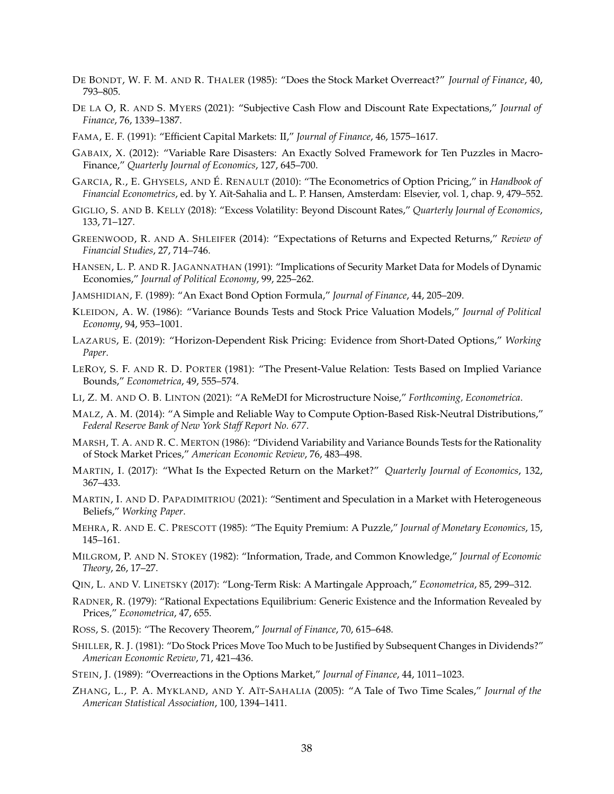- <span id="page-38-4"></span>DE BONDT, W. F. M. AND R. THALER (1985): "Does the Stock Market Overreact?" *Journal of Finance*, 40, 793–805.
- <span id="page-38-13"></span>DE LA O, R. AND S. MYERS (2021): "Subjective Cash Flow and Discount Rate Expectations," *Journal of Finance*, 76, 1339–1387.
- <span id="page-38-1"></span>FAMA, E. F. (1991): "Efficient Capital Markets: II," *Journal of Finance*, 46, 1575–1617.
- <span id="page-38-11"></span>GABAIX, X. (2012): "Variable Rare Disasters: An Exactly Solved Framework for Ten Puzzles in Macro-Finance," *Quarterly Journal of Economics*, 127, 645–700.
- <span id="page-38-14"></span>GARCIA, R., E. GHYSELS, AND É. RENAULT (2010): "The Econometrics of Option Pricing," in *Handbook of Financial Econometrics*, ed. by Y. Aït-Sahalia and L. P. Hansen, Amsterdam: Elsevier, vol. 1, chap. 9, 479–552.
- <span id="page-38-8"></span>GIGLIO, S. AND B. KELLY (2018): "Excess Volatility: Beyond Discount Rates," *Quarterly Journal of Economics*, 133, 71–127.
- <span id="page-38-12"></span>GREENWOOD, R. AND A. SHLEIFER (2014): "Expectations of Returns and Expected Returns," *Review of Financial Studies*, 27, 714–746.
- <span id="page-38-10"></span>HANSEN, L. P. AND R. JAGANNATHAN (1991): "Implications of Security Market Data for Models of Dynamic Economies," *Journal of Political Economy*, 99, 225–262.
- <span id="page-38-16"></span>JAMSHIDIAN, F. (1989): "An Exact Bond Option Formula," *Journal of Finance*, 44, 205–209.
- <span id="page-38-6"></span>KLEIDON, A. W. (1986): "Variance Bounds Tests and Stock Price Valuation Models," *Journal of Political Economy*, 94, 953–1001.
- <span id="page-38-21"></span>LAZARUS, E. (2019): "Horizon-Dependent Risk Pricing: Evidence from Short-Dated Options," *Working Paper*.
- <span id="page-38-3"></span>LEROY, S. F. AND R. D. PORTER (1981): "The Present-Value Relation: Tests Based on Implied Variance Bounds," *Econometrica*, 49, 555–574.
- <span id="page-38-2"></span>LI, Z. M. AND O. B. LINTON (2021): "A ReMeDI for Microstructure Noise," *Forthcoming, Econometrica*.
- <span id="page-38-23"></span>MALZ, A. M. (2014): "A Simple and Reliable Way to Compute Option-Based Risk-Neutral Distributions," *Federal Reserve Bank of New York Staff Report No. 677*.
- <span id="page-38-7"></span>MARSH, T. A. AND R. C. MERTON (1986): "Dividend Variability and Variance Bounds Tests for the Rationality of Stock Market Prices," *American Economic Review*, 76, 483–498.
- <span id="page-38-22"></span>MARTIN, I. (2017): "What Is the Expected Return on the Market?" *Quarterly Journal of Economics*, 132, 367–433.
- <span id="page-38-20"></span>MARTIN, I. AND D. PAPADIMITRIOU (2021): "Sentiment and Speculation in a Market with Heterogeneous Beliefs," *Working Paper*.
- <span id="page-38-9"></span>MEHRA, R. AND E. C. PRESCOTT (1985): "The Equity Premium: A Puzzle," *Journal of Monetary Economics*, 15, 145–161.
- <span id="page-38-19"></span>MILGROM, P. AND N. STOKEY (1982): "Information, Trade, and Common Knowledge," *Journal of Economic Theory*, 26, 17–27.
- <span id="page-38-17"></span>QIN, L. AND V. LINETSKY (2017): "Long-Term Risk: A Martingale Approach," *Econometrica*, 85, 299–312.
- <span id="page-38-18"></span>RADNER, R. (1979): "Rational Expectations Equilibrium: Generic Existence and the Information Revealed by Prices," *Econometrica*, 47, 655.
- <span id="page-38-15"></span>ROSS, S. (2015): "The Recovery Theorem," *Journal of Finance*, 70, 615–648.
- <span id="page-38-0"></span>SHILLER, R. J. (1981): "Do Stock Prices Move Too Much to be Justified by Subsequent Changes in Dividends?" *American Economic Review*, 71, 421–436.
- <span id="page-38-5"></span>STEIN, J. (1989): "Overreactions in the Options Market," *Journal of Finance*, 44, 1011–1023.
- <span id="page-38-24"></span>ZHANG, L., P. A. MYKLAND, AND Y. AÏT-SAHALIA (2005): "A Tale of Two Time Scales," *Journal of the American Statistical Association*, 100, 1394–1411.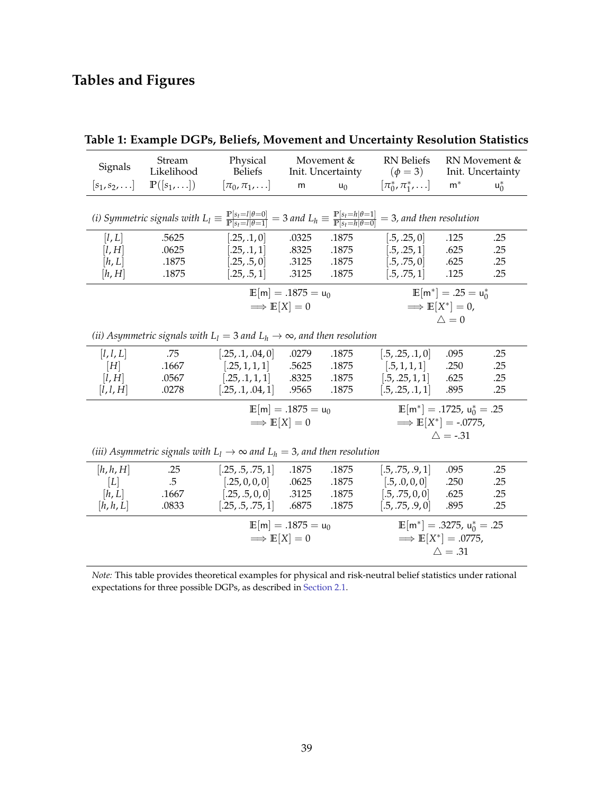# **Tables and Figures**

<span id="page-39-0"></span>

|                                                                                                                                                                                                                                                               | Stream                                          | Physical                                                                                  |                   | Movement & | <b>RN</b> Beliefs                                  |                    | RN Movement &     |  |
|---------------------------------------------------------------------------------------------------------------------------------------------------------------------------------------------------------------------------------------------------------------|-------------------------------------------------|-------------------------------------------------------------------------------------------|-------------------|------------|----------------------------------------------------|--------------------|-------------------|--|
| Signals                                                                                                                                                                                                                                                       | Likelihood                                      | <b>Beliefs</b>                                                                            | Init. Uncertainty |            | $(\phi = 3)$                                       |                    | Init. Uncertainty |  |
| $[s_1,s_2,\ldots]$                                                                                                                                                                                                                                            | $\mathbb{P}([s_1,\ldots])$                      | $[\pi_0, \pi_1, \ldots]$                                                                  | m                 | $u_0$      | $[\pi_0^*, \pi_1^*, \ldots]$                       | $m^*$              | $u_0^*$           |  |
|                                                                                                                                                                                                                                                               |                                                 |                                                                                           |                   |            |                                                    |                    |                   |  |
| (i) Symmetric signals with $L_l \equiv \frac{\mathbb{P}[s_l = l   \theta = 0]}{\mathbb{P}[s_l = l   \theta = 1]} = 3$ and $L_h \equiv \frac{\mathbb{P}[s_l = h   \theta = 1]}{\mathbb{P}[s_l = h   \theta = 0]}$<br>$=$ 3, and then resolution                |                                                 |                                                                                           |                   |            |                                                    |                    |                   |  |
| [l, L]                                                                                                                                                                                                                                                        | .5625                                           | [.25, .1, 0]                                                                              | .0325             | .1875      | [.5, .25, 0]                                       | .125               | .25               |  |
| [l, H]                                                                                                                                                                                                                                                        | .0625                                           | [.25, .1, 1]                                                                              | .8325             | .1875      | [.5, .25, 1]                                       | .625               | .25               |  |
| [h, L]                                                                                                                                                                                                                                                        | .1875                                           | [.25, .5, 0]                                                                              | .3125             | .1875      | [.5, .75, 0]                                       | .625               | .25               |  |
| [h,H]                                                                                                                                                                                                                                                         | .1875                                           | [.25, .5, 1]                                                                              | .3125             | .1875      | [.5, .75, 1]                                       | .125               | .25               |  |
|                                                                                                                                                                                                                                                               | $\mathbb{E}[\mathsf{m}] = .1875 = \mathsf{u}_0$ |                                                                                           |                   |            | $\mathbb{E}[\mathsf{m}^*] = .25 = \mathsf{u}_0^*$  |                    |                   |  |
|                                                                                                                                                                                                                                                               |                                                 | $\implies$ $E[X] = 0$                                                                     |                   |            | $\implies$ $E[X^*] = 0$ ,                          |                    |                   |  |
|                                                                                                                                                                                                                                                               |                                                 |                                                                                           |                   |            |                                                    | $\triangle = 0$    |                   |  |
|                                                                                                                                                                                                                                                               |                                                 | (ii) Asymmetric signals with $L_l = 3$ and $L_h \rightarrow \infty$ , and then resolution |                   |            |                                                    |                    |                   |  |
| [l, l, L]                                                                                                                                                                                                                                                     | .75                                             | [.25, .1, .04, 0]                                                                         | .0279             | .1875      | [.5, .25, .1, 0]                                   | .095               | .25               |  |
| $[H] \centering% \includegraphics[width=1\textwidth]{Figures/PN1.png} \caption{The 3D (top) and the 4D (bottom) are shown in Fig.~\ref{fig:13}. The 4D (bottom) is used for the 4D (bottom) and the 4D (bottom) is used for the 4D (bottom).} \label{fig:13}$ | .1667                                           | [.25, 1, 1, 1]                                                                            | .5625             | .1875      | [.5, 1, 1, 1]                                      | .250               | .25               |  |
| [l, H]                                                                                                                                                                                                                                                        | .0567                                           | [.25, .1, 1, 1]                                                                           | .8325             | .1875      | [.5, .25, 1, 1]                                    | .625               | .25               |  |
| [l, l, H]                                                                                                                                                                                                                                                     | .0278                                           | [.25, .1, .04, 1]                                                                         | .9565             | .1875      | [.5, .25, .1, 1]                                   | .895               | .25               |  |
|                                                                                                                                                                                                                                                               |                                                 | $\mathbb{E}[\mathsf{m}] = .1875 = \mathsf{u}_0$                                           |                   |            | $\mathbb{E}[\mathsf{m}^*] = .1725$ , $u_0^* = .25$ |                    |                   |  |
|                                                                                                                                                                                                                                                               |                                                 | $\implies$ $E[X] = 0$                                                                     |                   |            | $\implies$ $E[X^*] = -.0775$ ,                     |                    |                   |  |
|                                                                                                                                                                                                                                                               |                                                 |                                                                                           |                   |            |                                                    | $\triangle$ = -.31 |                   |  |
| (iii) Asymmetric signals with $L_1 \rightarrow \infty$ and $L_h = 3$ , and then resolution                                                                                                                                                                    |                                                 |                                                                                           |                   |            |                                                    |                    |                   |  |
| [h, h, H]                                                                                                                                                                                                                                                     | .25                                             | [.25, .5, .75, 1]                                                                         | .1875             | .1875      | [.5, .75, .9, 1]                                   | .095               | .25               |  |
| [L]                                                                                                                                                                                                                                                           | $.5\,$                                          | [.25, 0, 0, 0]                                                                            | .0625             | .1875      | [.5, .0, 0, 0]                                     | .250               | .25               |  |
| [h, L]                                                                                                                                                                                                                                                        | .1667                                           | [.25, .5, 0, 0]                                                                           | .3125             | .1875      | [.5, .75, 0, 0]                                    | .625               | .25               |  |
| [h, h, L]                                                                                                                                                                                                                                                     | .0833                                           | [.25, .5, .75, 1]                                                                         | .6875             | .1875      | [.5, .75, .9, 0]                                   | .895               | .25               |  |
|                                                                                                                                                                                                                                                               |                                                 | $\mathbb{E}[\mathsf{m}] = .1875 = \mathsf{u}_0$                                           |                   |            | $\mathbb{E}[\mathsf{m}^*] = .3275$ , $u_0^* = .25$ |                    |                   |  |
|                                                                                                                                                                                                                                                               |                                                 | $\implies$ $E[X] = 0$                                                                     |                   |            | $\implies$ $E[X^*] = .0775$ ,                      |                    |                   |  |
|                                                                                                                                                                                                                                                               |                                                 |                                                                                           |                   |            |                                                    | $\triangle = .31$  |                   |  |
|                                                                                                                                                                                                                                                               |                                                 |                                                                                           |                   |            |                                                    |                    |                   |  |

# **Table 1: Example DGPs, Beliefs, Movement and Uncertainty Resolution Statistics**

*Note:* This table provides theoretical examples for physical and risk-neutral belief statistics under rational expectations for three possible DGPs, as described in [Section 2.1.](#page-6-1)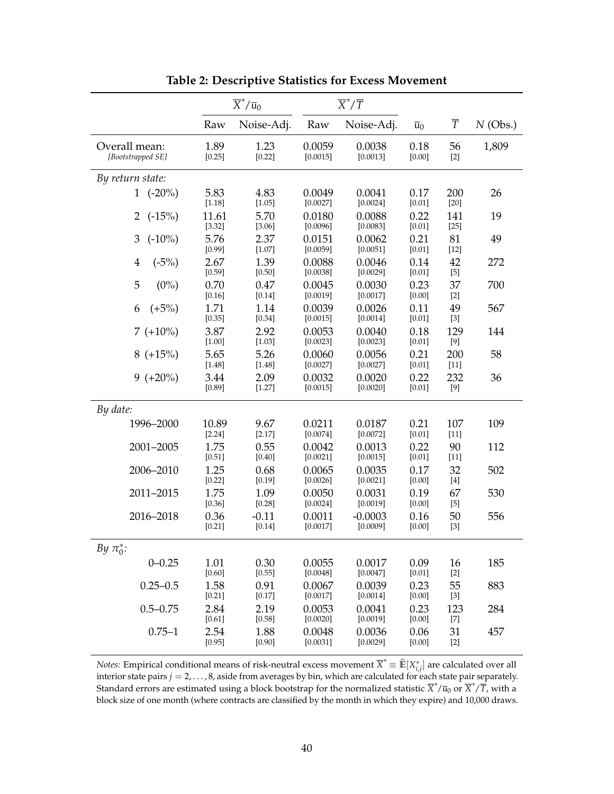<span id="page-40-0"></span>

|                                    |                   | $\overline{X}^*/\overline{u}_0$ | $\overline{X}^*/\overline{T}$ |                       |                  |                |            |
|------------------------------------|-------------------|---------------------------------|-------------------------------|-----------------------|------------------|----------------|------------|
|                                    | Raw               | Noise-Adj.                      | Raw                           | Noise-Adj.            | $\overline{u}_0$ | $\overline{T}$ | $N$ (Obs.) |
| Overall mean:<br>[Bootstrapped SE] | 1.89<br>[0.25]    | 1.23<br>[0.22]                  | 0.0059<br>[0.0015]            | 0.0038<br>[0.0013]    | 0.18<br>[0.00]   | 56<br>$[2]$    | 1,809      |
| By return state:                   |                   |                                 |                               |                       |                  |                |            |
| 1 $(-20\%)$                        | 5.83<br>[1.18]    | 4.83<br>[1.05]                  | 0.0049<br>[0.0027]            | 0.0041<br>[0.0024]    | 0.17<br>[0.01]   | 200<br>$[20]$  | 26         |
| $(-15%)$<br>2                      | 11.61<br>[3.32]   | 5.70<br>[3.06]                  | 0.0180<br>[0.0096]            | 0.0088<br>[0.0083]    | 0.22<br>[0.01]   | 141<br>$[25]$  | 19         |
| 3<br>$(-10\%)$                     | 5.76<br>[0.99]    | 2.37<br>[1.07]                  | 0.0151<br>[0.0059]            | 0.0062<br>[0.0051]    | 0.21<br>[0.01]   | 81<br>$[12]$   | 49         |
| $\overline{4}$<br>$(-5%)$          | 2.67<br>[0.59]    | 1.39<br>$[0.50]$                | 0.0088<br>[0.0038]            | 0.0046<br>[0.0029]    | 0.14<br>[0.01]   | 42<br>$[5]$    | 272        |
| 5<br>$(0\%)$                       | 0.70<br>[0.16]    | 0.47<br>$[0.14]$                | 0.0045<br>[0.0019]            | 0.0030<br>[0.0017]    | 0.23<br>[0.00]   | 37<br>$[2]$    | 700        |
| $(+5%)$<br>6                       | 1.71<br>[0.35]    | 1.14<br>[0.34]                  | 0.0039<br>[0.0015]            | 0.0026<br>[0.0014]    | 0.11<br>[0.01]   | 49<br>$[3]$    | 567        |
| $7 (+10\%)$                        | 3.87<br>$[1.00]$  | 2.92<br>[1.03]                  | 0.0053<br>[0.0023]            | 0.0040<br>[0.0023]    | 0.18<br>[0.01]   | 129<br>$[9]$   | 144        |
| $8 (+15%)$                         | 5.65<br>[1.48]    | 5.26<br>[1.48]                  | 0.0060<br>[0.0027]            | 0.0056<br>[0.0027]    | 0.21<br>[0.01]   | 200<br>$[11]$  | 58         |
| $9 (+20\%)$                        | 3.44<br>[0.89]    | 2.09<br>[1.27]                  | 0.0032<br>[0.0015]            | 0.0020<br>[0.0020]    | 0.22<br>$[0.01]$ | 232<br>[9]     | 36         |
| By date:                           |                   |                                 |                               |                       |                  |                |            |
| 1996-2000                          | 10.89<br>$[2.24]$ | 9.67<br>[2.17]                  | 0.0211<br>[0.0074]            | 0.0187<br>[0.0072]    | 0.21<br>[0.01]   | 107<br>$[11]$  | 109        |
| 2001-2005                          | 1.75<br>[0.51]    | 0.55<br>$[0.40]$                | 0.0042<br>[0.0021]            | 0.0013<br>[0.0015]    | 0.22<br>[0.01]   | 90<br>$[11]$   | 112        |
| 2006-2010                          | 1.25<br>[0.22]    | 0.68<br>[0.19]                  | 0.0065<br>[0.0026]            | 0.0035<br>[0.0021]    | 0.17<br>[0.00]   | 32<br>$[4]$    | 502        |
| 2011-2015                          | 1.75<br>[0.36]    | 1.09<br>[0.28]                  | 0.0050<br>[0.0024]            | 0.0031<br>[0.0019]    | 0.19<br>[0.00]   | 67<br>$[5]$    | 530        |
| 2016-2018                          | 0.36<br>$[0.21]$  | $-0.11$<br>$[0.14]$             | 0.0011<br>[0.0017]            | $-0.0003$<br>[0.0009] | 0.16<br>[0.00]   | 50<br>$[3]$    | 556        |
| By $\pi_0^*$ :                     |                   |                                 |                               |                       |                  |                |            |
| $0 - 0.25$                         | 1.01<br>[0.60]    | 0.30<br>[0.55]                  | 0.0055<br>[0.0048]            | 0.0017<br>[0.0047]    | 0.09<br>[0.01]   | 16<br>$[2]$    | 185        |
| $0.25 - 0.5$                       | 1.58<br>[0.21]    | 0.91<br>[0.17]                  | 0.0067<br>[0.0017]            | 0.0039<br>[0.0014]    | 0.23<br>[0.00]   | 55<br>$[3]$    | 883        |
| $0.5 - 0.75$                       | 2.84<br>[0.61]    | 2.19<br>[0.58]                  | 0.0053<br>[0.0020]            | 0.0041<br>[0.0019]    | 0.23<br>[0.00]   | 123<br>$[7]$   | 284        |
| $0.75 - 1$                         | 2.54<br>[0.95]    | 1.88<br>[0.90]                  | 0.0048<br>[0.0031]            | 0.0036<br>[0.0029]    | 0.06<br>[0.00]   | 31<br>$[2]$    | 457        |

**Table 2: Descriptive Statistics for Excess Movement**

*Notes:* Empirical conditional means of risk-neutral excess movement  $\overline{X}^* = \widehat{\mathbb{E}}[X_{i,j}^*]$  are calculated over all interior state pairs *j* = 2, . . . , 8, aside from averages by bin, which are calculated for each state pair separately. Standard errors are estimated using a block bootstrap for the normalized statistic  $\overline{X}^*/\overline{u}_0$  or  $\overline{X}^*/\overline{T}$ , with a block size of one month (where contracts are classified by the month in which they expire) and 10,000 draws.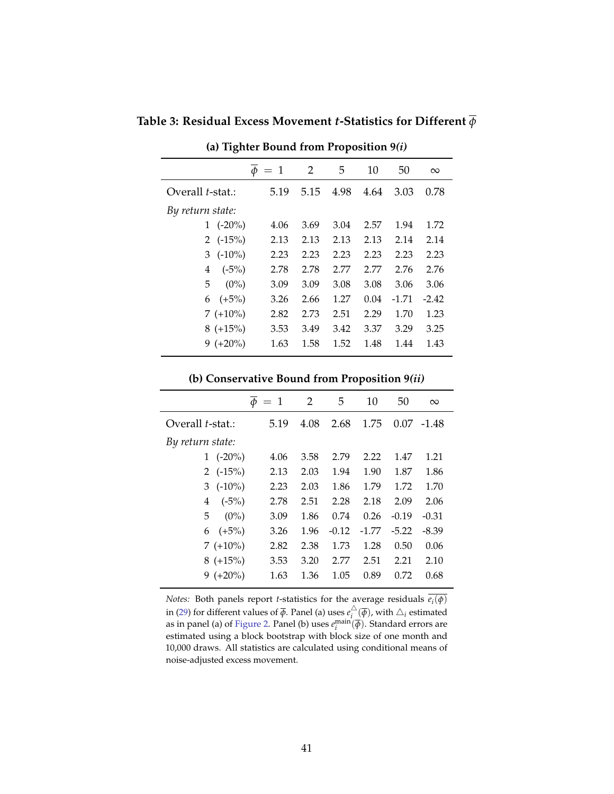$\overline{\phi} = 1$  2 5 10 50 ∞ Overall *t*-stat.: 5.19 5.15 4.98 4.64 3.03 0.78 *By return state:* 1 (-20%) 4.06 3.69 3.04 2.57 1.94 1.72 2 (-15%) 2.13 2.13 2.13 2.13 2.14 2.14 3 (-10%) 2.23 2.23 2.23 2.23 2.23 2.23 4 (-5%) 2.78 2.78 2.77 2.77 2.76 2.76 5 (0%) 3.09 3.09 3.08 3.08 3.06 3.06 6 (+5%) 3.26 2.66 1.27 0.04 -1.71 -2.42 7 (+10%) 2.82 2.73 2.51 2.29 1.70 1.23 8 (+15%) 3.53 3.49 3.42 3.37 3.29 3.25 9 (+20%) 1.63 1.58 1.52 1.48 1.44 1.43

<span id="page-41-0"></span>**Table 3: Residual Excess Movement** *t***-Statistics for Different** *ϕ*

**(a) Tighter Bound from [Proposition 9](#page-24-7)***[\(i\)](#page-24-5)*

#### **(b) Conservative Bound from [Proposition 9](#page-24-7)***[\(ii\)](#page-24-2)*

|                          | $\phi = 1$ | 2    | 5       | 10      | 50      | $\infty$ |
|--------------------------|------------|------|---------|---------|---------|----------|
| Overall <i>t</i> -stat.: | 5.19       | 4.08 | 2.68    | 1.75    | 0.07    | -1.48    |
| By return state:         |            |      |         |         |         |          |
| $(-20\%)$                | 4.06       | 3.58 | 2.79    | 2.22    | 1.47    | 1.21     |
| 2 $(-15%)$               | 2.13       | 2.03 | 1.94    | 1.90    | 1.87    | 1.86     |
| $(-10\%)$<br>3           | 2.23       | 2.03 | 1.86    | 1.79    | 1.72    | 1.70     |
| $(-5%)$<br>4             | 2.78       | 2.51 | 2.28    | 2.18    | 2.09    | 2.06     |
| 5<br>$(0\%)$             | 3.09       | 1.86 | 0.74    | 0.26    | $-0.19$ | $-0.31$  |
| $(+5%)$<br>6             | 3.26       | 1.96 | $-0.12$ | $-1.77$ | $-5.22$ | $-8.39$  |
| $7(+10\%)$               | 2.82       | 2.38 | 1.73    | 1.28    | 0.50    | 0.06     |
| $8 (+15%)$               | 3.53       | 3.20 | 2.77    | 2.51    | 2.21    | 2.10     |
| $9 (+20\%)$              | 1.63       | 1.36 | 1.05    | 0.89    | 0.72    | 0.68     |

*Notes:* Both panels report *t*-statistics for the average residuals *e<sup>i</sup>* (*ϕ*) in [\(29\)](#page-33-2) for different values of  $\overline{\phi}.$  Panel (a) uses  $e_i^{\triangle}$  $\frac{\triangle}{i}(\overline{\phi})$ , with  $\triangle_i$  estimated as in panel (a) of [Figure 2.](#page-44-0) Panel (b) uses  $e_i^{\text{main}}(\overline{\phi})$ . Standard errors are estimated using a block bootstrap with block size of one month and 10,000 draws. All statistics are calculated using conditional means of noise-adjusted excess movement.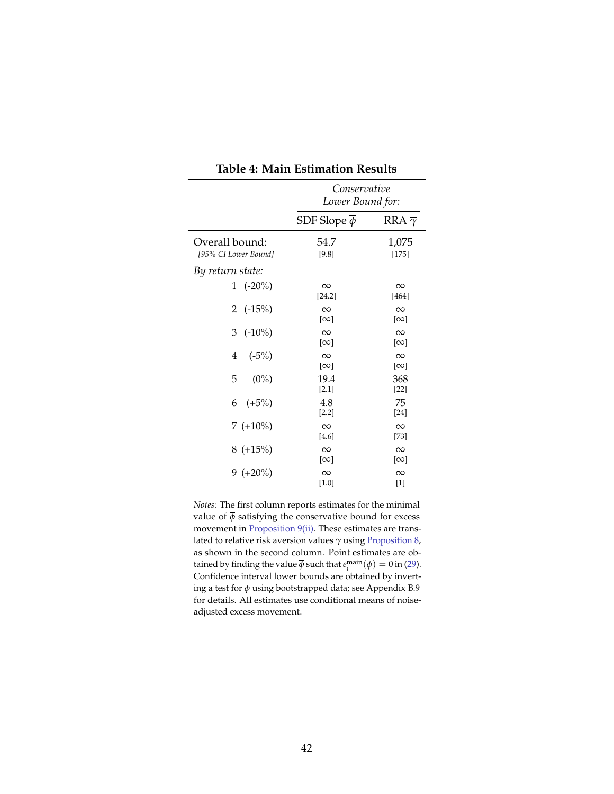<span id="page-42-0"></span>

|                                        | Conservative<br>Lower Bound for:   |                                    |  |  |
|----------------------------------------|------------------------------------|------------------------------------|--|--|
|                                        | SDF Slope $\phi$                   | RRA $\overline{\gamma}$            |  |  |
| Overall bound:<br>[95% CI Lower Bound] | 54.7<br>[9.8]                      | 1,075<br>$[175]$                   |  |  |
| By return state:                       |                                    |                                    |  |  |
| 1 $(-20\%)$                            | $\infty$<br>[24.2]                 | $\infty$<br>$[464]$                |  |  |
| 2 $(-15%)$                             | $\infty$<br>$\lceil \infty \rceil$ | $\infty$<br>$\lceil \infty \rceil$ |  |  |
| 3<br>$(-10\%)$                         | $\infty$<br>$\lceil \infty \rceil$ | $\infty$<br>$\lceil \infty \rceil$ |  |  |
| $\overline{4}$<br>$(-5%)$              | $\infty$<br>$\lceil \infty \rceil$ | $\infty$<br>$\lceil \infty \rceil$ |  |  |
| 5<br>$(0\%)$                           | 19.4<br>[2.1]                      | 368<br>$[22]$                      |  |  |
| 6 $(+5%)$                              | 4.8<br>$[2.2]$                     | 75<br>$[24]$                       |  |  |
| $7(+10\%)$                             | $\infty$<br>[4.6]                  | $\infty$<br>[73]                   |  |  |
| $8 (+15%)$                             | $\infty$<br>$\lceil \infty \rceil$ | $\infty$<br>$\lceil \infty \rceil$ |  |  |
| $9 (+20\%)$                            | $\infty$<br>$[1.0]$                | $\infty$<br>$[1]$                  |  |  |

**Table 4: Main Estimation Results**

*Notes:* The first column reports estimates for the minimal value of  $\overline{\phi}$  satisfying the conservative bound for excess movement in [Proposition 9](#page-24-7)[\(ii\).](#page-24-2) These estimates are translated to relative risk aversion values *γ* using [Proposition 8,](#page-23-2) as shown in the second column. Point estimates are obtained by finding the value  $\overline{\phi}$  such that  $e_i^{\text{main}}(\phi) = 0$  in [\(29\)](#page-33-2). Confidence interval lower bounds are obtained by inverting a test for  $\overline{\phi}$  using bootstrapped data; see Appendix B.9 for details. All estimates use conditional means of noiseadjusted excess movement.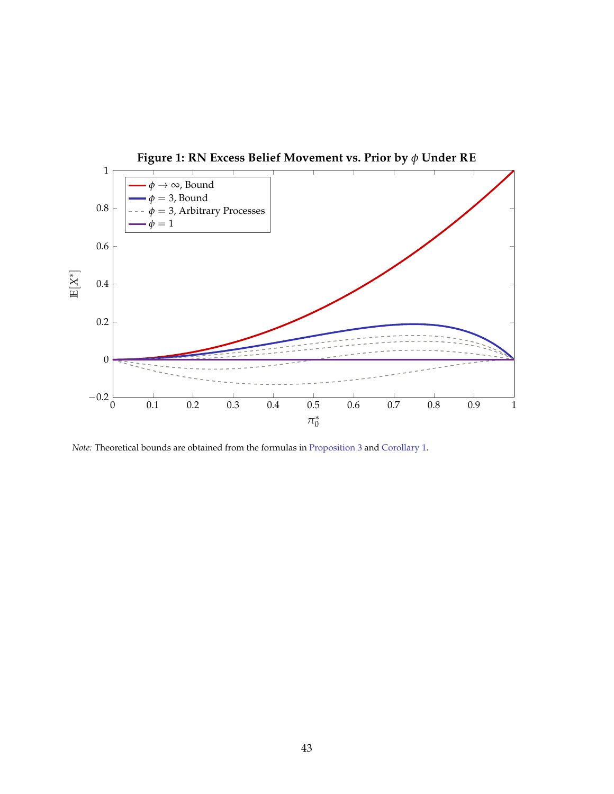<span id="page-43-0"></span>

*Note:* Theoretical bounds are obtained from the formulas in [Proposition 3](#page-13-4) and [Corollary 1.](#page-13-6)